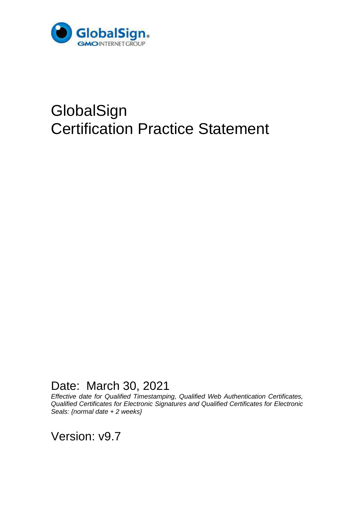

# **GlobalSign** Certification Practice Statement

Date: March 30, 2021

*Effective date for Qualified Timestamping, Qualified Web Authentication Certificates, Qualified Certificates for Electronic Signatures and Qualified Certificates for Electronic Seals: {normal date + 2 weeks}*

Version: v9.7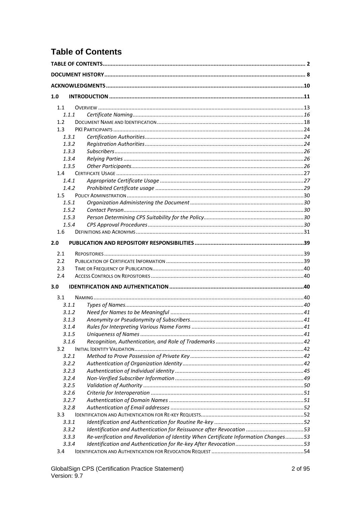# <span id="page-1-0"></span>**Table of Contents**

| 1.0<br>1.1<br>1.1.1<br>1.2<br>1.3<br>1.3.1<br>1.3.2<br>1.3.3<br>1.3.4<br>1.3.5<br>1.4<br>1.4.1<br>1.4.2<br>1.5<br>1.5.1<br>1.5.2<br>1.5.3<br>1.5.4<br>1.6<br>2.1<br>2.2<br>2.3<br>2.4<br>3.1<br>3.1.1<br>3.1.2<br>3.1.3<br>3.1.4<br>3.1.5<br>3.1.6<br>3.2<br>3.2.1<br>3.2.2<br>3.2.3<br>3.2.4<br>3.2.5<br>3.2.6<br>3.2.7<br>3.2.8<br>3.3<br>3.3.1<br>Identification and Authentication for Reissuance after Revocation 53<br>3.3.2<br>Re-verification and Revalidation of Identity When Certificate Information Changes53<br>3.3.3<br>3.3.4<br>3.4 |     |  |  |
|----------------------------------------------------------------------------------------------------------------------------------------------------------------------------------------------------------------------------------------------------------------------------------------------------------------------------------------------------------------------------------------------------------------------------------------------------------------------------------------------------------------------------------------------------|-----|--|--|
|                                                                                                                                                                                                                                                                                                                                                                                                                                                                                                                                                    |     |  |  |
|                                                                                                                                                                                                                                                                                                                                                                                                                                                                                                                                                    |     |  |  |
|                                                                                                                                                                                                                                                                                                                                                                                                                                                                                                                                                    |     |  |  |
|                                                                                                                                                                                                                                                                                                                                                                                                                                                                                                                                                    |     |  |  |
|                                                                                                                                                                                                                                                                                                                                                                                                                                                                                                                                                    |     |  |  |
|                                                                                                                                                                                                                                                                                                                                                                                                                                                                                                                                                    |     |  |  |
|                                                                                                                                                                                                                                                                                                                                                                                                                                                                                                                                                    |     |  |  |
|                                                                                                                                                                                                                                                                                                                                                                                                                                                                                                                                                    |     |  |  |
|                                                                                                                                                                                                                                                                                                                                                                                                                                                                                                                                                    |     |  |  |
|                                                                                                                                                                                                                                                                                                                                                                                                                                                                                                                                                    |     |  |  |
|                                                                                                                                                                                                                                                                                                                                                                                                                                                                                                                                                    |     |  |  |
|                                                                                                                                                                                                                                                                                                                                                                                                                                                                                                                                                    |     |  |  |
|                                                                                                                                                                                                                                                                                                                                                                                                                                                                                                                                                    |     |  |  |
|                                                                                                                                                                                                                                                                                                                                                                                                                                                                                                                                                    |     |  |  |
|                                                                                                                                                                                                                                                                                                                                                                                                                                                                                                                                                    |     |  |  |
|                                                                                                                                                                                                                                                                                                                                                                                                                                                                                                                                                    |     |  |  |
|                                                                                                                                                                                                                                                                                                                                                                                                                                                                                                                                                    |     |  |  |
|                                                                                                                                                                                                                                                                                                                                                                                                                                                                                                                                                    |     |  |  |
|                                                                                                                                                                                                                                                                                                                                                                                                                                                                                                                                                    |     |  |  |
|                                                                                                                                                                                                                                                                                                                                                                                                                                                                                                                                                    |     |  |  |
|                                                                                                                                                                                                                                                                                                                                                                                                                                                                                                                                                    |     |  |  |
|                                                                                                                                                                                                                                                                                                                                                                                                                                                                                                                                                    | 2.0 |  |  |
|                                                                                                                                                                                                                                                                                                                                                                                                                                                                                                                                                    |     |  |  |
|                                                                                                                                                                                                                                                                                                                                                                                                                                                                                                                                                    |     |  |  |
|                                                                                                                                                                                                                                                                                                                                                                                                                                                                                                                                                    |     |  |  |
|                                                                                                                                                                                                                                                                                                                                                                                                                                                                                                                                                    |     |  |  |
|                                                                                                                                                                                                                                                                                                                                                                                                                                                                                                                                                    | 3.0 |  |  |
|                                                                                                                                                                                                                                                                                                                                                                                                                                                                                                                                                    |     |  |  |
|                                                                                                                                                                                                                                                                                                                                                                                                                                                                                                                                                    |     |  |  |
|                                                                                                                                                                                                                                                                                                                                                                                                                                                                                                                                                    |     |  |  |
|                                                                                                                                                                                                                                                                                                                                                                                                                                                                                                                                                    |     |  |  |
|                                                                                                                                                                                                                                                                                                                                                                                                                                                                                                                                                    |     |  |  |
|                                                                                                                                                                                                                                                                                                                                                                                                                                                                                                                                                    |     |  |  |
|                                                                                                                                                                                                                                                                                                                                                                                                                                                                                                                                                    |     |  |  |
|                                                                                                                                                                                                                                                                                                                                                                                                                                                                                                                                                    |     |  |  |
|                                                                                                                                                                                                                                                                                                                                                                                                                                                                                                                                                    |     |  |  |
|                                                                                                                                                                                                                                                                                                                                                                                                                                                                                                                                                    |     |  |  |
|                                                                                                                                                                                                                                                                                                                                                                                                                                                                                                                                                    |     |  |  |
|                                                                                                                                                                                                                                                                                                                                                                                                                                                                                                                                                    |     |  |  |
|                                                                                                                                                                                                                                                                                                                                                                                                                                                                                                                                                    |     |  |  |
|                                                                                                                                                                                                                                                                                                                                                                                                                                                                                                                                                    |     |  |  |
|                                                                                                                                                                                                                                                                                                                                                                                                                                                                                                                                                    |     |  |  |
|                                                                                                                                                                                                                                                                                                                                                                                                                                                                                                                                                    |     |  |  |
|                                                                                                                                                                                                                                                                                                                                                                                                                                                                                                                                                    |     |  |  |
|                                                                                                                                                                                                                                                                                                                                                                                                                                                                                                                                                    |     |  |  |
|                                                                                                                                                                                                                                                                                                                                                                                                                                                                                                                                                    |     |  |  |
|                                                                                                                                                                                                                                                                                                                                                                                                                                                                                                                                                    |     |  |  |
|                                                                                                                                                                                                                                                                                                                                                                                                                                                                                                                                                    |     |  |  |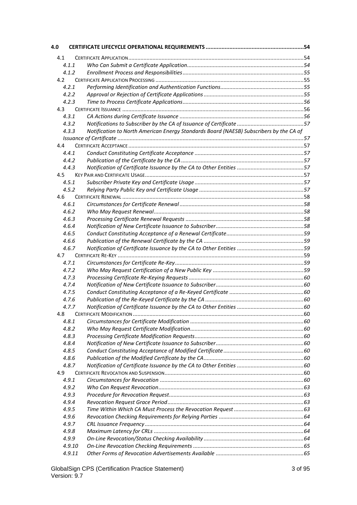| 4.0 |        |                                                                                        |  |
|-----|--------|----------------------------------------------------------------------------------------|--|
| 4.1 |        |                                                                                        |  |
|     | 4.1.1  |                                                                                        |  |
|     | 4.1.2  |                                                                                        |  |
| 4.2 |        |                                                                                        |  |
|     | 4.2.1  |                                                                                        |  |
|     | 4.2.2  |                                                                                        |  |
|     | 4.2.3  |                                                                                        |  |
| 4.3 |        |                                                                                        |  |
|     | 4.3.1  |                                                                                        |  |
|     | 4.3.2  |                                                                                        |  |
|     | 4.3.3  | Notification to North American Energy Standards Board (NAESB) Subscribers by the CA of |  |
|     |        |                                                                                        |  |
| 4.4 |        |                                                                                        |  |
|     | 4.4.1  |                                                                                        |  |
|     | 4.4.2  |                                                                                        |  |
|     | 4.4.3  |                                                                                        |  |
| 4.5 |        |                                                                                        |  |
|     | 4.5.1  |                                                                                        |  |
|     | 4.5.2  |                                                                                        |  |
| 4.6 |        |                                                                                        |  |
|     | 4.6.1  |                                                                                        |  |
|     | 4.6.2  |                                                                                        |  |
|     | 4.6.3  |                                                                                        |  |
|     | 4.6.4  |                                                                                        |  |
|     | 4.6.5  |                                                                                        |  |
|     | 4.6.6  |                                                                                        |  |
|     | 4.6.7  |                                                                                        |  |
| 4.7 |        |                                                                                        |  |
|     | 4.7.1  |                                                                                        |  |
|     | 4.7.2  |                                                                                        |  |
|     | 4.7.3  |                                                                                        |  |
|     | 4.7.4  |                                                                                        |  |
|     | 4.7.5  |                                                                                        |  |
|     | 4.7.6  |                                                                                        |  |
|     | 4.7.7  |                                                                                        |  |
| 4.8 |        |                                                                                        |  |
|     | 4.8.1  |                                                                                        |  |
|     | 4.8.2  |                                                                                        |  |
|     | 4.8.3  |                                                                                        |  |
|     | 4.8.4  |                                                                                        |  |
|     | 4.8.5  |                                                                                        |  |
|     | 4.8.6  |                                                                                        |  |
|     | 4.8.7  |                                                                                        |  |
| 4.9 |        |                                                                                        |  |
|     | 4.9.1  |                                                                                        |  |
|     | 4.9.2  |                                                                                        |  |
|     | 4.9.3  |                                                                                        |  |
|     | 4.9.4  |                                                                                        |  |
|     | 4.9.5  |                                                                                        |  |
|     | 4.9.6  |                                                                                        |  |
|     | 4.9.7  |                                                                                        |  |
|     | 4.9.8  |                                                                                        |  |
|     | 4.9.9  |                                                                                        |  |
|     | 4.9.10 |                                                                                        |  |
|     | 4.9.11 |                                                                                        |  |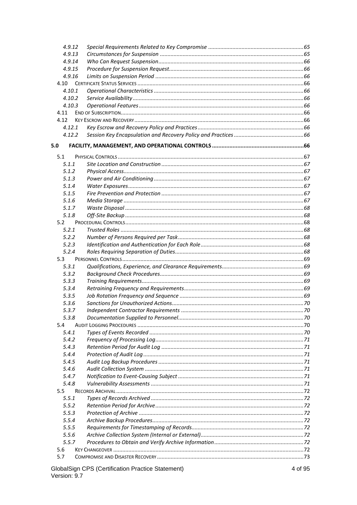|        | 4.9.12 |  |
|--------|--------|--|
| 4.9.13 |        |  |
| 4.9.14 |        |  |
| 4.9.15 |        |  |
| 4.9.16 |        |  |
| 4.10   |        |  |
| 4.10.1 |        |  |
| 4.10.2 |        |  |
| 4.10.3 |        |  |
| 4.11   |        |  |
| 4.12   |        |  |
| 4.12.1 |        |  |
| 4.12.2 |        |  |
| 5.0    |        |  |
| 5.1    |        |  |
| 5.1.1  |        |  |
| 5.1.2  |        |  |
| 5.1.3  |        |  |
| 5.1.4  |        |  |
| 5.1.5  |        |  |
| 5.1.6  |        |  |
| 5.1.7  |        |  |
| 5.1.8  |        |  |
| 5.2    |        |  |
| 5.2.1  |        |  |
| 5.2.2  |        |  |
| 5.2.3  |        |  |
| 5.2.4  |        |  |
|        |        |  |
| 5.3    |        |  |
| 5.3.1  |        |  |
| 5.3.2  |        |  |
| 5.3.3  |        |  |
| 5.3.4  |        |  |
| 5.3.5  |        |  |
| 5.3.6  |        |  |
| 5.3.7  |        |  |
| 5.3.8  |        |  |
| 5.4    |        |  |
| 5.4.1  |        |  |
| 5.4.2  |        |  |
| 5.4.3  |        |  |
| 5.4.4  |        |  |
| 5.4.5  |        |  |
| 5.4.6  |        |  |
| 5.4.7  |        |  |
| 5.4.8  |        |  |
| 5.5    |        |  |
| 5.5.1  |        |  |
| 5.5.2  |        |  |
| 5.5.3  |        |  |
| 5.5.4  |        |  |
| 5.5.5  |        |  |
| 5.5.6  |        |  |
| 5.5.7  |        |  |
| 5.6    |        |  |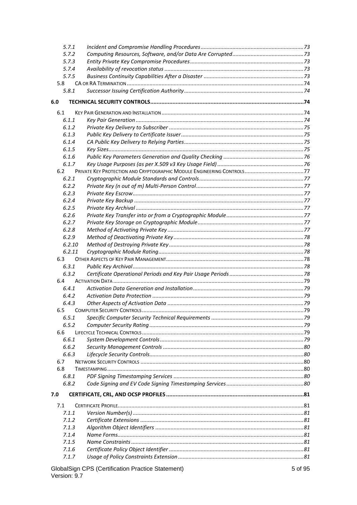| 5.7.1        |                                                          |         |
|--------------|----------------------------------------------------------|---------|
| 5.7.2        |                                                          |         |
| 5.7.3        |                                                          |         |
| 5.7.4        |                                                          |         |
| 5.7.5        |                                                          |         |
| 5.8          |                                                          |         |
| 5.8.1        |                                                          |         |
| 6.0          |                                                          |         |
|              |                                                          |         |
| 6.1<br>6.1.1 |                                                          |         |
| 6.1.2        |                                                          |         |
| 6.1.3        |                                                          |         |
| 6.1.4        |                                                          |         |
| 6.1.5        |                                                          |         |
| 6.1.6        |                                                          |         |
| 6.1.7        |                                                          |         |
| 6.2          |                                                          |         |
| 6.2.1        |                                                          |         |
| 6.2.2        |                                                          |         |
| 6.2.3        |                                                          |         |
| 6.2.4        |                                                          |         |
| 6.2.5        |                                                          |         |
| 6.2.6        |                                                          |         |
| 6.2.7        |                                                          |         |
| 6.2.8        |                                                          |         |
| 6.2.9        |                                                          |         |
| 6.2.10       |                                                          |         |
| 6.2.11       |                                                          |         |
| 6.3          |                                                          |         |
| 6.3.1        |                                                          |         |
| 6.3.2        |                                                          |         |
| 6.4          |                                                          |         |
| 6.4.1        |                                                          |         |
| 6.4.2        |                                                          |         |
| 6.4.3        |                                                          |         |
| 6.5          |                                                          |         |
| 6.5.1        |                                                          |         |
| 6.5.2        |                                                          |         |
| 6.6          |                                                          |         |
| 6.6.1        |                                                          |         |
| 6.6.2        |                                                          |         |
| 6.6.3        |                                                          |         |
| 6.7          |                                                          |         |
| 6.8          |                                                          |         |
| 6.8.1        |                                                          |         |
| 6.8.2        |                                                          |         |
| 7.0          |                                                          |         |
| 7.1          |                                                          |         |
| 7.1.1        |                                                          |         |
| 7.1.2        |                                                          |         |
| 7.1.3        |                                                          |         |
| 7.1.4        |                                                          |         |
| 7.1.5        |                                                          |         |
| 7.1.6        |                                                          |         |
| 7.1.7        |                                                          |         |
|              | <b>GlobalSign CPS (Certification Practice Statement)</b> | 5 of 95 |

Version: 9.7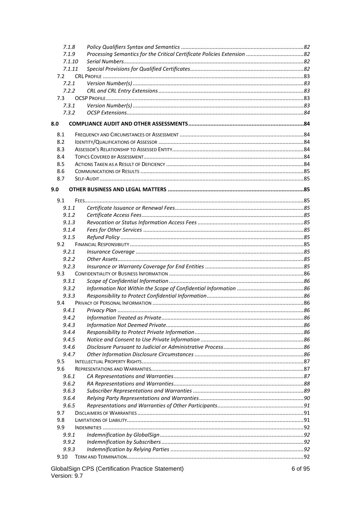| 7.1.8  |       |  |  |
|--------|-------|--|--|
| 7.1.9  |       |  |  |
| 7.1.10 |       |  |  |
| 7.1.11 |       |  |  |
| 7.2    |       |  |  |
|        | 7.2.1 |  |  |
|        | 7.2.2 |  |  |
| 7.3    |       |  |  |
|        | 7.3.1 |  |  |
|        | 7.3.2 |  |  |
| 8.0    |       |  |  |
| 8.1    |       |  |  |
| 8.2    |       |  |  |
| 8.3    |       |  |  |
| 8.4    |       |  |  |
| 8.5    |       |  |  |
| 8.6    |       |  |  |
| 8.7    |       |  |  |
|        |       |  |  |
| 9.0    |       |  |  |
| 9.1    |       |  |  |
|        | 9.1.1 |  |  |
|        | 9.1.2 |  |  |
|        | 9.1.3 |  |  |
|        | 9.1.4 |  |  |
|        | 9.1.5 |  |  |
| 9.2    |       |  |  |
|        | 9.2.1 |  |  |
|        | 9.2.2 |  |  |
|        | 9.2.3 |  |  |
| 9.3    |       |  |  |
|        | 9.3.1 |  |  |
|        | 9.3.2 |  |  |
|        | 9.3.3 |  |  |
| 9.4    |       |  |  |
|        | 9.4.1 |  |  |
|        | 9.4.2 |  |  |
|        | 9.4.3 |  |  |
|        | 9.4.4 |  |  |
|        | 9.4.5 |  |  |
|        | 9.4.6 |  |  |
|        | 9.4.7 |  |  |
| 9.5    |       |  |  |
| 9.6    |       |  |  |
|        | 9.6.1 |  |  |
|        | 9.6.2 |  |  |
|        | 9.6.3 |  |  |
|        | 9.6.4 |  |  |
|        | 9.6.5 |  |  |
| 9.7    |       |  |  |
| 9.8    |       |  |  |
| 9.9    |       |  |  |
|        | 9.9.1 |  |  |
|        | 9.9.2 |  |  |
| 9.9.3  |       |  |  |
| 9.10   |       |  |  |
|        |       |  |  |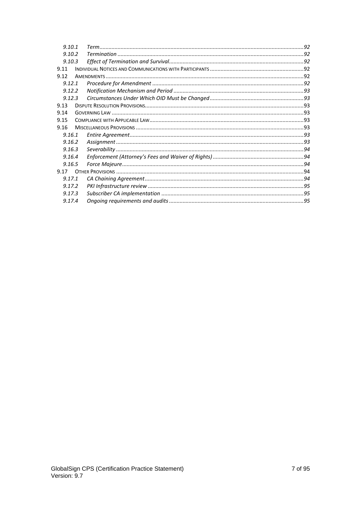| 9.10.1 |  |  |
|--------|--|--|
| 9.10.2 |  |  |
| 9.10.3 |  |  |
| 9.11   |  |  |
| 9.12   |  |  |
| 9.12.1 |  |  |
| 9.12.2 |  |  |
| 9.12.3 |  |  |
| 9.13   |  |  |
| 9.14   |  |  |
| 9.15   |  |  |
| 9.16   |  |  |
| 9.16.1 |  |  |
| 9.16.2 |  |  |
| 9.16.3 |  |  |
| 9.16.4 |  |  |
| 9.16.5 |  |  |
| 9.17   |  |  |
| 9.17.1 |  |  |
| 9.17.2 |  |  |
| 9.17.3 |  |  |
| 9.17.4 |  |  |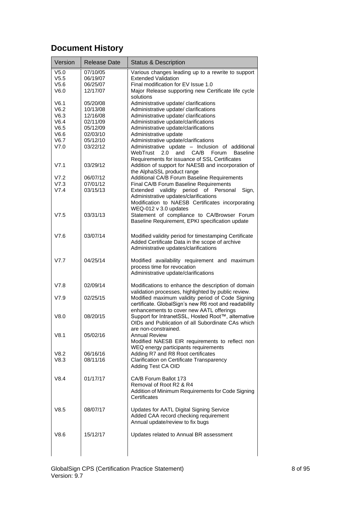# <span id="page-7-0"></span>**Document History**

| Version          | <b>Release Date</b> | <b>Status &amp; Description</b>                                                                                                                                |
|------------------|---------------------|----------------------------------------------------------------------------------------------------------------------------------------------------------------|
| V <sub>5.0</sub> | 07/10/05            | Various changes leading up to a rewrite to support                                                                                                             |
| V5.5             | 06/19/07            | <b>Extended Validation</b>                                                                                                                                     |
| V5.6             | 06/25/07            | Final modification for EV Issue 1.0                                                                                                                            |
| V6.0             | 12/17/07            | Major Release supporting new Certificate life cycle                                                                                                            |
|                  |                     | solutions                                                                                                                                                      |
| V6.1             | 05/20/08            | Administrative update/ clarifications                                                                                                                          |
| V6.2             | 10/13/08            | Administrative update/ clarifications                                                                                                                          |
| V6.3             | 12/16/08            | Administrative update/ clarifications                                                                                                                          |
| V6.4             | 02/11/09            | Administrative update/clarifications                                                                                                                           |
| V6.5             | 05/12/09            | Administrative update/clarifications                                                                                                                           |
| V6.6             | 02/03/10            | Administrative update                                                                                                                                          |
|                  |                     |                                                                                                                                                                |
| V6.7             | 05/12/10            | Administrative update/clarifications                                                                                                                           |
| V7.0             | 03/22/12            | Administrative update - Inclusion of additional<br>WebTrust<br>and<br>CA/B<br>Forum<br><b>Baseline</b><br>2.0<br>Requirements for issuance of SSL Certificates |
| V7.1             | 03/29/12            | Addition of support for NAESB and incorporation of<br>the AlphaSSL product range                                                                               |
| V7.2             | 06/07/12            | Additional CA/B Forum Baseline Requirements                                                                                                                    |
| V7.3             | 07/01/12            | Final CA/B Forum Baseline Requirements                                                                                                                         |
| V7.4             | 03/15/13            |                                                                                                                                                                |
|                  |                     | Extended validity period of Personal<br>Sign,                                                                                                                  |
|                  |                     | Administrative updates/clarifications                                                                                                                          |
|                  |                     | Modification to NAESB Certificates incorporating                                                                                                               |
|                  |                     | WEQ-012 v 3.0 updates                                                                                                                                          |
| V7.5             | 03/31/13            | Statement of compliance to CA/Browser Forum                                                                                                                    |
|                  |                     | Baseline Requirement, EPKI specification update                                                                                                                |
| V7.6             | 03/07/14            | Modified validity period for timestamping Certificate                                                                                                          |
|                  |                     |                                                                                                                                                                |
|                  |                     | Added Certificate Data in the scope of archive                                                                                                                 |
|                  |                     | Administrative updates/clarifications                                                                                                                          |
| V7.7             | 04/25/14            | Modified availability requirement and maximum                                                                                                                  |
|                  |                     | process time for revocation                                                                                                                                    |
|                  |                     | Administrative update/clarifications                                                                                                                           |
|                  |                     |                                                                                                                                                                |
| V7.8             | 02/09/14            | Modifications to enhance the description of domain                                                                                                             |
|                  |                     | validation processes, highlighted by public review.                                                                                                            |
| V7.9             | 02/25/15            | Modified maximum validity period of Code Signing                                                                                                               |
|                  |                     | certificate. GlobalSign's new R6 root and readability                                                                                                          |
|                  |                     | enhancements to cover new AATL offerings                                                                                                                       |
|                  |                     |                                                                                                                                                                |
| V8.0             | 08/20/15            | Support for IntranetSSL, Hosted Root™, alternative                                                                                                             |
|                  |                     | OIDs and Publication of all Subordinate CAs which                                                                                                              |
|                  |                     | are non-constrained.                                                                                                                                           |
| V8.1             | 05/02/16            | <b>Annual Review</b>                                                                                                                                           |
|                  |                     | Modified NAESB EIR requirements to reflect non                                                                                                                 |
|                  |                     | WEQ energy participants requirements                                                                                                                           |
| V8.2             | 06/16/16            | Adding R7 and R8 Root certificates                                                                                                                             |
| V8.3             | 08/11/16            | Clarification on Certificate Transparency                                                                                                                      |
|                  |                     | Adding Test CA OID                                                                                                                                             |
|                  |                     |                                                                                                                                                                |
| V8.4             | 01/17/17            | CA/B Forum Ballot 173                                                                                                                                          |
|                  |                     | Removal of Root R2 & R4                                                                                                                                        |
|                  |                     |                                                                                                                                                                |
|                  |                     | Addition of Minimum Requirements for Code Signing                                                                                                              |
|                  |                     | Certificates                                                                                                                                                   |
| V8.5             | 08/07/17            | Updates for AATL Digital Signing Service                                                                                                                       |
|                  |                     | Added CAA record checking requirement                                                                                                                          |
|                  |                     | Annual update/review to fix bugs                                                                                                                               |
|                  |                     |                                                                                                                                                                |
| V8.6             | 15/12/17            | Updates related to Annual BR assessment                                                                                                                        |
|                  |                     |                                                                                                                                                                |
|                  |                     |                                                                                                                                                                |
|                  |                     |                                                                                                                                                                |
|                  |                     |                                                                                                                                                                |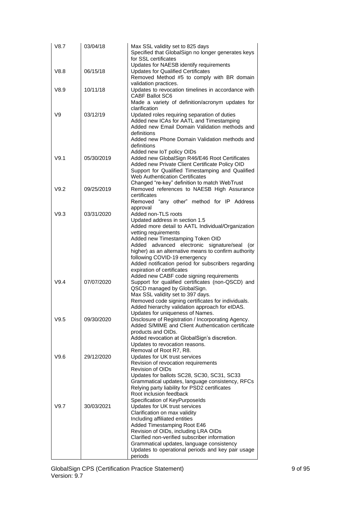| V8.7 | 03/04/18   | Max SSL validity set to 825 days<br>Specified that GlobalSign no longer generates keys<br>for SSL certificates                                                                                                               |
|------|------------|------------------------------------------------------------------------------------------------------------------------------------------------------------------------------------------------------------------------------|
| V8.8 | 06/15/18   | Updates for NAESB identify requirements<br><b>Updates for Qualified Certificates</b><br>Removed Method #5 to comply with BR domain                                                                                           |
| V8.9 | 10/11/18   | validation practices.<br>Updates to revocation timelines in accordance with<br><b>CABF Ballot SC6</b>                                                                                                                        |
|      |            | Made a variety of definition/acronym updates for<br>clarification                                                                                                                                                            |
| V9   | 03/12/19   | Updated roles requiring separation of duties<br>Added new ICAs for AATL and Timestamping<br>Added new Email Domain Validation methods and<br>definitions<br>Added new Phone Domain Validation methods and<br>definitions     |
| V9.1 | 05/30/2019 | Added new IoT policy OIDs<br>Added new GlobalSign R46/E46 Root Certificates<br>Added new Private Client Certificate Policy OID<br>Support for Qualified Timestamping and Qualified<br><b>Web Authentication Certificates</b> |
| V9.2 | 09/25/2019 | Changed "re-key" definition to match WebTrust<br>Removed references to NAESB High Assurance<br>certificates                                                                                                                  |
|      |            | Removed "any other" method for IP Address<br>approval                                                                                                                                                                        |
| V9.3 | 03/31/2020 | Added non-TLS roots<br>Updated address in section 1.5                                                                                                                                                                        |
|      |            | Added more detail to AATL Individual/Organization                                                                                                                                                                            |
|      |            | vetting requirements<br>Added new Timestamping Token OID                                                                                                                                                                     |
|      |            | Added advanced electronic signature/seal<br>(or                                                                                                                                                                              |
|      |            | higher) as an alternative means to confirm authority<br>following COVID-19 emergency                                                                                                                                         |
|      |            | Added notification period for subscribers regarding<br>expiration of certificates                                                                                                                                            |
|      |            | Added new CABF code signing requirements                                                                                                                                                                                     |
| V9.4 | 07/07/2020 | Support for qualified certificates (non-QSCD) and<br>QSCD managed by GlobalSign.<br>Max SSL validity set to 397 days.                                                                                                        |
|      |            | Removed code signing certificates for individuals.                                                                                                                                                                           |
|      |            | Added hierarchy validation approach for eIDAS.<br>Updates for uniqueness of Names.                                                                                                                                           |
| V9.5 | 09/30/2020 | Disclosure of Registration / Incorporating Agency.<br>Added S/MIME and Client Authentication certificate                                                                                                                     |
|      |            | products and OIDs.                                                                                                                                                                                                           |
|      |            | Added revocation at GlobalSign's discretion.<br>Updates to revocation reasons.                                                                                                                                               |
|      |            | Removal of Root R7, R8.                                                                                                                                                                                                      |
| V9.6 | 29/12/2020 | Updates for UK trust services<br>Revision of revocation requirements                                                                                                                                                         |
|      |            | Revision of OIDs                                                                                                                                                                                                             |
|      |            | Updates for ballots SC28, SC30, SC31, SC33<br>Grammatical updates, language consistency, RFCs                                                                                                                                |
|      |            | Relying party liability for PSD2 certificates                                                                                                                                                                                |
|      |            | Root inclusion feedback<br>Specification of KeyPurposelds                                                                                                                                                                    |
| V9.7 | 30/03/2021 | Updates for UK trust services                                                                                                                                                                                                |
|      |            | Clarification on max validity<br>Including affiliated entities                                                                                                                                                               |
|      |            | Added Timestamping Root E46                                                                                                                                                                                                  |
|      |            | Revision of OIDs, including LRA OIDs<br>Clarified non-verified subscriber information                                                                                                                                        |
|      |            | Grammatical updates, language consistency                                                                                                                                                                                    |
|      |            | Updates to operational periods and key pair usage<br>periods                                                                                                                                                                 |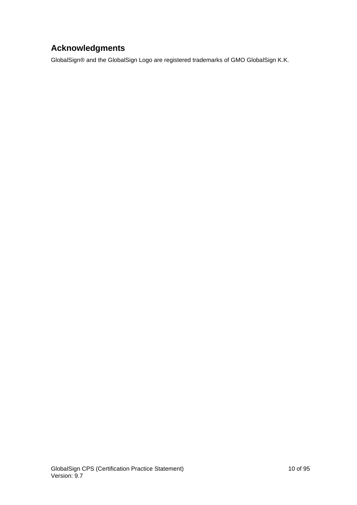# <span id="page-9-0"></span>**Acknowledgments**

GlobalSign® and the GlobalSign Logo are registered trademarks of GMO GlobalSign K.K.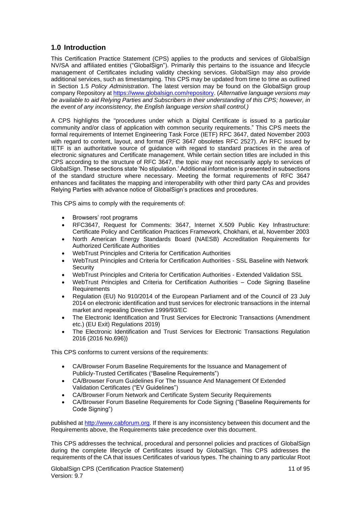## <span id="page-10-0"></span>**1.0 Introduction**

This Certification Practice Statement (CPS) applies to the products and services of GlobalSign NV/SA and affiliated entities ("GlobalSign"). Primarily this pertains to the issuance and lifecycle management of Certificates including validity checking services. GlobalSign may also provide additional services, such as timestamping. This CPS may be updated from time to time as outlined in Section 1.5 *Policy Administration*. The latest version may be found on the GlobalSign group company Repository at [https://www.globalsign.com/repository.](https://www.globalsign.com/repository) (*Alternative language versions may be available to aid Relying Parties and Subscribers in their understanding of this CPS; however, in the event of any inconsistency, the English language version shall control.)*

A CPS highlights the "procedures under which a Digital Certificate is issued to a particular community and/or class of application with common security requirements." This CPS meets the formal requirements of Internet Engineering Task Force (IETF) RFC 3647, dated November 2003 with regard to content, layout, and format (RFC 3647 obsoletes RFC 2527). An RFC issued by IETF is an authoritative source of guidance with regard to standard practices in the area of electronic signatures and Certificate management. While certain section titles are included in this CPS according to the structure of RFC 3647, the topic may not necessarily apply to services of GlobalSign. These sections state 'No stipulation.' Additional information is presented in subsections of the standard structure where necessary. Meeting the format requirements of RFC 3647 enhances and facilitates the mapping and interoperability with other third party CAs and provides Relying Parties with advance notice of GlobalSign's practices and procedures.

This CPS aims to comply with the requirements of:

- Browsers' root programs
- RFC3647, Request for Comments: 3647, Internet X.509 Public Key Infrastructure: Certificate Policy and Certification Practices Framework, Chokhani, et al, November 2003
- North American Energy Standards Board (NAESB) Accreditation Requirements for Authorized Certificate Authorities
- WebTrust Principles and Criteria for Certification Authorities
- WebTrust Principles and Criteria for Certification Authorities SSL Baseline with Network **Security**
- WebTrust Principles and Criteria for Certification Authorities Extended Validation SSL
- WebTrust Principles and Criteria for Certification Authorities Code Signing Baseline **Requirements**
- Regulation (EU) No 910/2014 of the European Parliament and of the Council of 23 July 2014 on electronic identification and trust services for electronic transactions in the internal market and repealing Directive 1999/93/EC
- The Electronic Identification and Trust Services for Electronic Transactions (Amendment etc.) (EU Exit) Regulations 2019)
- The Electronic Identification and Trust Services for Electronic Transactions Regulation 2016 (2016 No.696))

This CPS conforms to current versions of the requirements:

- CA/Browser Forum Baseline Requirements for the Issuance and Management of Publicly-Trusted Certificates ("Baseline Requirements")
- CA/Browser Forum Guidelines For The Issuance And Management Of Extended Validation Certificates ("EV Guidelines")
- CA/Browser Forum Network and Certificate System Security Requirements
- CA/Browser Forum Baseline Requirements for Code Signing ("Baseline Requirements for Code Signing")

published at [http://www.cabforum.org.](http://www.cabforum.org/) If there is any inconsistency between this document and the Requirements above, the Requirements take precedence over this document.

This CPS addresses the technical, procedural and personnel policies and practices of GlobalSign during the complete lifecycle of Certificates issued by GlobalSign. This CPS addresses the requirements of the CA that issues Certificates of various types. The chaining to any particular Root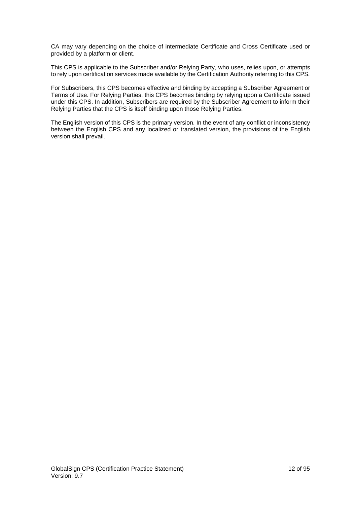CA may vary depending on the choice of intermediate Certificate and Cross Certificate used or provided by a platform or client.

This CPS is applicable to the Subscriber and/or Relying Party, who uses, relies upon, or attempts to rely upon certification services made available by the Certification Authority referring to this CPS.

For Subscribers, this CPS becomes effective and binding by accepting a Subscriber Agreement or Terms of Use. For Relying Parties, this CPS becomes binding by relying upon a Certificate issued under this CPS. In addition, Subscribers are required by the Subscriber Agreement to inform their Relying Parties that the CPS is itself binding upon those Relying Parties.

The English version of this CPS is the primary version. In the event of any conflict or inconsistency between the English CPS and any localized or translated version, the provisions of the English version shall prevail.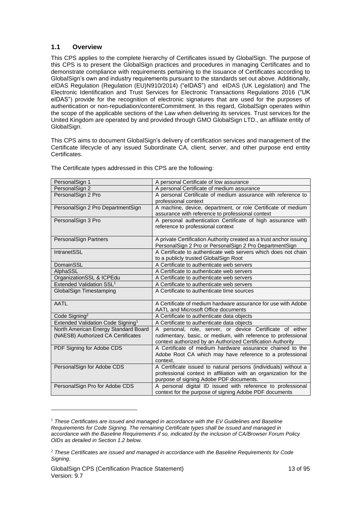#### <span id="page-12-0"></span>**1.1 Overview**

This CPS applies to the complete hierarchy of Certificates issued by GlobalSign. The purpose of this CPS is to present the GlobalSign practices and procedures in managing Certificates and to demonstrate compliance with requirements pertaining to the issuance of Certificates according to GlobalSign's own and industry requirements pursuant to the standards set out above. Additionally, eIDAS Regulation (Regulation (EU)N910/2014) ("eIDAS") and eIDAS (UK Legislation) and The Electronic Identification and Trust Services for Electronic Transactions Regulations 2016 ("UK eIDAS") provide for the recognition of electronic signatures that are used for the purposes of authentication or non-repudiation/contentCommitment. In this regard, GlobalSign operates within the scope of the applicable sections of the Law when delivering its services. Trust services for the United Kingdom are operated by and provided through GMO GlobalSign LTD., an affiliate entity of GlobalSign.

This CPS aims to document GlobalSign's delivery of certification services and management of the Certificate lifecycle of any issued Subordinate CA, client, server, and other purpose end entity Certificates.

| PersonalSign 1                                | A personal Certificate of low assurance                                                                               |
|-----------------------------------------------|-----------------------------------------------------------------------------------------------------------------------|
| PersonalSign 2                                | A personal Certificate of medium assurance                                                                            |
| PersonalSign 2 Pro                            | A personal Certificate of medium assurance with reference to                                                          |
|                                               | professional context                                                                                                  |
| PersonalSign 2 Pro DepartmentSign             | A machine, device, department, or role Certificate of medium                                                          |
|                                               | assurance with reference to professional context                                                                      |
| PersonalSign 3 Pro                            | A personal authentication Certificate of high assurance with                                                          |
|                                               | reference to professional context                                                                                     |
|                                               |                                                                                                                       |
| PersonalSign Partners                         | A private Certification Authority created as a trust anchor issuing                                                   |
|                                               | PersonalSign 2 Pro or PersonalSign 2 Pro DepartmentSign                                                               |
| IntranetSSL                                   | A Certificate to authenticate web servers which does not chain                                                        |
| DomainSSL                                     | to a publicly trusted GlobalSign Root<br>A Certificate to authenticate web servers                                    |
| AlphaSSL                                      | A Certificate to authenticate web servers                                                                             |
| OrganizationSSL & ICPEdu                      | A Certificate to authenticate web servers                                                                             |
| Extended Validation SSL <sup>1</sup>          | A Certificate to authenticate web servers                                                                             |
| GlobalSign Timestamping                       | A Certificate to authenticate time sources                                                                            |
|                                               |                                                                                                                       |
| <b>AATL</b>                                   | A Certificate of medium hardware assurance for use with Adobe                                                         |
|                                               | AATL and Microsoft Office documents                                                                                   |
| Code Signing <sup>2</sup>                     | A Certificate to authenticate data objects                                                                            |
| Extended Validation Code Signing <sup>1</sup> | A Certificate to authenticate data objects                                                                            |
| North American Energy Standard Board          | A personal, role, server, or device Certificate of either                                                             |
| (NAESB) Authorized CA Certificates            | rudimentary, basic, or medium, with reference to professional                                                         |
|                                               | context authorized by an Authorized Certification Authority                                                           |
| PDF Signing for Adobe CDS                     | A Certificate of medium hardware assurance chained to the                                                             |
|                                               | Adobe Root CA which may have reference to a professional                                                              |
|                                               | context.                                                                                                              |
| PersonalSign for Adobe CDS                    | A Certificate issued to natural persons (individuals) without a                                                       |
|                                               | professional context in affiliation with an organization for the                                                      |
|                                               | purpose of signing Adobe PDF documents.                                                                               |
| PersonalSign Pro for Adobe CDS                | A personal digital ID issued with reference to professional<br>context for the purpose of signing Adobe PDF documents |
|                                               |                                                                                                                       |

The Certificate types addressed in this CPS are the following:

<sup>1</sup> *These Certificates are issued and managed in accordance with the EV Guidelines and Baseline Requirements for Code Signing. The remaining Certificate types shall be issued and managed in accordance with the Baseline Requirements if so, indicated by the inclusion of CA/Browser Forum Policy OIDs as detailed in Section 1.2 below.*

<sup>2</sup> *These Certificates are issued and managed in accordance with the Baseline Requirements for Code Signing.*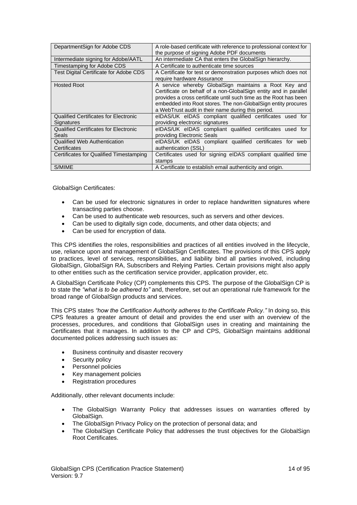| DepartmentSign for Adobe CDS                                 | A role-based certificate with reference to professional context for<br>the purpose of signing Adobe PDF documents                                                                                                                                                                                                       |
|--------------------------------------------------------------|-------------------------------------------------------------------------------------------------------------------------------------------------------------------------------------------------------------------------------------------------------------------------------------------------------------------------|
| Intermediate signing for Adobe/AATL                          | An intermediate CA that enters the GlobalSign hierarchy.                                                                                                                                                                                                                                                                |
| Timestamping for Adobe CDS                                   | A Certificate to authenticate time sources                                                                                                                                                                                                                                                                              |
| <b>Test Digital Certificate for Adobe CDS</b>                | A Certificate for test or demonstration purposes which does not<br>require hardware Assurance                                                                                                                                                                                                                           |
| <b>Hosted Root</b>                                           | A service whereby GlobalSign maintains a Root Key and<br>Certificate on behalf of a non-Global Sign entity and in parallel<br>provides a cross certificate until such time as the Root has been<br>embedded into Root stores. The non-Global Sign entity procures<br>a WebTrust audit in their name during this period. |
| <b>Qualified Certificates for Electronic</b><br>Signatures   | eIDAS/UK eIDAS compliant qualified certificates used for<br>providing electronic signatures                                                                                                                                                                                                                             |
| <b>Qualified Certificates for Electronic</b><br><b>Seals</b> | eIDAS/UK eIDAS compliant qualified certificates used for<br>providing Electronic Seals                                                                                                                                                                                                                                  |
| <b>Qualified Web Authentication</b><br>Certificates          | eIDAS/UK eIDAS compliant qualified certificates for web<br>authentication (SSL)                                                                                                                                                                                                                                         |
| Certificates for Qualified Timestamping                      | Certificates used for signing eIDAS compliant qualified time<br>stamps                                                                                                                                                                                                                                                  |
| S/MIME                                                       | A Certificate to establish email authenticity and origin.                                                                                                                                                                                                                                                               |

GlobalSign Certificates:

- Can be used for electronic signatures in order to replace handwritten signatures where transacting parties choose.
- Can be used to authenticate web resources, such as servers and other devices.
- Can be used to digitally sign code, documents, and other data objects; and
- Can be used for encryption of data.

This CPS identifies the roles, responsibilities and practices of all entities involved in the lifecycle, use, reliance upon and management of GlobalSign Certificates. The provisions of this CPS apply to practices, level of services, responsibilities, and liability bind all parties involved, including GlobalSign, GlobalSign RA, Subscribers and Relying Parties. Certain provisions might also apply to other entities such as the certification service provider, application provider, etc.

A GlobalSign Certificate Policy (CP) complements this CPS. The purpose of the GlobalSign CP is to state the *"what is to be adhered to"* and, therefore, set out an operational rule framework for the broad range of GlobalSign products and services.

This CPS states *"how the Certification Authority adheres to the Certificate Policy."* In doing so, this CPS features a greater amount of detail and provides the end user with an overview of the processes, procedures, and conditions that GlobalSign uses in creating and maintaining the Certificates that it manages. In addition to the CP and CPS, GlobalSign maintains additional documented polices addressing such issues as:

- Business continuity and disaster recovery
- Security policy
- Personnel policies
- Key management policies
- Registration procedures

Additionally, other relevant documents include:

- The GlobalSign Warranty Policy that addresses issues on warranties offered by GlobalSign.
- The GlobalSign Privacy Policy on the protection of personal data; and
- The GlobalSign Certificate Policy that addresses the trust objectives for the GlobalSign Root Certificates.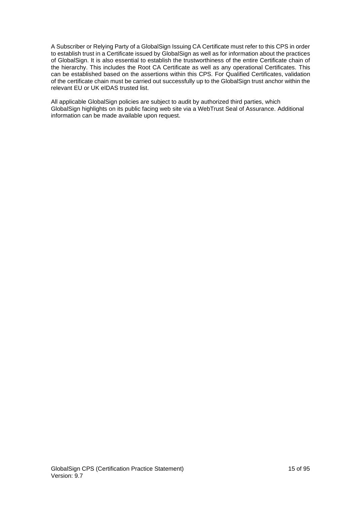A Subscriber or Relying Party of a GlobalSign Issuing CA Certificate must refer to this CPS in order to establish trust in a Certificate issued by GlobalSign as well as for information about the practices of GlobalSign. It is also essential to establish the trustworthiness of the entire Certificate chain of the hierarchy. This includes the Root CA Certificate as well as any operational Certificates. This can be established based on the assertions within this CPS. For Qualified Certificates, validation of the certificate chain must be carried out successfully up to the GlobalSign trust anchor within the relevant EU or UK eIDAS trusted list.

All applicable GlobalSign policies are subject to audit by authorized third parties, which GlobalSign highlights on its public facing web site via a WebTrust Seal of Assurance. Additional information can be made available upon request.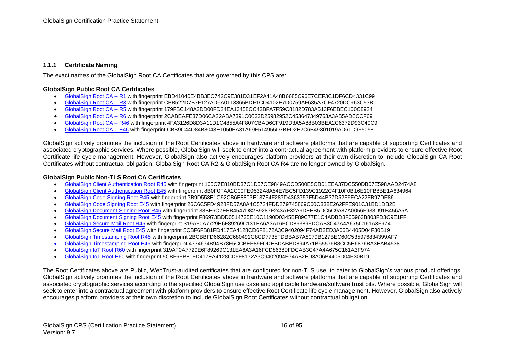#### **1.1.1 Certificate Naming**

The exact names of the GlobalSign Root CA Certificates that are governed by this CPS are:

#### **GlobalSign Public Root CA Certificates**

- [GlobalSign Root CA](https://secure.globalsign.com/cacert/root-r1.crt)  R1 with fingerprint EBD41040E4BB3EC742C9E381D31EF2A41A48B6685C96E7CEF3C1DF6CD4331C99
- [GlobalSign Root CA](https://secure.globalsign.com/cacert/root-r3.crt)  R3 with fingerprint CBB522D7B7F127AD6A0113865BDF1CD4102E7D0759AF635A7CF4720DC963C53B
- [GlobalSign Root CA](https://secure.globalsign.com/cacert/root-r5.crt)  R5 with fingerprint 179FBC148A3DD00FD24EA13458CC43BFA7F59C8182D783A513F6EBEC100C8924
- [GlobalSign Root CA](https://secure.globalsign.com/cacert/root-r6.crt)  R6 with fingerprint 2CABEAFE37D06CA22ABA7391C0033D25982952C453647349763A3AB5AD6CCF69
- [GlobalSign Root CA](http://secure.globalsign.com/cacert/rootr46.crt)  R46 with fingerprint 4FA3126D8D3A11D1C4855A4F807CBAD6CF919D3A5A88B03BEA2C6372D93C40C9
- [GlobalSign Root CA](http://secure.globalsign.com/cacert/roote46.crt)  E46 with fingerprint CBB9C44D84B8043E1050EA31A69F514955D7BFD2E2C6B49301019AD61D9F5058

GlobalSign actively promotes the inclusion of the Root Certificates above in hardware and software platforms that are capable of supporting Certificates and associated cryptographic services. Where possible, GlobalSign will seek to enter into a contractual agreement with platform providers to ensure effective Root Certificate life cycle management. However, GlobalSign also actively encourages platform providers at their own discretion to include GlobalSign CA Root Certificates without contractual obligation. GlobalSign Root CA R2 & GlobalSign Root CA R4 are no longer owned by GlobalSign.

#### **GlobalSign Public Non-TLS Root CA Certificates**

- [GlobalSign Client Authentication Root R45](http://secure.globalsign.com/cacert/clientauthrootr45.crt) with fingerprint 165C7E810BD37C1D57CE9849ACCD500E5CB01EEA37DC550DB07E598AAD2474A8
- [GlobalSign Client Authentication Root E45](http://secure.globalsign.com/cacert/clientauthroote45.crt) with fingerprint 8B0F0FAA2C00FE0532A8A54E7BC5FD139C1922C4F10F0B16E10FB8BE1A634964
- [GlobalSign Code Signing Root R45](http://secure.globalsign.com/cacert/codesigningrootr45.crt) with fingerprint 7B9D553E1C92CB6E8803E137F4F287D4363757F5D44B37D52F9FCA22FB97DF86
- [GlobalSign Code Signing Root E45](http://secure.globalsign.com/cacert/codesigningroote45.crt) with fingerprint 26C6C5FD4928FD57A8A4C5724FDD279745869C60C338E262FFE901C31BD1DB2B
- <span id="page-15-0"></span>• [GlobalSign Document Signing Root R45](http://secure.globalsign.com/cacert/docsignrootr45.crt) with fingerprint 38BE6C7EEB4547D82B9287F243AF32A9DEEB5DC5C9A87A0056F938D91B456A5A
- [GlobalSign Document Signing Root E45](http://secure.globalsign.com/cacert/docsignroote45.crt) with fingerprint F86973BDD0514735E10C1190D0345BF89C77E1C4ADBD3F65963B803FD3C9E1FF
- [GlobalSign Secure Mail Root R45](http://secure.globalsign.com/cacert/smimerootr45.crt) with fingerprint 319AF0A7729E6F89269C131EA6A3A16FCD86389FDCAB3C47A4A675C161A3F974
- [GlobalSign Secure Mail Root E45](http://secure.globalsign.com/cacert/smimeroote45.crt) with fingerprint 5CBF6FB81FD417EA4128CD6F8172A3C9402094F74AB2ED3A06B4405D04F30B19
- [GlobalSign Timestamping Root R45](http://secure.globalsign.com/cacert/timestamprootr45.crt) with fingerprint 2BCBBFD66282C680491C8CD7735FDBBAB7A8079B127BEC60C535976834399AF7
- GlobalSign Timestamping Root E46 with fingerprint 4774674B94B78F5CCBEF89FDDEBDABBD894A71B55576B8CC5E6876BA3EAB4538
- [GlobalSign IoT Root R60](http://secure.globalsign.com/cacert/iotrootr60.crt) with fingerprint 319AF0A7729E6F89269C131EA6A3A16FCD86389FDCAB3C47A4A675C161A3F974
- [GlobalSign IoT Root E60](http://secure.globalsign.com/cacert/iotroote60.crt) with fingerprint 5CBF6FB81FD417EA4128CD6F8172A3C9402094F74AB2ED3A06B4405D04F30B19

The Root Certificates above are Public, WebTrust-audited certificates that are configured for non-TLS use, to cater to GlobalSign's various product offerings. GlobalSign actively promotes the inclusion of the Root Certificates above in hardware and software platforms that are capable of supporting Certificates and associated cryptographic services according to the specified GlobalSign use case and applicable hardware/software trust bits. Where possible, GlobalSign will seek to enter into a contractual agreement with platform providers to ensure effective Root Certificate life cycle management. However, GlobalSign also actively encourages platform providers at their own discretion to include GlobalSign Root Certificates without contractual obligation.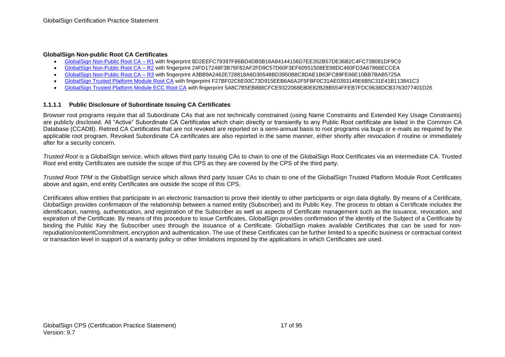#### **GlobalSign Non-public Root CA Certificates**

- [GlobalSign Non-Public Root CA](http://secure.globalsign.com/cacert/gsnonpublicroot1.crt)  R1 with fingerprint 8D2EEFC79397F86BD4DB5B16A84144156D7EE352B57DE36B2C4FC738081DF9C9
- [GlobalSign Non-Public Root CA](http://secure.globalsign.com/cacert/gsnonpublicroot2.crt)  R2 with fingerprint 24FD17248F3B76F82AF2FD9C57D60F3EF60551508EE98DC460FD3A67866ECCEA
- [GlobalSign Non-Public Root CA](http://secure.globalsign.com/cacert/gsnonpublicroot3.crt)  R3 with fingerprint A3BB9A2462E728818A6D30548BD3950B8C8DAE1B63FC89FE66E10BB7BAB5725A
- [GlobalSign Trusted Platform Module Root CA](http://secure.globalsign.net/cacert/TPMRoot.crt) with fingerprint F27BF02C6E00C73D915EEB6A6A2F5FBF0C31AE0393149E6B5C31E41B113841C3
- [GlobalSign Trusted Platform Module ECC Root CA](https://secure.globalsign.com/cacert/tpmeccroot.crt) with fingerprint 5A8C7B5EB888CFCE9322068E80E82B28B554FFEB7FDC9638DCB3763077401D26

#### **1.1.1.1 Public Disclosure of Subordinate Issuing CA Certificates**

Browser root programs require that all Subordinate CAs that are not technically constrained (using Name Constraints and Extended Key Usage Constraints) are publicly disclosed. All "Active" Subordinate CA Certificates which chain directly or transiently to any Public Root certificate are listed in the Common CA Database (CCADB). Retired CA Certificates that are not revoked are reported on a semi-annual basis to root programs via bugs or e-mails as required by the applicable root program. Revoked Subordinate CA certificates are also reported in the same manner, either shortly after revocation if routine or immediately after for a security concern.

*Trusted Root* is a GlobalSign service, which allows third party Issuing CAs to chain to one of the GlobalSign Root Certificates via an intermediate CA. Trusted Root end entity Certificates are outside the scope of this CPS as they are covered by the CPS of the third party.

*Trusted Root TPM* is the GlobalSign service which allows third party Issuer CAs to chain to one of the GlobalSign Trusted Platform Module Root Certificates above and again, end entity Certificates are outside the scope of this CPS.

Certificates allow entities that participate in an electronic transaction to prove their identity to other participants or sign data digitally. By means of a Certificate, GlobalSign provides confirmation of the relationship between a named entity (Subscriber) and its Public Key. The process to obtain a Certificate includes the identification, naming, authentication, and registration of the Subscriber as well as aspects of Certificate management such as the issuance, revocation, and expiration of the Certificate. By means of this procedure to issue Certificates, GlobalSign provides confirmation of the identity of the Subject of a Certificate by binding the Public Key the Subscriber uses through the issuance of a Certificate. GlobalSign makes available Certificates that can be used for nonrepudiation/contentCommitment, encryption and authentication. The use of these Certificates can be further limited to a specific business or contractual context or transaction level in support of a warranty policy or other limitations imposed by the applications in which Certificates are used.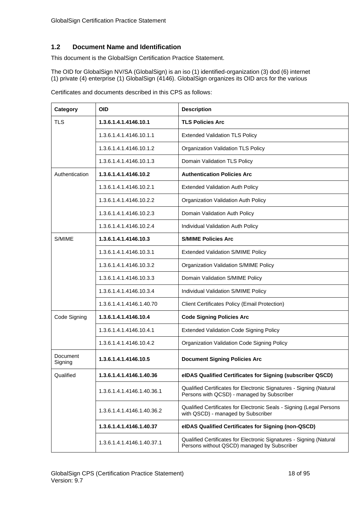## <span id="page-17-0"></span>**1.2 Document Name and Identification**

This document is the GlobalSign Certification Practice Statement.

The OID for GlobalSign NV/SA (GlobalSign) is an iso (1) identified-organization (3) dod (6) internet (1) private (4) enterprise (1) GlobalSign (4146). GlobalSign organizes its OID arcs for the various

| Category            | <b>OID</b>                 | <b>Description</b>                                                                                                 |
|---------------------|----------------------------|--------------------------------------------------------------------------------------------------------------------|
| <b>TLS</b>          | 1.3.6.1.4.1.4146.10.1      | <b>TLS Policies Arc</b>                                                                                            |
|                     | 1.3.6.1.4.1.4146.10.1.1    | <b>Extended Validation TLS Policy</b>                                                                              |
|                     | 1.3.6.1.4.1.4146.10.1.2    | Organization Validation TLS Policy                                                                                 |
|                     | 1.3.6.1.4.1.4146.10.1.3    | Domain Validation TLS Policy                                                                                       |
| Authentication      | 1.3.6.1.4.1.4146.10.2      | <b>Authentication Policies Arc</b>                                                                                 |
|                     | 1.3.6.1.4.1.4146.10.2.1    | <b>Extended Validation Auth Policy</b>                                                                             |
|                     | 1.3.6.1.4.1.4146.10.2.2    | Organization Validation Auth Policy                                                                                |
|                     | 1.3.6.1.4.1.4146.10.2.3    | Domain Validation Auth Policy                                                                                      |
|                     | 1.3.6.1.4.1.4146.10.2.4    | Individual Validation Auth Policy                                                                                  |
| S/MIME              | 1.3.6.1.4.1.4146.10.3      | <b>S/MIME Policies Arc</b>                                                                                         |
|                     | 1.3.6.1.4.1.4146.10.3.1    | <b>Extended Validation S/MIME Policy</b>                                                                           |
|                     | 1.3.6.1.4.1.4146.10.3.2    | Organization Validation S/MIME Policy                                                                              |
|                     | 1.3.6.1.4.1.4146.10.3.3    | Domain Validation S/MIME Policy                                                                                    |
|                     | 1.3.6.1.4.1.4146.10.3.4    | Individual Validation S/MIME Policy                                                                                |
|                     | 1.3.6.1.4.1.4146.1.40.70   | <b>Client Certificates Policy (Email Protection)</b>                                                               |
| Code Signing        | 1.3.6.1.4.1.4146.10.4      | <b>Code Signing Policies Arc</b>                                                                                   |
|                     | 1.3.6.1.4.1.4146.10.4.1    | Extended Validation Code Signing Policy                                                                            |
|                     | 1.3.6.1.4.1.4146.10.4.2    | Organization Validation Code Signing Policy                                                                        |
| Document<br>Signing | 1.3.6.1.4.1.4146.10.5      | <b>Document Signing Policies Arc</b>                                                                               |
| Qualified           | 1.3.6.1.4.1.4146.1.40.36   | elDAS Qualified Certificates for Signing (subscriber QSCD)                                                         |
|                     | 1.3.6.1.4.1.4146.1.40.36.1 | Qualified Certificates for Electronic Signatures - Signing (Natural<br>Persons with QCSD) - managed by Subscriber  |
|                     | 1.3.6.1.4.1.4146.1.40.36.2 | Qualified Certificates for Electronic Seals - Signing (Legal Persons<br>with QSCD) - managed by Subscriber         |
|                     | 1.3.6.1.4.1.4146.1.40.37   | eIDAS Qualified Certificates for Signing (non-QSCD)                                                                |
|                     | 1.3.6.1.4.1.4146.1.40.37.1 | Qualified Certificates for Electronic Signatures - Signing (Natural<br>Persons without QSCD) managed by Subscriber |

Certificates and documents described in this CPS as follows: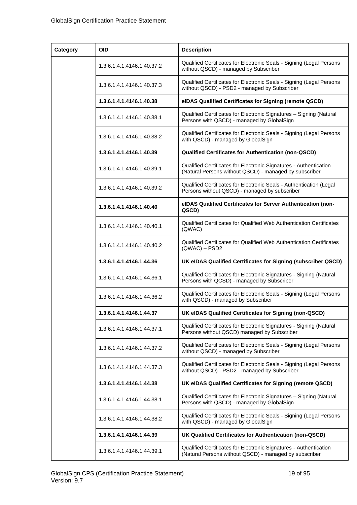| Category | <b>OID</b>                 | <b>Description</b>                                                                                                          |
|----------|----------------------------|-----------------------------------------------------------------------------------------------------------------------------|
|          | 1.3.6.1.4.1.4146.1.40.37.2 | Qualified Certificates for Electronic Seals - Signing (Legal Persons<br>without QSCD) - managed by Subscriber               |
|          | 1.3.6.1.4.1.4146.1.40.37.3 | Qualified Certificates for Electronic Seals - Signing (Legal Persons<br>without QSCD) - PSD2 - managed by Subscriber        |
|          | 1.3.6.1.4.1.4146.1.40.38   | elDAS Qualified Certificates for Signing (remote QSCD)                                                                      |
|          | 1.3.6.1.4.1.4146.1.40.38.1 | Qualified Certificates for Electronic Signatures - Signing (Natural<br>Persons with QSCD) - managed by GlobalSign           |
|          | 1.3.6.1.4.1.4146.1.40.38.2 | Qualified Certificates for Electronic Seals - Signing (Legal Persons<br>with QSCD) - managed by GlobalSign                  |
|          | 1.3.6.1.4.1.4146.1.40.39   | <b>Qualified Certificates for Authentication (non-QSCD)</b>                                                                 |
|          | 1.3.6.1.4.1.4146.1.40.39.1 | Qualified Certificates for Electronic Signatures - Authentication<br>(Natural Persons without QSCD) - managed by subscriber |
|          | 1.3.6.1.4.1.4146.1.40.39.2 | Qualified Certificates for Electronic Seals - Authentication (Legal<br>Persons without QSCD) - managed by subscriber        |
|          | 1.3.6.1.4.1.4146.1.40.40   | eIDAS Qualified Certificates for Server Authentication (non-<br>QSCD)                                                       |
|          | 1.3.6.1.4.1.4146.1.40.40.1 | Qualified Certificates for Qualified Web Authentication Certificates<br>(QWAC)                                              |
|          | 1.3.6.1.4.1.4146.1.40.40.2 | Qualified Certificates for Qualified Web Authentication Certificates<br>$(QWAC) - PSD2$                                     |
|          | 1.3.6.1.4.1.4146.1.44.36   | UK eIDAS Qualified Certificates for Signing (subscriber QSCD)                                                               |
|          | 1.3.6.1.4.1.4146.1.44.36.1 | Qualified Certificates for Electronic Signatures - Signing (Natural<br>Persons with QCSD) - managed by Subscriber           |
|          | 1.3.6.1.4.1.4146.1.44.36.2 | Qualified Certificates for Electronic Seals - Signing (Legal Persons<br>with QSCD) - managed by Subscriber                  |
|          | 1.3.6.1.4.1.4146.1.44.37   | UK eIDAS Qualified Certificates for Signing (non-QSCD)                                                                      |
|          | 1.3.6.1.4.1.4146.1.44.37.1 | Qualified Certificates for Electronic Signatures - Signing (Natural<br>Persons without QSCD) managed by Subscriber          |
|          | 1.3.6.1.4.1.4146.1.44.37.2 | Qualified Certificates for Electronic Seals - Signing (Legal Persons<br>without QSCD) - managed by Subscriber               |
|          | 1.3.6.1.4.1.4146.1.44.37.3 | Qualified Certificates for Electronic Seals - Signing (Legal Persons<br>without QSCD) - PSD2 - managed by Subscriber        |
|          | 1.3.6.1.4.1.4146.1.44.38   | UK eIDAS Qualified Certificates for Signing (remote QSCD)                                                                   |
|          | 1.3.6.1.4.1.4146.1.44.38.1 | Qualified Certificates for Electronic Signatures - Signing (Natural<br>Persons with QSCD) - managed by GlobalSign           |
|          | 1.3.6.1.4.1.4146.1.44.38.2 | Qualified Certificates for Electronic Seals - Signing (Legal Persons<br>with QSCD) - managed by GlobalSign                  |
|          | 1.3.6.1.4.1.4146.1.44.39   | UK Qualified Certificates for Authentication (non-QSCD)                                                                     |
|          | 1.3.6.1.4.1.4146.1.44.39.1 | Qualified Certificates for Electronic Signatures - Authentication<br>(Natural Persons without QSCD) - managed by subscriber |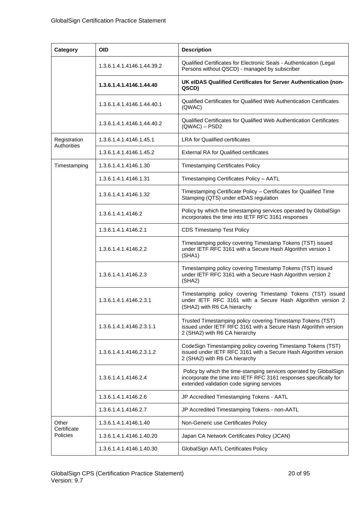| Category                         | <b>OID</b>                 | <b>Description</b>                                                                                                                                                                   |
|----------------------------------|----------------------------|--------------------------------------------------------------------------------------------------------------------------------------------------------------------------------------|
|                                  | 1.3.6.1.4.1.4146.1.44.39.2 | Qualified Certificates for Electronic Seals - Authentication (Legal<br>Persons without QSCD) - managed by subscriber                                                                 |
|                                  | 1.3.6.1.4.1.4146.1.44.40   | UK eIDAS Qualified Certificates for Server Authentication (non-<br>QSCD)                                                                                                             |
|                                  | 1.3.6.1.4.1.4146.1.44.40.1 | Qualified Certificates for Qualified Web Authentication Certificates<br>(QWAC)                                                                                                       |
|                                  | 1.3.6.1.4.1.4146.1.44.40.2 | Qualified Certificates for Qualified Web Authentication Certificates<br>$(QWAC) - PSD2$                                                                                              |
| Registration                     | 1.3.6.1.4.1.4146.1.45.1    | <b>LRA for Qualified certificates</b>                                                                                                                                                |
| Authorities                      | 1.3.6.1.4.1.4146.1.45.2    | <b>External RA for Qualified certificates</b>                                                                                                                                        |
| Timestamping                     | 1.3.6.1.4.1.4146.1.30      | <b>Timestamping Certificates Policy</b>                                                                                                                                              |
|                                  | 1.3.6.1.4.1.4146.1.31      | Timestamping Certificates Policy - AATL                                                                                                                                              |
|                                  | 1.3.6.1.4.1.4146.1.32      | Timestamping Certificate Policy - Certificates for Qualified Time<br>Stamping (QTS) under eIDAS regulation                                                                           |
|                                  | 1.3.6.1.4.1.4146.2         | Policy by which the timestamping services operated by GlobalSign<br>incorporates the time into IETF RFC 3161 responses                                                               |
|                                  | 1.3.6.1.4.1.4146.2.1       | <b>CDS Timestamp Test Policy</b>                                                                                                                                                     |
|                                  | 1.3.6.1.4.1.4146.2.2       | Timestamping policy covering Timestamp Tokens (TST) issued<br>under IETF RFC 3161 with a Secure Hash Algorithm version 1<br>(SHA1)                                                   |
|                                  | 1.3.6.1.4.1.4146.2.3       | Timestamping policy covering Timestamp Tokens (TST) issued<br>under IETF RFC 3161 with a Secure Hash Algorithm version 2<br>(SHA2)                                                   |
|                                  | 1.3.6.1.4.1.4146.2.3.1     | Timestamping policy covering Timestamp Tokens (TST) issued<br>under IETF RFC 3161 with a Secure Hash Algorithm version 2<br>(SHA2) with R6 CA hierarchy                              |
|                                  | 1.3.6.1.4.1.4146.2.3.1.1   | Trusted Timestamping policy covering Timestamp Tokens (TST)<br>issued under IETF RFC 3161 with a Secure Hash Algorithm version<br>2 (SHA2) with R6 CA hierarchy                      |
|                                  | 1.3.6.1.4.1.4146.2.3.1.2   | CodeSign Timestamping policy covering Timestamp Tokens (TST)<br>issued under IETF RFC 3161 with a Secure Hash Algorithm version<br>2 (SHA2) with R6 CA hierarchy                     |
|                                  | 1.3.6.1.4.1.4146.2.4       | Policy by which the time-stamping services operated by GlobalSign<br>incorporate the time into IETF RFC 3161 responses specifically for<br>extended validation code signing services |
|                                  | 1.3.6.1.4.1.4146.2.6       | JP Accredited Timestamping Tokens - AATL                                                                                                                                             |
|                                  | 1.3.6.1.4.1.4146.2.7       | JP Accredited Timestamping Tokens - non-AATL                                                                                                                                         |
| Other<br>Certificate<br>Policies | 1.3.6.1.4.1.4146.1.40      | Non-Generic use Certificates Policy                                                                                                                                                  |
|                                  | 1.3.6.1.4.1.4146.1.40.20   | Japan CA Network Certificates Policy (JCAN)                                                                                                                                          |
|                                  | 1.3.6.1.4.1.4146.1.40.30   | GlobalSign AATL Certificates Policy                                                                                                                                                  |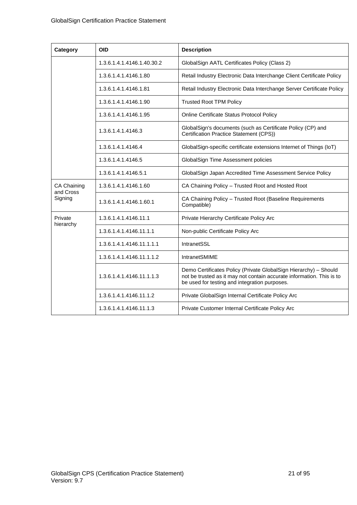| Category             | <b>OID</b>                 | <b>Description</b>                                                                                                                                                                         |
|----------------------|----------------------------|--------------------------------------------------------------------------------------------------------------------------------------------------------------------------------------------|
|                      | 1.3.6.1.4.1.4146.1.40.30.2 | GlobalSign AATL Certificates Policy (Class 2)                                                                                                                                              |
|                      | 1.3.6.1.4.1.4146.1.80      | Retail Industry Electronic Data Interchange Client Certificate Policy                                                                                                                      |
|                      | 1.3.6.1.4.1.4146.1.81      | Retail Industry Electronic Data Interchange Server Certificate Policy                                                                                                                      |
|                      | 1.3.6.1.4.1.4146.1.90      | <b>Trusted Root TPM Policy</b>                                                                                                                                                             |
|                      | 1.3.6.1.4.1.4146.1.95      | Online Certificate Status Protocol Policy                                                                                                                                                  |
|                      | 1.3.6.1.4.1.4146.3         | GlobalSign's documents (such as Certificate Policy (CP) and<br>Certification Practice Statement (CPS))                                                                                     |
|                      | 1.3.6.1.4.1.4146.4         | GlobalSign-specific certificate extensions Internet of Things (IoT)                                                                                                                        |
|                      | 1.3.6.1.4.1.4146.5         | GlobalSign Time Assessment policies                                                                                                                                                        |
|                      | 1.3.6.1.4.1.4146.5.1       | GlobalSign Japan Accredited Time Assessment Service Policy                                                                                                                                 |
| CA Chaining          | 1.3.6.1.4.1.4146.1.60      | CA Chaining Policy - Trusted Root and Hosted Root                                                                                                                                          |
| and Cross<br>Signing | 1.3.6.1.4.1.4146.1.60.1    | CA Chaining Policy - Trusted Root (Baseline Requirements<br>Compatible)                                                                                                                    |
| Private<br>hierarchy | 1.3.6.1.4.1.4146.11.1      | Private Hierarchy Certificate Policy Arc                                                                                                                                                   |
|                      | 1.3.6.1.4.1.4146.11.1.1    | Non-public Certificate Policy Arc                                                                                                                                                          |
|                      | 1.3.6.1.4.1.4146.11.1.1.1  | IntranetSSL                                                                                                                                                                                |
|                      | 1.3.6.1.4.1.4146.11.1.1.2  | <b>IntranetSMIME</b>                                                                                                                                                                       |
|                      | 1.3.6.1.4.1.4146.11.1.1.3  | Demo Certificates Policy (Private GlobalSign Hierarchy) - Should<br>not be trusted as it may not contain accurate information. This is to<br>be used for testing and integration purposes. |
|                      | 1.3.6.1.4.1.4146.11.1.2    | Private GlobalSign Internal Certificate Policy Arc                                                                                                                                         |
|                      | 1.3.6.1.4.1.4146.11.1.3    | Private Customer Internal Certificate Policy Arc                                                                                                                                           |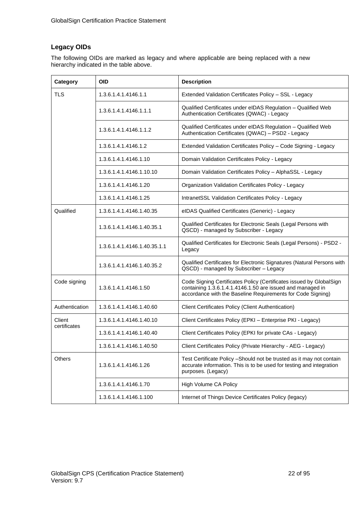# **Legacy OIDs**

The following OIDs are marked as legacy and where applicable are being replaced with a new hierarchy indicated in the table above.

| Category               | <b>OID</b>                   | <b>Description</b>                                                                                                                                                                               |
|------------------------|------------------------------|--------------------------------------------------------------------------------------------------------------------------------------------------------------------------------------------------|
| <b>TLS</b>             | 1.3.6.1.4.1.4146.1.1         | Extended Validation Certificates Policy - SSL - Legacy                                                                                                                                           |
|                        | 1.3.6.1.4.1.4146.1.1.1       | Qualified Certificates under eIDAS Regulation - Qualified Web<br>Authentication Certificates (QWAC) - Legacy                                                                                     |
|                        | 1.3.6.1.4.1.4146.1.1.2       | Qualified Certificates under eIDAS Regulation - Qualified Web<br>Authentication Certificates (QWAC) - PSD2 - Legacy                                                                              |
|                        | 1.3.6.1.4.1.4146.1.2         | Extended Validation Certificates Policy - Code Signing - Legacy                                                                                                                                  |
|                        | 1.3.6.1.4.1.4146.1.10        | Domain Validation Certificates Policy - Legacy                                                                                                                                                   |
|                        | 1.3.6.1.4.1.4146.1.10.10     | Domain Validation Certificates Policy - AlphaSSL - Legacy                                                                                                                                        |
|                        | 1.3.6.1.4.1.4146.1.20        | <b>Organization Validation Certificates Policy - Legacy</b>                                                                                                                                      |
|                        | 1.3.6.1.4.1.4146.1.25        | IntranetSSL Validation Certificates Policy - Legacy                                                                                                                                              |
| Qualified              | 1.3.6.1.4.1.4146.1.40.35     | eIDAS Qualified Certificates (Generic) - Legacy                                                                                                                                                  |
|                        | 1.3.6.1.4.1.4146.1.40.35.1   | Qualified Certificates for Electronic Seals (Legal Persons with<br>QSCD) - managed by Subscriber - Legacy                                                                                        |
|                        | 1.3.6.1.4.1.4146.1.40.35.1.1 | Qualified Certificates for Electronic Seals (Legal Persons) - PSD2 -<br>Legacy                                                                                                                   |
|                        | 1.3.6.1.4.1.4146.1.40.35.2   | Qualified Certificates for Electronic Signatures (Natural Persons with<br>QSCD) - managed by Subscriber - Legacy                                                                                 |
| Code signing           | 1.3.6.1.4.1.4146.1.50        | Code Signing Certificates Policy (Certificates issued by GlobalSign<br>containing 1.3.6.1.4.1.4146.1.50 are issued and managed in<br>accordance with the Baseline Requirements for Code Signing) |
| Authentication         | 1.3.6.1.4.1.4146.1.40.60     | <b>Client Certificates Policy (Client Authentication)</b>                                                                                                                                        |
| Client<br>certificates | 1.3.6.1.4.1.4146.1.40.10     | Client Certificates Policy (EPKI - Enterprise PKI - Legacy)                                                                                                                                      |
|                        | 1.3.6.1.4.1.4146.1.40.40     | Client Certificates Policy (EPKI for private CAs - Legacy)                                                                                                                                       |
|                        | 1.3.6.1.4.1.4146.1.40.50     | Client Certificates Policy (Private Hierarchy - AEG - Legacy)                                                                                                                                    |
| <b>Others</b>          | 1.3.6.1.4.1.4146.1.26        | Test Certificate Policy - Should not be trusted as it may not contain<br>accurate information. This is to be used for testing and integration<br>purposes. (Legacy)                              |
|                        | 1.3.6.1.4.1.4146.1.70        | High Volume CA Policy                                                                                                                                                                            |
|                        | 1.3.6.1.4.1.4146.1.100       | Internet of Things Device Certificates Policy (legacy)                                                                                                                                           |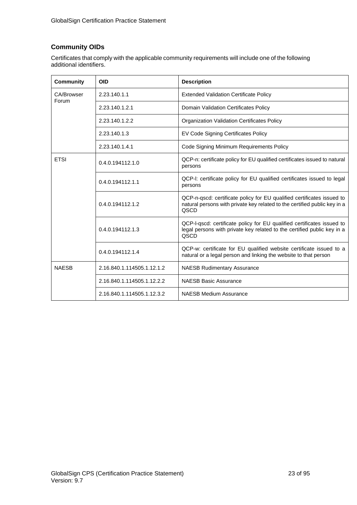# **Community OIDs**

Certificates that comply with the applicable community requirements will include one of the following additional identifiers.

| <b>Community</b>    | <b>OID</b>                 | <b>Description</b>                                                                                                                                                 |
|---------------------|----------------------------|--------------------------------------------------------------------------------------------------------------------------------------------------------------------|
| CA/Browser<br>Forum | 2.23.140.1.1               | <b>Extended Validation Certificate Policy</b>                                                                                                                      |
|                     | 2.23.140.1.2.1             | Domain Validation Certificates Policy                                                                                                                              |
|                     | 2.23.140.1.2.2             | <b>Organization Validation Certificates Policy</b>                                                                                                                 |
|                     | 2.23.140.1.3               | EV Code Signing Certificates Policy                                                                                                                                |
|                     | 2.23.140.1.4.1             | Code Signing Minimum Requirements Policy                                                                                                                           |
| <b>ETSI</b>         | 0.4.0.194112.1.0           | QCP-n: certificate policy for EU qualified certificates issued to natural<br>persons                                                                               |
|                     | 0.4.0.194112.1.1           | QCP-I: certificate policy for EU qualified certificates issued to legal<br>persons                                                                                 |
|                     | 0.4.0.194112.1.2           | QCP-n-qscd: certificate policy for EU qualified certificates issued to<br>natural persons with private key related to the certified public key in a<br><b>QSCD</b> |
|                     | 0.4.0.194112.1.3           | QCP-I-qscd: certificate policy for EU qualified certificates issued to<br>legal persons with private key related to the certified public key in a<br><b>QSCD</b>   |
|                     | 0.4.0.194112.1.4           | QCP-w: certificate for EU qualified website certificate issued to a<br>natural or a legal person and linking the website to that person                            |
| <b>NAFSB</b>        | 2.16.840.1.114505.1.12.1.2 | <b>NAESB Rudimentary Assurance</b>                                                                                                                                 |
|                     | 2.16.840.1.114505.1.12.2.2 | <b>NAESB Basic Assurance</b>                                                                                                                                       |
|                     | 2.16.840.1.114505.1.12.3.2 | <b>NAESB Medium Assurance</b>                                                                                                                                      |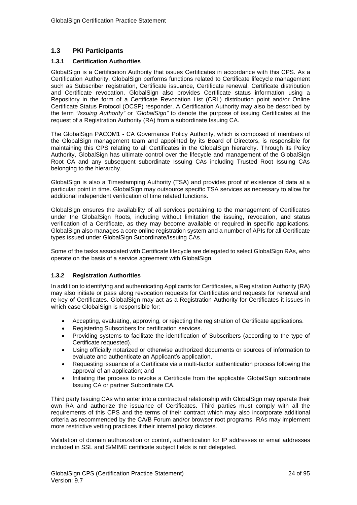### <span id="page-23-0"></span>**1.3 PKI Participants**

#### <span id="page-23-1"></span>**1.3.1 Certification Authorities**

GlobalSign is a Certification Authority that issues Certificates in accordance with this CPS. As a Certification Authority, GlobalSign performs functions related to Certificate lifecycle management such as Subscriber registration, Certificate issuance, Certificate renewal, Certificate distribution and Certificate revocation. GlobalSign also provides Certificate status information using a Repository in the form of a Certificate Revocation List (CRL) distribution point and/or Online Certificate Status Protocol (OCSP) responder. A Certification Authority may also be described by the term *"Issuing Authority"* or *"GlobalSign"* to denote the purpose of issuing Certificates at the request of a Registration Authority (RA) from a subordinate Issuing CA.

The GlobalSign PACOM1 - CA Governance Policy Authority, which is composed of members of the GlobalSign management team and appointed by its Board of Directors, is responsible for maintaining this CPS relating to all Certificates in the GlobalSign hierarchy. Through its Policy Authority, GlobalSign has ultimate control over the lifecycle and management of the GlobalSign Root CA and any subsequent subordinate Issuing CAs including Trusted Root Issuing CAs belonging to the hierarchy.

GlobalSign is also a Timestamping Authority (TSA) and provides proof of existence of data at a particular point in time. GlobalSign may outsource specific TSA services as necessary to allow for additional independent verification of time related functions.

GlobalSign ensures the availability of all services pertaining to the management of Certificates under the GlobalSign Roots, including without limitation the issuing, revocation, and status verification of a Certificate, as they may become available or required in specific applications. GlobalSign also manages a core online registration system and a number of APIs for all Certificate types issued under GlobalSign Subordinate/Issuing CAs.

Some of the tasks associated with Certificate lifecycle are delegated to select GlobalSign RAs, who operate on the basis of a service agreement with GlobalSign.

#### <span id="page-23-2"></span>**1.3.2 Registration Authorities**

In addition to identifying and authenticating Applicants for Certificates, a Registration Authority (RA) may also initiate or pass along revocation requests for Certificates and requests for renewal and re-key of Certificates. GlobalSign may act as a Registration Authority for Certificates it issues in which case GlobalSign is responsible for:

- Accepting, evaluating, approving, or rejecting the registration of Certificate applications.
- Registering Subscribers for certification services.
- Providing systems to facilitate the identification of Subscribers (according to the type of Certificate requested).
- Using officially notarized or otherwise authorized documents or sources of information to evaluate and authenticate an Applicant's application.
- Requesting issuance of a Certificate via a multi-factor authentication process following the approval of an application; and
- Initiating the process to revoke a Certificate from the applicable GlobalSign subordinate Issuing CA or partner Subordinate CA.

Third party Issuing CAs who enter into a contractual relationship with GlobalSign may operate their own RA and authorize the issuance of Certificates. Third parties must comply with all the requirements of this CPS and the terms of their contract which may also incorporate additional criteria as recommended by the CA/B Forum and/or browser root programs. RAs may implement more restrictive vetting practices if their internal policy dictates.

Validation of domain authorization or control, authentication for IP addresses or email addresses included in SSL and S/MIME certificate subject fields is not delegated.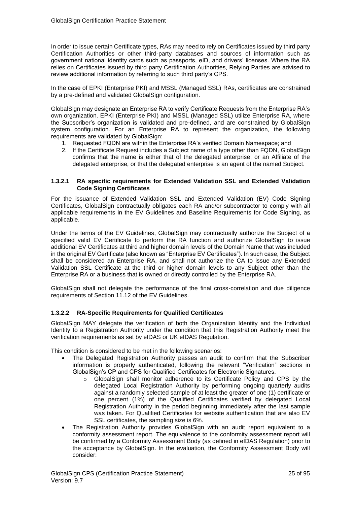In order to issue certain Certificate types, RAs may need to rely on Certificates issued by third party Certification Authorities or other third-party databases and sources of information such as government national identity cards such as passports, eID, and drivers' licenses. Where the RA relies on Certificates issued by third party Certification Authorities, Relying Parties are advised to review additional information by referring to such third party's CPS.

In the case of EPKI (Enterprise PKI) and MSSL (Managed SSL) RAs, certificates are constrained by a pre-defined and validated GlobalSign configuration.

GlobalSign may designate an Enterprise RA to verify Certificate Requests from the Enterprise RA's own organization. EPKI (Enterprise PKI) and MSSL (Managed SSL) utilize Enterprise RA, where the Subscriber's organization is validated and pre-defined, and are constrained by GlobalSign system configuration. For an Enterprise RA to represent the organization, the following requirements are validated by GlobalSign:

- 1. Requested FQDN are within the Enterprise RA's verified Domain Namespace; and
- 2. If the Certificate Request includes a Subject name of a type other than FQDN, GlobalSign confirms that the name is either that of the delegated enterprise, or an Affiliate of the delegated enterprise, or that the delegated enterprise is an agent of the named Subject.

#### **1.3.2.1 RA specific requirements for Extended Validation SSL and Extended Validation Code Signing Certificates**

For the issuance of Extended Validation SSL and Extended Validation (EV) Code Signing Certificates, GlobalSign contractually obligates each RA and/or subcontractor to comply with all applicable requirements in the [EV Guidelines](http://www.cabforum.org/) and Baseline Requirements for Code Signing, as applicable.

Under the terms of the EV Guidelines, GlobalSign may contractually authorize the Subject of a specified valid EV Certificate to perform the RA function and authorize GlobalSign to issue additional EV Certificates at third and higher domain levels of the Domain Name that was included in the original EV Certificate (also known as "Enterprise EV Certificates"). In such case, the Subject shall be considered an Enterprise RA, and shall not authorize the CA to issue any Extended Validation SSL Certificate at the third or higher domain levels to any Subject other than the Enterprise RA or a business that is owned or directly controlled by the Enterprise RA.

GlobalSign shall not delegate the performance of the final cross-correlation and due diligence requirements of Section 11.12 of the EV Guidelines.

#### **1.3.2.2 RA-Specific Requirements for Qualified Certificates**

GlobalSign MAY delegate the verification of both the Organization Identity and the Individual Identity to a Registration Authority under the condition that this Registration Authority meet the verification requirements as set by eIDAS or UK eIDAS Regulation.

This condition is considered to be met in the following scenarios:

- The Delegated Registration Authority passes an audit to confirm that the Subscriber information is properly authenticated, following the relevant "Verification" sections in GlobalSign's CP and CPS for Qualified Certificates for Electronic Signatures.
	- o GlobalSign shall monitor adherence to its Certificate Policy and CPS by the delegated Local Registration Authority by performing ongoing quarterly audits against a randomly selected sample of at least the greater of one (1) certificate or one percent (1%) of the Qualified Certificates verified by delegated Local Registration Authority in the period beginning immediately after the last sample was taken. For Qualified Certificates for website authentication that are also EV SSL certificates, the sampling size is 6%.
- The Registration Authority provides GlobalSign with an audit report equivalent to a conformity assessment report. The equivalence to the conformity assessment report will be confirmed by a Conformity Assessment Body (as defined in eIDAS Regulation) prior to the acceptance by GlobalSign. In the evaluation, the Conformity Assessment Body will consider: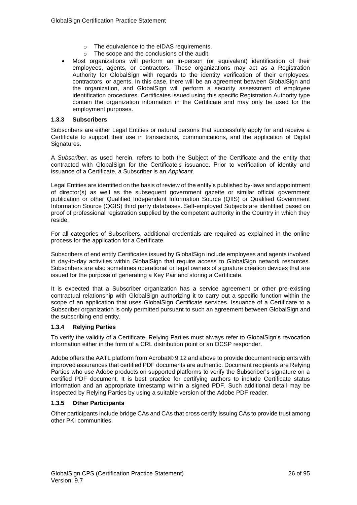- o The equivalence to the eIDAS requirements.
- o The scope and the conclusions of the audit.
- Most organizations will perform an in-person (or equivalent) identification of their employees, agents, or contractors. These organizations may act as a Registration Authority for GlobalSign with regards to the identity verification of their employees, contractors, or agents. In this case, there will be an agreement between GlobalSign and the organization, and GlobalSign will perform a security assessment of employee identification procedures. Certificates issued using this specific Registration Authority type contain the organization information in the Certificate and may only be used for the employment purposes.

#### <span id="page-25-0"></span>**1.3.3 Subscribers**

Subscribers are either Legal Entities or natural persons that successfully apply for and receive a Certificate to support their use in transactions, communications, and the application of Digital Signatures.

A *Subscriber*, as used herein, refers to both the Subject of the Certificate and the entity that contracted with GlobalSign for the Certificate's issuance. Prior to verification of identity and issuance of a Certificate, a Subscriber is an *Applicant*.

Legal Entities are identified on the basis of review of the entity's published by-laws and appointment of director(s) as well as the subsequent government gazette or similar official government publication or other Qualified Independent Information Source (QIIS) or Qualified Government Information Source (QGIS) third party databases. Self-employed Subjects are identified based on proof of professional registration supplied by the competent authority in the Country in which they reside.

For all categories of Subscribers, additional credentials are required as explained in the online process for the application for a Certificate.

Subscribers of end entity Certificates issued by GlobalSign include employees and agents involved in day-to-day activities within GlobalSign that require access to GlobalSign network resources. Subscribers are also sometimes operational or legal owners of signature creation devices that are issued for the purpose of generating a Key Pair and storing a Certificate.

It is expected that a Subscriber organization has a service agreement or other pre-existing contractual relationship with GlobalSign authorizing it to carry out a specific function within the scope of an application that uses GlobalSign Certificate services. Issuance of a Certificate to a Subscriber organization is only permitted pursuant to such an agreement between GlobalSign and the subscribing end entity.

#### <span id="page-25-1"></span>**1.3.4 Relying Parties**

To verify the validity of a Certificate, Relying Parties must always refer to GlobalSign's revocation information either in the form of a CRL distribution point or an OCSP responder.

Adobe offers the AATL platform from Acrobat® 9.12 and above to provide document recipients with improved assurances that certified PDF documents are authentic. Document recipients are Relying Parties who use Adobe products on supported platforms to verify the Subscriber's signature on a certified PDF document. It is best practice for certifying authors to include Certificate status information and an appropriate timestamp within a signed PDF. Such additional detail may be inspected by Relying Parties by using a suitable version of the Adobe PDF reader.

#### <span id="page-25-2"></span>**1.3.5 Other Participants**

Other participants include bridge CAs and CAs that cross certify Issuing CAs to provide trust among other PKI communities.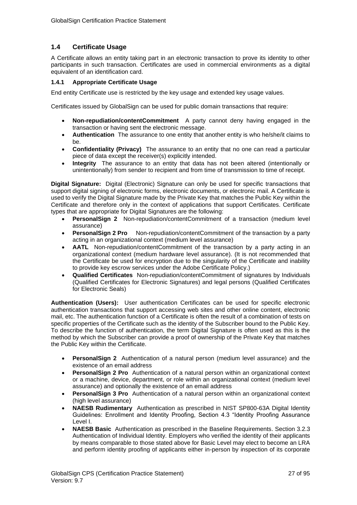## <span id="page-26-0"></span>**1.4 Certificate Usage**

A Certificate allows an entity taking part in an electronic transaction to prove its identity to other participants in such transaction. Certificates are used in commercial environments as a digital equivalent of an identification card.

#### <span id="page-26-1"></span>**1.4.1 Appropriate Certificate Usage**

End entity Certificate use is restricted by the key usage and extended key usage values.

Certificates issued by GlobalSign can be used for public domain transactions that require:

- **Non-repudiation/contentCommitment** A party cannot deny having engaged in the transaction or having sent the electronic message.
- **Authentication** The assurance to one entity that another entity is who he/she/it claims to be.
- **Confidentiality (Privacy)** The assurance to an entity that no one can read a particular piece of data except the receiver(s) explicitly intended.
- **Integrity** The assurance to an entity that data has not been altered (intentionally or unintentionally) from sender to recipient and from time of transmission to time of receipt.

**Digital Signature:** Digital (Electronic) Signature can only be used for specific transactions that support digital signing of electronic forms, electronic documents, or electronic mail. A Certificate is used to verify the Digital Signature made by the Private Key that matches the Public Key within the Certificate and therefore only in the context of applications that support Certificates. Certificate types that are appropriate for Digital Signatures are the following:

- **PersonalSign 2** Non-repudiation/contentCommitment of a transaction (medium level assurance)
- **PersonalSign 2 Pro** Non-repudiation/contentCommitment of the transaction by a party acting in an organizational context (medium level assurance)
- **AATL** Non-repudiation/contentCommitment of the transaction by a party acting in an organizational context (medium hardware level assurance). (It is not recommended that the Certificate be used for encryption due to the singularity of the Certificate and inability to provide key escrow services under the Adobe Certificate Policy.)
- **Qualified Certificates** Non-repudiation/contentCommitment of signatures by Individuals (Qualified Certificates for Electronic Signatures) and legal persons (Qualified Certificates for Electronic Seals)

**Authentication (Users):** User authentication Certificates can be used for specific electronic authentication transactions that support accessing web sites and other online content, electronic mail, etc. The authentication function of a Certificate is often the result of a combination of tests on specific properties of the Certificate such as the identity of the Subscriber bound to the Public Key. To describe the function of authentication, the term Digital Signature is often used as this is the method by which the Subscriber can provide a proof of ownership of the Private Key that matches the Public Key within the Certificate.

- **PersonalSign 2** Authentication of a natural person (medium level assurance) and the existence of an email address
- **PersonalSign 2 Pro** Authentication of a natural person within an organizational context or a machine, device, department, or role within an organizational context (medium level assurance) and optionally the existence of an email address
- **PersonalSign 3 Pro** Authentication of a natural person within an organizational context (high level assurance)
- **NAESB Rudimentary** Authentication as prescribed in NIST SP800-63A Digital Identity Guidelines: Enrollment and Identity Proofing, Section 4.3 "Identity Proofing Assurance Level I.
- **NAESB Basic** Authentication as prescribed in the Baseline Requirements. Section 3.2.3 Authentication of Individual Identity. Employers who verified the identity of their applicants by means comparable to those stated above for Basic Level may elect to become an LRA and perform identity proofing of applicants either in-person by inspection of its corporate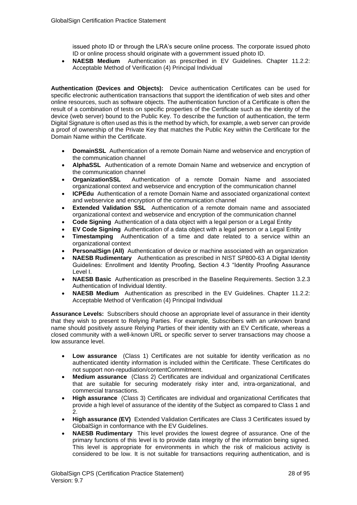issued photo ID or through the LRA's secure online process. The corporate issued photo ID or online process should originate with a government issued photo ID.

• **NAESB Medium** Authentication as prescribed in EV Guidelines. Chapter 11.2.2: Acceptable Method of Verification (4) Principal Individual

**Authentication (Devices and Objects):** Device authentication Certificates can be used for specific electronic authentication transactions that support the identification of web sites and other online resources, such as software objects. The authentication function of a Certificate is often the result of a combination of tests on specific properties of the Certificate such as the identity of the device (web server) bound to the Public Key. To describe the function of authentication, the term Digital Signature is often used as this is the method by which, for example, a web server can provide a proof of ownership of the Private Key that matches the Public Key within the Certificate for the Domain Name within the Certificate.

- **DomainSSL** Authentication of a remote Domain Name and webservice and encryption of the communication channel
- **AlphaSSL** Authentication of a remote Domain Name and webservice and encryption of the communication channel
- **OrganizationSSL** Authentication of a remote Domain Name and associated organizational context and webservice and encryption of the communication channel
- **ICPEdu** Authentication of a remote Domain Name and associated organizational context and webservice and encryption of the communication channel
- **Extended Validation SSL** Authentication of a remote domain name and associated organizational context and webservice and encryption of the communication channel
- **Code Signing** Authentication of a data object with a legal person or a Legal Entity
- **EV Code Signing** Authentication of a data object with a legal person or a Legal Entity
- **Timestamping** Authentication of a time and date related to a service within an organizational context
- **PersonalSign (All)** Authentication of device or machine associated with an organization
- **NAESB Rudimentary** Authentication as prescribed in NIST SP800-63 A Digital Identity Guidelines: Enrollment and Identity Proofing, Section 4.3 "Identity Proofing Assurance Level I.
- **NAESB Basic** Authentication as prescribed in the Baseline Requirements. Section 3.2.3 Authentication of Individual Identity.
- **NAESB Medium** Authentication as prescribed in the EV Guidelines. Chapter 11.2.2: Acceptable Method of Verification (4) Principal Individual

**Assurance Levels:** Subscribers should choose an appropriate level of assurance in their identity that they wish to present to Relying Parties. For example, Subscribers with an unknown brand name should positively assure Relying Parties of their identity with an EV Certificate, whereas a closed community with a well-known URL or specific server to server transactions may choose a low assurance level.

- **Low assurance** (Class 1) Certificates are not suitable for identity verification as no authenticated identity information is included within the Certificate. These Certificates do not support non-repudiation/contentCommitment.
- **Medium assurance** (Class 2) Certificates are individual and organizational Certificates that are suitable for securing moderately risky inter and, intra-organizational, and commercial transactions.
- **High assurance** (Class 3) Certificates are individual and organizational Certificates that provide a high level of assurance of the identity of the Subject as compared to Class 1 and 2.
- **High assurance (EV)** Extended Validation Certificates are Class 3 Certificates issued by GlobalSign in conformance with the EV Guidelines.
- **NAESB Rudimentary** This level provides the lowest degree of assurance. One of the primary functions of this level is to provide data integrity of the information being signed. This level is appropriate for environments in which the risk of malicious activity is considered to be low. It is not suitable for transactions requiring authentication, and is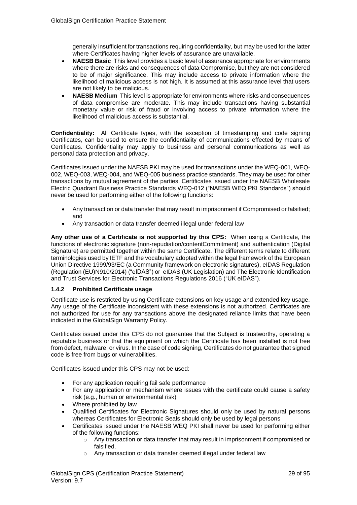generally insufficient for transactions requiring confidentiality, but may be used for the latter where Certificates having higher levels of assurance are unavailable.

- **NAESB Basic** This level provides a basic level of assurance appropriate for environments where there are risks and consequences of data Compromise, but they are not considered to be of major significance. This may include access to private information where the likelihood of malicious access is not high. It is assumed at this assurance level that users are not likely to be malicious.
- **NAESB Medium** This level is appropriate for environments where risks and consequences of data compromise are moderate. This may include transactions having substantial monetary value or risk of fraud or involving access to private information where the likelihood of malicious access is substantial.

**Confidentiality:** All Certificate types, with the exception of timestamping and code signing Certificates, can be used to ensure the confidentiality of communications effected by means of Certificates. Confidentiality may apply to business and personal communications as well as personal data protection and privacy.

Certificates issued under the NAESB PKI may be used for transactions under the WEQ-001, WEQ-002, WEQ-003, WEQ-004, and WEQ-005 business practice standards. They may be used for other transactions by mutual agreement of the parties. Certificates issued under the NAESB Wholesale Electric Quadrant Business Practice Standards WEQ-012 ("NAESB WEQ PKI Standards") should never be used for performing either of the following functions:

- Any transaction or data transfer that may result in imprisonment if Compromised or falsified; and
- Any transaction or data transfer deemed illegal under federal law

**Any other use of a Certificate is not supported by this CPS:** When using a Certificate, the functions of electronic signature (non-repudiation/contentCommitment) and authentication (Digital Signature) are permitted together within the same Certificate. The different terms relate to different terminologies used by IETF and the vocabulary adopted within the legal framework of the European Union Directive 1999/93/EC (a Community framework on electronic signatures), eIDAS Regulation (Regulation (EU)N910/2014) ("eIDAS") or eIDAS (UK Legislation) and The Electronic Identification and Trust Services for Electronic Transactions Regulations 2016 ("UK eIDAS").

#### <span id="page-28-0"></span>**1.4.2 Prohibited Certificate usage**

Certificate use is restricted by using Certificate extensions on key usage and extended key usage. Any usage of the Certificate inconsistent with these extensions is not authorized. Certificates are not authorized for use for any transactions above the designated reliance limits that have been indicated in the GlobalSign Warranty Policy.

Certificates issued under this CPS do not guarantee that the Subject is trustworthy, operating a reputable business or that the equipment on which the Certificate has been installed is not free from defect, malware, or virus. In the case of code signing, Certificates do not guarantee that signed code is free from bugs or vulnerabilities.

Certificates issued under this CPS may not be used:

- For any application requiring fail safe performance
- For any application or mechanism where issues with the certificate could cause a safety risk (e.g., human or environmental risk)
- Where prohibited by law
- Qualified Certificates for Electronic Signatures should only be used by natural persons whereas Certificates for Electronic Seals should only be used by legal persons
- Certificates issued under the NAESB WEQ PKI shall never be used for performing either of the following functions:
	- $\circ$  Any transaction or data transfer that may result in imprisonment if compromised or falsified.
	- o Any transaction or data transfer deemed illegal under federal law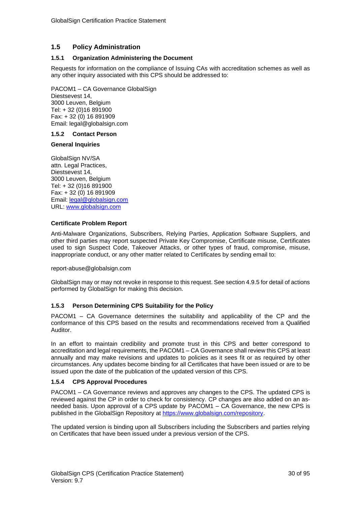#### <span id="page-29-0"></span>**1.5 Policy Administration**

#### <span id="page-29-1"></span>**1.5.1 Organization Administering the Document**

Requests for information on the compliance of Issuing CAs with accreditation schemes as well as any other inquiry associated with this CPS should be addressed to:

PACOM1 – CA Governance GlobalSign Diestsevest 14, 3000 Leuven, Belgium Tel: + 32 (0)16 891900 Fax: + 32 (0) 16 891909 Email: legal@globalsign.com

#### <span id="page-29-2"></span>**1.5.2 Contact Person**

#### **General Inquiries**

GlobalSign NV/SA attn. Legal Practices, Diestsevest 14, 3000 Leuven, Belgium Tel: + 32 (0)16 891900 Fax: + 32 (0) 16 891909 Email: [legal@globalsign.com](mailto:legal@globalsign.com) URL: [www.globalsign.com](http://www.globalsign.com/)

#### **Certificate Problem Report**

Anti-Malware Organizations, Subscribers, Relying Parties, Application Software Suppliers, and other third parties may report suspected Private Key Compromise, Certificate misuse, Certificates used to sign Suspect Code, Takeover Attacks, or other types of fraud, compromise, misuse, inappropriate conduct, or any other matter related to Certificates by sending email to:

#### [report-abuse@globalsign.com](mailto:report-abuse@globalsign.com)

GlobalSign may or may not revoke in response to this request. See section 4.9.5 for detail of actions performed by GlobalSign for making this decision.

#### <span id="page-29-3"></span>**1.5.3 Person Determining CPS Suitability for the Policy**

PACOM1 – CA Governance determines the suitability and applicability of the CP and the conformance of this CPS based on the results and recommendations received from a Qualified Auditor.

In an effort to maintain credibility and promote trust in this CPS and better correspond to accreditation and legal requirements, the PACOM1 – CA Governance shall review this CPS at least annually and may make revisions and updates to policies as it sees fit or as required by other circumstances. Any updates become binding for all Certificates that have been issued or are to be issued upon the date of the publication of the updated version of this CPS.

#### <span id="page-29-4"></span>**1.5.4 CPS Approval Procedures**

PACOM1 – CA Governance reviews and approves any changes to the CPS. The updated CPS is reviewed against the CP in order to check for consistency. CP changes are also added on an asneeded basis. Upon approval of a CPS update by PACOM1 – CA Governance, the new CPS is published in the GlobalSign Repository at [https://www.globalsign.com/repository.](https://www.globalsign.com/repository)

The updated version is binding upon all Subscribers including the Subscribers and parties relying on Certificates that have been issued under a previous version of the CPS.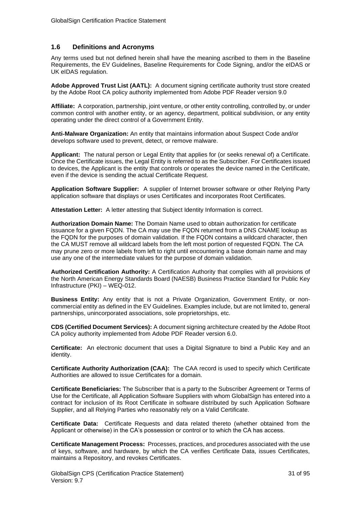#### <span id="page-30-0"></span>**1.6 Definitions and Acronyms**

Any terms used but not defined herein shall have the meaning ascribed to them in the Baseline Requirements, the EV Guidelines, Baseline Requirements for Code Signing, and/or the eIDAS or UK eIDAS regulation.

**Adobe Approved Trust List (AATL):** A document signing certificate authority trust store created by the Adobe Root CA policy authority implemented from Adobe PDF Reader version 9.0

**Affiliate:** A corporation, partnership, joint venture, or other entity controlling, controlled by, or under common control with another entity, or an agency, department, political subdivision, or any entity operating under the direct control of a Government Entity.

**Anti**‐**Malware Organization:** An entity that maintains information about Suspect Code and/or develops software used to prevent, detect, or remove malware.

**Applicant:** The natural person or Legal Entity that applies for (or seeks renewal of) a Certificate. Once the Certificate issues, the Legal Entity is referred to as the Subscriber. For Certificates issued to devices, the Applicant is the entity that controls or operates the device named in the Certificate, even if the device is sending the actual Certificate Request.

**Application Software Supplier:** A supplier of Internet browser software or other Relying Party application software that displays or uses Certificates and incorporates Root Certificates.

**Attestation Letter:** A letter attesting that Subject Identity Information is correct.

**Authorization Domain Name:** The Domain Name used to obtain authorization for certificate issuance for a given FQDN. The CA may use the FQDN returned from a DNS CNAME lookup as the FQDN for the purposes of domain validation. If the FQDN contains a wildcard character, then the CA MUST remove all wildcard labels from the left most portion of requested FQDN. The CA may prune zero or more labels from left to right until encountering a base domain name and may use any one of the intermediate values for the purpose of domain validation.

**Authorized Certification Authority:** A Certification Authority that complies with all provisions of the North American Energy Standards Board (NAESB) Business Practice Standard for Public Key Infrastructure (PKI) – WEQ-012.

**Business Entity:** Any entity that is not a Private Organization, Government Entity, or noncommercial entity as defined in the EV Guidelines. Examples include, but are not limited to, general partnerships, unincorporated associations, sole proprietorships, etc.

**CDS (Certified Document Services):** A document signing architecture created by the Adobe Root CA policy authority implemented from Adobe PDF Reader version 6.0.

**Certificate:** An electronic document that uses a Digital Signature to bind a Public Key and an identity.

**Certificate Authority Authorization (CAA):** The CAA record is used to specify which Certificate Authorities are allowed to issue Certificates for a domain.

**Certificate Beneficiaries:** The Subscriber that is a party to the Subscriber Agreement or Terms of Use for the Certificate, all Application Software Suppliers with whom GlobalSign has entered into a contract for inclusion of its Root Certificate in software distributed by such Application Software Supplier, and all Relying Parties who reasonably rely on a Valid Certificate.

**Certificate Data:** Certificate Requests and data related thereto (whether obtained from the Applicant or otherwise) in the CA's possession or control or to which the CA has access.

**Certificate Management Process:** Processes, practices, and procedures associated with the use of keys, software, and hardware, by which the CA verifies Certificate Data, issues Certificates, maintains a Repository, and revokes Certificates.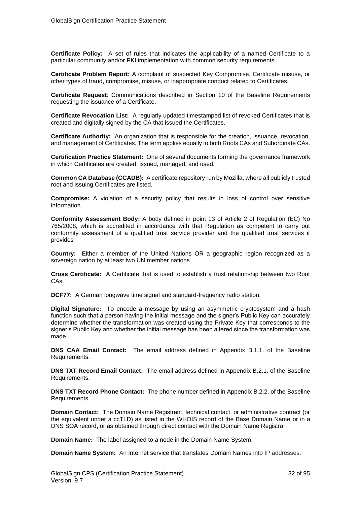**Certificate Policy:** A set of rules that indicates the applicability of a named Certificate to a particular community and/or PKI implementation with common security requirements.

**Certificate Problem Report:** A complaint of suspected Key Compromise, Certificate misuse, or other types of fraud, compromise, misuse, or inappropriate conduct related to Certificates.

**Certificate Request**: Communications described in Section 10 of the Baseline Requirements requesting the issuance of a Certificate.

**Certificate Revocation List:** A regularly updated timestamped list of revoked Certificates that is created and digitally signed by the CA that issued the Certificates.

**Certificate Authority:** An organization that is responsible for the creation, issuance, revocation, and management of Certificates. The term applies equally to both Roots CAs and Subordinate CAs.

**Certification Practice Statement:** One of several documents forming the governance framework in which Certificates are created, issued, managed, and used.

**Common CA Database (CCADB):** A certificate repository run by Mozilla, where all publicly trusted root and issuing Certificates are listed.

**Compromise:** A violation of a security policy that results in loss of control over sensitive information.

**Conformity Assessment Body:** A body defined in point 13 of Article 2 of Regulation (EC) No 765/2008, which is accredited in accordance with that Regulation as competent to carry out conformity assessment of a qualified trust service provider and the qualified trust services it provides

**Country:** Either a member of the United Nations OR a geographic region recognized as a sovereign nation by at least two UN member nations.

**Cross Certificate:** A Certificate that is used to establish a trust relationship between two Root CAs.

**DCF77:** A German longwave time signal and standard-frequency radio station.

**Digital Signature:** To encode a message by using an asymmetric cryptosystem and a hash function such that a person having the initial message and the signer's Public Key can accurately determine whether the transformation was created using the Private Key that corresponds to the signer's Public Key and whether the initial message has been altered since the transformation was made.

**DNS CAA Email Contact:** The email address defined in Appendix B.1.1. of the Baseline Requirements.

**DNS TXT Record Email Contact:** The email address defined in Appendix B.2.1. of the Baseline Requirements.

**DNS TXT Record Phone Contact:** The phone number defined in Appendix B.2.2. of the Baseline Requirements.

**Domain Contact:** The Domain Name Registrant, technical contact, or administrative contract (or the equivalent under a ccTLD) as listed in the WHOIS record of the Base Domain Name or in a DNS SOA record, or as obtained through direct contact with the Domain Name Registrar.

**Domain Name:** The label assigned to a node in the Domain Name System.

**Domain Name System:** An [Internet](http://www.webopedia.com/TERM/I/Internet.html) service that translates [Domain](http://www.webopedia.com/TERM/D/domain_name.html) Names into IP addresses.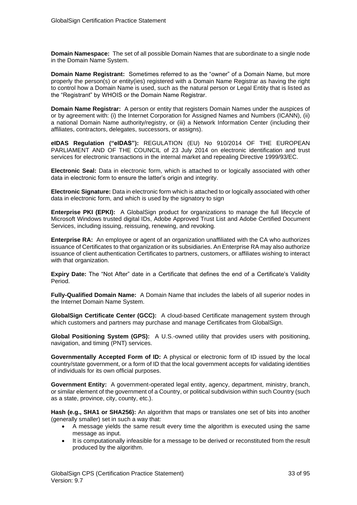**Domain Namespace:** The set of all possible Domain Names that are subordinate to a single node in the Domain Name System.

**Domain Name Registrant:** Sometimes referred to as the "owner" of a Domain Name, but more properly the person(s) or entity(ies) registered with a Domain Name Registrar as having the right to control how a Domain Name is used, such as the natural person or Legal Entity that is listed as the "Registrant" by WHOIS or the Domain Name Registrar.

**Domain Name Registrar:** A person or entity that registers Domain Names under the auspices of or by agreement with: (i) the Internet Corporation for Assigned Names and Numbers (ICANN), (ii) a national Domain Name authority/registry, or (iii) a Network Information Center (including their affiliates, contractors, delegates, successors, or assigns).

**eIDAS Regulation ("eIDAS"):** REGULATION (EU) No 910/2014 OF THE EUROPEAN PARLIAMENT AND OF THE COUNCIL of 23 July 2014 on electronic identification and trust services for electronic transactions in the internal market and repealing Directive 1999/93/EC.

**Electronic Seal:** Data in electronic form, which is attached to or logically associated with other data in electronic form to ensure the latter's origin and integrity.

**Electronic Signature:** Data in electronic form which is attached to or logically associated with other data in electronic form, and which is used by the signatory to sign

**Enterprise PKI (EPKI):** A GlobalSign product for organizations to manage the full lifecycle of Microsoft Windows trusted digital IDs, Adobe Approved Trust List and Adobe Certified Document Services, including issuing, reissuing, renewing, and revoking.

**Enterprise RA:** An employee or agent of an organization unaffiliated with the CA who authorizes issuance of Certificates to that organization or its subsidiaries. An Enterprise RA may also authorize issuance of client authentication Certificates to partners, customers, or affiliates wishing to interact with that organization.

**Expiry Date:** The "Not After" date in a Certificate that defines the end of a Certificate's Validity Period.

**Fully-Qualified Domain Name:** A Domain Name that includes the labels of all superior nodes in the Internet Domain Name System.

**GlobalSign Certificate Center (GCC):** A cloud-based Certificate management system through which customers and partners may purchase and manage Certificates from GlobalSign.

**Global Positioning System (GPS):** A U.S.-owned utility that provides users with positioning, navigation, and timing (PNT) services.

**Governmentally Accepted Form of ID:** A physical or electronic form of ID issued by the local country/state government, or a form of ID that the local government accepts for validating identities of individuals for its own official purposes.

**Government Entity:** A government-operated legal entity, agency, department, ministry, branch, or similar element of the government of a Country, or political subdivision within such Country (such as a state, province, city, county, etc.).

**Hash (e.g., SHA1 or SHA256):** An algorithm that maps or translates one set of bits into another (generally smaller) set in such a way that:

- A message yields the same result every time the algorithm is executed using the same message as input.
- It is computationally infeasible for a message to be derived or reconstituted from the result produced by the algorithm.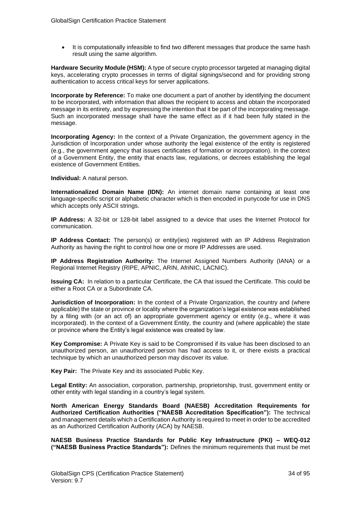• It is computationally infeasible to find two different messages that produce the same hash result using the same algorithm.

**Hardware Security Module (HSM):** A type of secure crypto processor targeted at managing digital keys, accelerating crypto processes in terms of digital signings/second and for providing strong authentication to access critical keys for server applications.

**Incorporate by Reference:** To make one document a part of another by identifying the document to be incorporated, with information that allows the recipient to access and obtain the incorporated message in its entirety, and by expressing the intention that it be part of the incorporating message. Such an incorporated message shall have the same effect as if it had been fully stated in the message.

**Incorporating Agency:** In the context of a Private Organization, the government agency in the Jurisdiction of Incorporation under whose authority the legal existence of the entity is registered (e.g., the government agency that issues certificates of formation or incorporation). In the context of a Government Entity, the entity that enacts law, regulations, or decrees establishing the legal existence of Government Entities.

**Individual:** A natural person.

**Internationalized Domain Name (IDN):** An internet domain name containing at least one language-specific script or alphabetic character which is then encoded in punycode for use in DNS which accepts only ASCII strings.

**IP Address:** A 32-bit or 128-bit label assigned to a device that uses the Internet Protocol for communication.

**IP Address Contact:** The person(s) or entity(ies) registered with an IP Address Registration Authority as having the right to control how one or more IP Addresses are used.

**IP Address Registration Authority:** The Internet Assigned Numbers Authority (IANA) or a Regional Internet Registry (RIPE, APNIC, ARIN, AfriNIC, LACNIC).

**Issuing CA:** In relation to a particular Certificate, the CA that issued the Certificate. This could be either a Root CA or a Subordinate CA.

**Jurisdiction of Incorporation:** In the context of a Private Organization, the country and (where applicable) the state or province or locality where the organization's legal existence was established by a filing with (or an act of) an appropriate government agency or entity (e.g., where it was incorporated). In the context of a Government Entity, the country and (where applicable) the state or province where the Entity's legal existence was created by law.

**Key Compromise:** A Private Key is said to be Compromised if its value has been disclosed to an unauthorized person, an unauthorized person has had access to it, or there exists a practical technique by which an unauthorized person may discover its value.

**Key Pair:** The Private Key and its associated Public Key.

**Legal Entity:** An association, corporation, partnership, proprietorship, trust, government entity or other entity with legal standing in a country's legal system.

**North American Energy Standards Board (NAESB) Accreditation Requirements for Authorized Certification Authorities ("NAESB Accreditation Specification"):** The technical and management details which a Certification Authority is required to meet in order to be accredited as an Authorized Certification Authority (ACA) by NAESB.

**NAESB Business Practice Standards for Public Key Infrastructure (PKI) – WEQ-012 ("NAESB Business Practice Standards"):** Defines the minimum requirements that must be met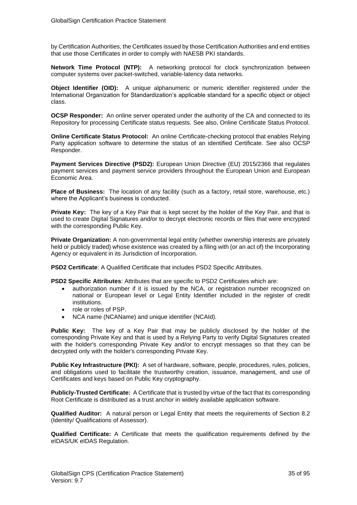by Certification Authorities, the Certificates issued by those Certification Authorities and end entities that use those Certificates in order to comply with NAESB PKI standards.

**Network Time Protocol (NTP):** A networking protocol for clock synchronization between computer systems over packet-switched, variable-latency data networks.

**Object Identifier (OID):** A unique alphanumeric or numeric identifier registered under the International Organization for Standardization's applicable standard for a specific object or object class.

**OCSP Responder:** An online server operated under the authority of the CA and connected to its Repository for processing Certificate status requests. See also, Online Certificate Status Protocol.

**Online Certificate Status Protocol:** An online Certificate-checking protocol that enables Relying Party application software to determine the status of an identified Certificate. See also OCSP Responder.

**Payment Services Directive (PSD2):** European Union Directive (EU) 2015/2366 that regulates payment services and payment service providers throughout the European Union and European Economic Area.

**Place of Business:** The location of any facility (such as a factory, retail store, warehouse, etc.) where the Applicant's business is conducted.

**Private Key:** The key of a Key Pair that is kept secret by the holder of the Key Pair, and that is used to create Digital Signatures and/or to decrypt electronic records or files that were encrypted with the corresponding Public Key.

**Private Organization:** A non-governmental legal entity (whether ownership interests are privately held or publicly traded) whose existence was created by a filing with (or an act of) the Incorporating Agency or equivalent in its Jurisdiction of Incorporation.

**PSD2 Certificate**: A Qualified Certificate that includes PSD2 Specific Attributes.

**PSD2 Specific Attributes**: Attributes that are specific to PSD2 Certificates which are:

- authorization number if it is issued by the NCA, or registration number recognized on national or European level or Legal Entity Identifier included in the register of credit institutions.
- role or roles of PSP.
- NCA name (NCAName) and unique identifier (NCAId).

**Public Key:** The key of a Key Pair that may be publicly disclosed by the holder of the corresponding Private Key and that is used by a Relying Party to verify Digital Signatures created with the holder's corresponding Private Key and/or to encrypt messages so that they can be decrypted only with the holder's corresponding Private Key.

**Public Key Infrastructure (PKI):** A set of hardware, software, people, procedures, rules, policies, and obligations used to facilitate the trustworthy creation, issuance, management, and use of Certificates and keys based on Public Key cryptography.

**Publicly-Trusted Certificate:** A Certificate that is trusted by virtue of the fact that its corresponding Root Certificate is distributed as a trust anchor in widely available application software.

**Qualified Auditor:** A natural person or Legal Entity that meets the requirements of Section 8.2 (Identity/ Qualifications of Assessor).

**Qualified Certificate:** A Certificate that meets the qualification requirements defined by the eIDAS/UK eIDAS Regulation.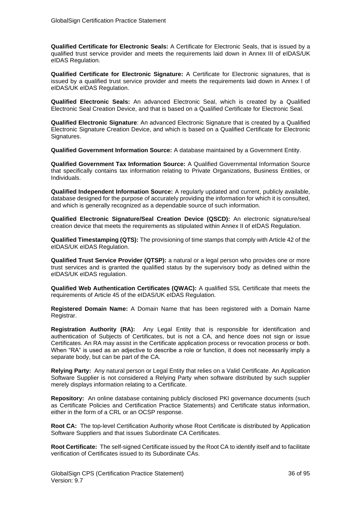**Qualified Certificate for Electronic Seals:** A Certificate for Electronic Seals, that is issued by a qualified trust service provider and meets the requirements laid down in Annex III of eIDAS/UK eIDAS Regulation.

**Qualified Certificate for Electronic Signature:** A Certificate for Electronic signatures, that is issued by a qualified trust service provider and meets the requirements laid down in Annex I of eIDAS/UK eIDAS Regulation.

**Qualified Electronic Seals:** An advanced Electronic Seal, which is created by a Qualified Electronic Seal Creation Device, and that is based on a Qualified Certificate for Electronic Seal.

**Qualified Electronic Signature**: An advanced Electronic Signature that is created by a Qualified Electronic Signature Creation Device, and which is based on a Qualified Certificate for Electronic Signatures.

**Qualified Government Information Source:** A database maintained by a Government Entity.

**Qualified Government Tax Information Source:** A Qualified Governmental Information Source that specifically contains tax information relating to Private Organizations, Business Entities, or Individuals.

**Qualified Independent Information Source:** A regularly updated and current, publicly available, database designed for the purpose of accurately providing the information for which it is consulted, and which is generally recognized as a dependable source of such information.

**Qualified Electronic Signature/Seal Creation Device (QSCD):** An electronic signature/seal creation device that meets the requirements as stipulated within Annex II of eIDAS Regulation.

**Qualified Timestamping (QTS):** The provisioning of time stamps that comply with Article 42 of the eIDAS/UK eIDAS Regulation.

**Qualified Trust Service Provider (QTSP):** a natural or a legal person who provides one or more trust services and is granted the qualified status by the supervisory body as defined within the eIDAS/UK eIDAS regulation.

**Qualified Web Authentication Certificates (QWAC):** A qualified SSL Certificate that meets the requirements of Article 45 of the eIDAS/UK eIDAS Regulation.

**Registered Domain Name:** A Domain Name that has been registered with a Domain Name Registrar.

**Registration Authority (RA):** Any Legal Entity that is responsible for identification and authentication of Subjects of Certificates, but is not a CA, and hence does not sign or issue Certificates. An RA may assist in the Certificate application process or revocation process or both. When "RA" is used as an adjective to describe a role or function, it does not necessarily imply a separate body, but can be part of the CA.

**Relying Party:** Any natural person or Legal Entity that relies on a Valid Certificate. An Application Software Supplier is not considered a Relying Party when software distributed by such supplier merely displays information relating to a Certificate.

**Repository:** An online database containing publicly disclosed PKI governance documents (such as Certificate Policies and Certification Practice Statements) and Certificate status information, either in the form of a CRL or an OCSP response.

**Root CA:** The top-level Certification Authority whose Root Certificate is distributed by Application Software Suppliers and that issues Subordinate CA Certificates.

**Root Certificate:** The self-signed Certificate issued by the Root CA to identify itself and to facilitate verification of Certificates issued to its Subordinate CAs.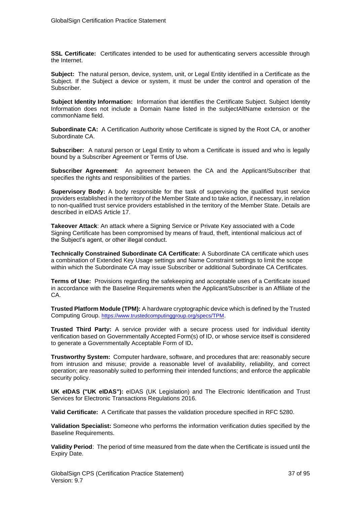**SSL Certificate:** Certificates intended to be used for authenticating servers accessible through the Internet.

**Subject:** The natural person, device, system, unit, or Legal Entity identified in a Certificate as the Subject. If the Subject a device or system, it must be under the control and operation of the Subscriber.

**Subject Identity Information:** Information that identifies the Certificate Subject. Subject Identity Information does not include a Domain Name listed in the subjectAltName extension or the commonName field.

**Subordinate CA:** A Certification Authority whose Certificate is signed by the Root CA, or another Subordinate CA.

**Subscriber:** A natural person or Legal Entity to whom a Certificate is issued and who is legally bound by a Subscriber Agreement or Terms of Use.

**Subscriber Agreement**: An agreement between the CA and the Applicant/Subscriber that specifies the rights and responsibilities of the parties.

**Supervisory Body:** A body responsible for the task of supervising the qualified trust service providers established in the territory of the Member State and to take action, if necessary, in relation to non-qualified trust service providers established in the territory of the Member State. Details are described in eIDAS Article 17.

**Takeover Attack**: An attack where a Signing Service or Private Key associated with a Code Signing Certificate has been compromised by means of fraud, theft, intentional malicious act of the Subject's agent, or other illegal conduct.

**Technically Constrained Subordinate CA Certificate:** A Subordinate CA certificate which uses a combination of Extended Key Usage settings and Name Constraint settings to limit the scope within which the Subordinate CA may issue Subscriber or additional Subordinate CA Certificates.

**Terms of Use:** Provisions regarding the safekeeping and acceptable uses of a Certificate issued in accordance with the Baseline Requirements when the Applicant/Subscriber is an Affiliate of the CA.

**Trusted Platform Module (TPM):** A hardware cryptographic device which is defined by the Trusted Computing Group. <https://www.trustedcomputinggroup.org/specs/TPM>.

**Trusted Third Party:** A service provider with a secure process used for individual identity verification based on Governmentally Accepted Form(s) of ID, or whose service itself is considered to generate a Governmentally Acceptable Form of ID**.**

**Trustworthy System:** Computer hardware, software, and procedures that are: reasonably secure from intrusion and misuse; provide a reasonable level of availability, reliability, and correct operation; are reasonably suited to performing their intended functions; and enforce the applicable security policy.

**UK eIDAS ("UK eIDAS"):** eIDAS (UK Legislation) and The Electronic Identification and Trust Services for Electronic Transactions Regulations 2016.

**Valid Certificate:** A Certificate that passes the validation procedure specified in RFC 5280.

**Validation Specialist:** Someone who performs the information verification duties specified by the Baseline Requirements.

**Validity Period**: The period of time measured from the date when the Certificate is issued until the Expiry Date.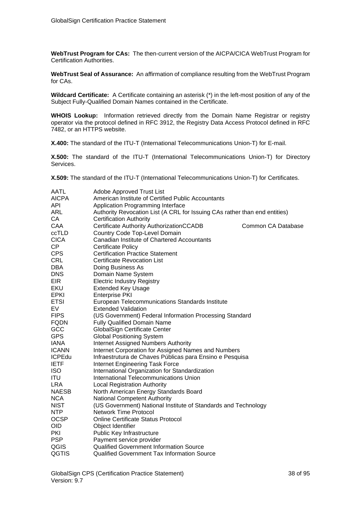**WebTrust Program for CAs:** The then-current version of the AICPA/CICA WebTrust Program for Certification Authorities.

**WebTrust Seal of Assurance:** An affirmation of compliance resulting from the WebTrust Program for CAs.

**Wildcard Certificate:** A Certificate containing an asterisk (\*) in the left-most position of any of the Subject Fully-Qualified Domain Names contained in the Certificate.

**WHOIS Lookup:** Information retrieved directly from the Domain Name Registrar or registry operator via the protocol defined in RFC 3912, the Registry Data Access Protocol defined in RFC 7482, or an HTTPS website.

**X.400:** The standard of the ITU-T (International Telecommunications Union-T) for E-mail.

**X.500:** The standard of the ITU-T (International Telecommunications Union-T) for Directory Services.

**X.509:** The standard of the ITU-T (International Telecommunications Union-T) for Certificates.

| AATL          | Adobe Approved Trust List                                                  |                    |
|---------------|----------------------------------------------------------------------------|--------------------|
| <b>AICPA</b>  | American Institute of Certified Public Accountants                         |                    |
| <b>API</b>    | Application Programming Interface                                          |                    |
| <b>ARL</b>    | Authority Revocation List (A CRL for Issuing CAs rather than end entities) |                    |
| CA            | <b>Certification Authority</b>                                             |                    |
| CAA           | Certificate Authority AuthorizationCCADB                                   | Common CA Database |
| ccTLD         | Country Code Top-Level Domain                                              |                    |
| <b>CICA</b>   | Canadian Institute of Chartered Accountants                                |                    |
| CP            | <b>Certificate Policy</b>                                                  |                    |
| <b>CPS</b>    | <b>Certification Practice Statement</b>                                    |                    |
| <b>CRL</b>    | <b>Certificate Revocation List</b>                                         |                    |
| <b>DBA</b>    | Doing Business As                                                          |                    |
| <b>DNS</b>    | Domain Name System                                                         |                    |
| <b>EIR</b>    | <b>Electric Industry Registry</b>                                          |                    |
| <b>EKU</b>    | <b>Extended Key Usage</b>                                                  |                    |
| <b>EPKI</b>   | <b>Enterprise PKI</b>                                                      |                    |
| <b>ETSI</b>   | European Telecommunications Standards Institute                            |                    |
| EV            | <b>Extended Validation</b>                                                 |                    |
| <b>FIPS</b>   | (US Government) Federal Information Processing Standard                    |                    |
| <b>FQDN</b>   | <b>Fully Qualified Domain Name</b>                                         |                    |
| GCC           | GlobalSign Certificate Center                                              |                    |
| <b>GPS</b>    | <b>Global Positioning System</b>                                           |                    |
| <b>IANA</b>   | <b>Internet Assigned Numbers Authority</b>                                 |                    |
| <b>ICANN</b>  | Internet Corporation for Assigned Names and Numbers                        |                    |
| <b>ICPEdu</b> | Infraestrutura de Chaves Públicas para Ensino e Pesquisa                   |                    |
| <b>IETF</b>   | <b>Internet Engineering Task Force</b>                                     |                    |
| <b>ISO</b>    | International Organization for Standardization                             |                    |
| <b>ITU</b>    | International Telecommunications Union                                     |                    |
| <b>LRA</b>    | <b>Local Registration Authority</b>                                        |                    |
| <b>NAESB</b>  | North American Energy Standards Board                                      |                    |
| <b>NCA</b>    | <b>National Competent Authority</b>                                        |                    |
| <b>NIST</b>   | (US Government) National Institute of Standards and Technology             |                    |
| <b>NTP</b>    | <b>Network Time Protocol</b>                                               |                    |
| <b>OCSP</b>   | <b>Online Certificate Status Protocol</b>                                  |                    |
| <b>OID</b>    | Object Identifier                                                          |                    |
| <b>PKI</b>    | Public Key Infrastructure                                                  |                    |
| <b>PSP</b>    | Payment service provider                                                   |                    |
| QGIS          | <b>Qualified Government Information Source</b>                             |                    |
| QGTIS         | Qualified Government Tax Information Source                                |                    |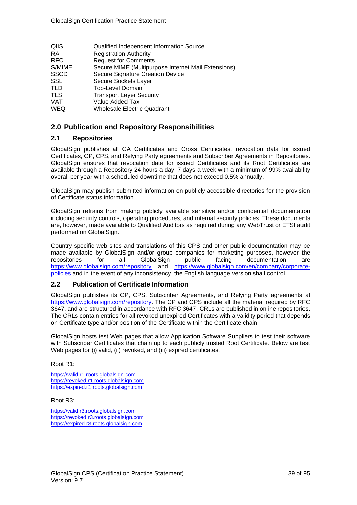| QIIS        | Qualified Independent Information Source            |
|-------------|-----------------------------------------------------|
| RA.         | <b>Registration Authority</b>                       |
| <b>RFC</b>  | <b>Request for Comments</b>                         |
| S/MIME      | Secure MIME (Multipurpose Internet Mail Extensions) |
| <b>SSCD</b> | Secure Signature Creation Device                    |
| <b>SSL</b>  | Secure Sockets Layer                                |
| TLD         | <b>Top-Level Domain</b>                             |
| <b>TLS</b>  | <b>Transport Layer Security</b>                     |
| <b>VAT</b>  | Value Added Tax                                     |
| <b>WEQ</b>  | <b>Wholesale Electric Quadrant</b>                  |

# **2.0 Publication and Repository Responsibilities**

## **2.1 Repositories**

GlobalSign publishes all CA Certificates and Cross Certificates, revocation data for issued Certificates, CP, CPS, and Relying Party agreements and Subscriber Agreements in Repositories. GlobalSign ensures that revocation data for issued Certificates and its Root Certificates are available through a Repository 24 hours a day, 7 days a week with a minimum of 99% availability overall per year with a scheduled downtime that does not exceed 0.5% annually.

GlobalSign may publish submitted information on publicly accessible directories for the provision of Certificate status information.

GlobalSign refrains from making publicly available sensitive and/or confidential documentation including security controls, operating procedures, and internal security policies. These documents are, however, made available to Qualified Auditors as required during any WebTrust or ETSI audit performed on GlobalSign.

Country specific web sites and translations of this CPS and other public documentation may be made available by GlobalSign and/or group companies for marketing purposes, however the repositories for all GlobalSign public facing documentation are <https://www.globalsign.com/repository> and [https://www.globalsign.com/en/company/corporate](https://www.globalsign.com/en/company/corporate-policies)[policies](https://www.globalsign.com/en/company/corporate-policies) and in the event of any inconsistency, the English language version shall control.

# **2.2 Publication of Certificate Information**

GlobalSign publishes its CP, CPS, Subscriber Agreements, and Relying Party agreements at [https://www.globalsign.com/repository.](https://www.globalsign.com/repository) The CP and CPS include all the material required by RFC 3647, and are structured in accordance with RFC 3647. CRLs are published in online repositories. The CRLs contain entries for all revoked unexpired Certificates with a validity period that depends on Certificate type and/or position of the Certificate within the Certificate chain.

GlobalSign hosts test Web pages that allow Application Software Suppliers to test their software with Subscriber Certificates that chain up to each publicly trusted Root Certificate. Below are test Web pages for (i) valid, (ii) revoked, and (iii) expired certificates.

### Root R1:

[https://valid.r1.roots.globalsign.com](https://valid.r1.roots.globalsign.com/) [https://revoked.r1.roots.globalsign.com](https://revoked.r1.roots.globalsign.com/) [https://expired.r1.roots.globalsign.com](https://expired.r1.roots.globalsign.com/)

### Root R3:

[https://valid.r3.roots.globalsign.com](https://valid.r3.roots.globalsign.com/) [https://revoked.r3.roots.globalsign.com](https://revoked.r3.roots.globalsign.com/) [https://expired.r3.roots.globalsign.com](https://expired.r3.roots.globalsign.com/)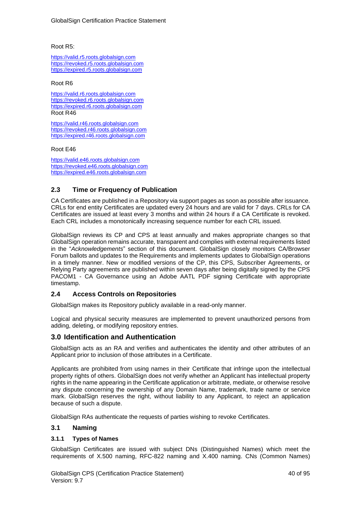Root R5:

[https://valid.r5.roots.globalsign.com](https://valid.r5.roots.globalsign.com/) [https://revoked.r5.roots.globalsign.com](https://revoked.r5.roots.globalsign.com/) [https://expired.r5.roots.globalsign.com](https://expired.r5.roots.globalsign.com/)

#### Root R6

[https://valid.r6.roots.globalsign.com](https://valid.r6.roots.globalsign.com/) [https://revoked.r6.roots.globalsign.com](https://revoked.r6.roots.globalsign.com/) [https://expired.r6.roots.globalsign.com](https://expired.r6.roots.globalsign.com/) Root R46

[https://valid.r46.roots.globalsign.com](https://valid.r46.roots.globalsign.com/) [https://revoked.r46.roots.globalsign.com](https://revoked.r46.roots.globalsign.com/) [https://expired.r46.roots.globalsign.com](https://expired.r46.roots.globalsign.com/)

Root E46

[https://valid.e46.roots.globalsign.com](https://valid.e46.roots.globalsign.com/) [https://revoked.e46.roots.globalsign.com](https://revoked.e46.roots.globalsign.com/) [https://expired.e46.roots.globalsign.com](https://expired.e46.roots.globalsign.com/)

# **2.3 Time or Frequency of Publication**

CA Certificates are published in a Repository via support pages as soon as possible after issuance. CRLs for end entity Certificates are updated every 24 hours and are valid for 7 days. CRLs for CA Certificates are issued at least every 3 months and within 24 hours if a CA Certificate is revoked. Each CRL includes a monotonically increasing sequence number for each CRL issued.

GlobalSign reviews its CP and CPS at least annually and makes appropriate changes so that GlobalSign operation remains accurate, transparent and complies with external requirements listed in the "*Acknowledgements*" section of this document. GlobalSign closely monitors CA/Browser Forum ballots and updates to the Requirements and implements updates to GlobalSign operations in a timely manner. New or modified versions of the CP, this CPS, Subscriber Agreements, or Relying Party agreements are published within seven days after being digitally signed by the CPS PACOM1 - CA Governance using an Adobe AATL PDF signing Certificate with appropriate timestamp.

# **2.4 Access Controls on Repositories**

GlobalSign makes its Repository publicly available in a read-only manner.

Logical and physical security measures are implemented to prevent unauthorized persons from adding, deleting, or modifying repository entries.

# **3.0 Identification and Authentication**

GlobalSign acts as an RA and verifies and authenticates the identity and other attributes of an Applicant prior to inclusion of those attributes in a Certificate.

Applicants are prohibited from using names in their Certificate that infringe upon the intellectual property rights of others. GlobalSign does not verify whether an Applicant has intellectual property rights in the name appearing in the Certificate application or arbitrate, mediate, or otherwise resolve any dispute concerning the ownership of any Domain Name, trademark, trade name or service mark. GlobalSign reserves the right, without liability to any Applicant, to reject an application because of such a dispute.

GlobalSign RAs authenticate the requests of parties wishing to revoke Certificates.

# **3.1 Naming**

### **3.1.1 Types of Names**

GlobalSign Certificates are issued with subject DNs (Distinguished Names) which meet the requirements of X.500 naming, RFC-822 naming and X.400 naming. CNs (Common Names)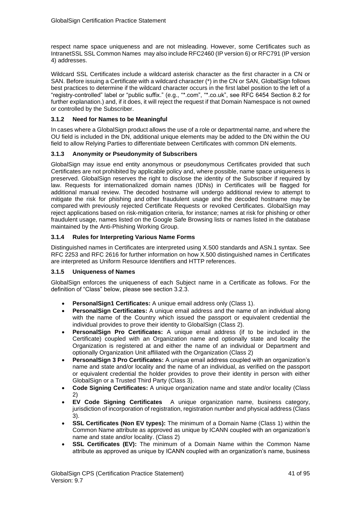respect name space uniqueness and are not misleading. However, some Certificates such as IntranetSSL SSL Common Names may also include RFC2460 (IP version 6) or RFC791 (IP version 4) addresses.

Wildcard SSL Certificates include a wildcard asterisk character as the first character in a CN or SAN. Before issuing a Certificate with a wildcard character (\*) in the CN or SAN, GlobalSign follows best practices to determine if the wildcard character occurs in the first label position to the left of a "registry-controlled" label or "public suffix." (e.g., "\*.com", "\*.co.uk", see RFC 6454 Section 8.2 for further explanation.) and, if it does, it will reject the request if that Domain Namespace is not owned or controlled by the Subscriber.

## **3.1.2 Need for Names to be Meaningful**

In cases where a GlobalSign product allows the use of a role or departmental name, and where the OU field is included in the DN, additional unique elements may be added to the DN within the OU field to allow Relying Parties to differentiate between Certificates with common DN elements.

## **3.1.3 Anonymity or Pseudonymity of Subscribers**

GlobalSign may issue end entity anonymous or pseudonymous Certificates provided that such Certificates are not prohibited by applicable policy and, where possible, name space uniqueness is preserved. GlobalSign reserves the right to disclose the identity of the Subscriber if required by law. Requests for internationalized domain names (IDNs) in Certificates will be flagged for additional manual review. The decoded hostname will undergo additional review to attempt to mitigate the risk for phishing and other fraudulent usage and the decoded hostname may be compared with previously rejected Certificate Requests or revoked Certificates. GlobalSign may reject applications based on risk-mitigation criteria, for instance; names at risk for phishing or other fraudulent usage, names listed on the Google Safe Browsing lists or names listed in the database maintained by the Anti-Phishing Working Group.

## **3.1.4 Rules for Interpreting Various Name Forms**

Distinguished names in Certificates are interpreted using X.500 standards and ASN.1 syntax. See RFC 2253 and RFC 2616 for further information on how X.500 distinguished names in Certificates are interpreted as Uniform Resource Identifiers and HTTP references.

### **3.1.5 Uniqueness of Names**

GlobalSign enforces the uniqueness of each Subject name in a Certificate as follows. For the definition of "Class" below, please see section 3.2.3.

- **PersonalSign1 Certificates:** A unique email address only (Class 1).
- **PersonalSign Certificates:** A unique email address and the name of an individual along with the name of the Country which issued the passport or equivalent credential the individual provides to prove their identity to GlobalSign (Class 2).
- **PersonalSign Pro Certificates:** A unique email address (if to be included in the Certificate) coupled with an Organization name and optionally state and locality the Organization is registered at and either the name of an individual or Department and optionally Organization Unit affiliated with the Organization (Class 2)
- **PersonalSign 3 Pro Certificates:** A unique email address coupled with an organization's name and state and/or locality and the name of an individual, as verified on the passport or equivalent credential the holder provides to prove their identity in person with either GlobalSign or a Trusted Third Party (Class 3).
- **Code Signing Certificates:** A unique organization name and state and/or locality (Class 2)
- **EV Code Signing Certificates** A unique organization name, business category, jurisdiction of incorporation of registration, registration number and physical address (Class 3).
- **SSL Certificates (Non EV types):** The minimum of a Domain Name (Class 1) within the Common Name attribute as approved as unique by ICANN coupled with an organization's name and state and/or locality. (Class 2)
- **SSL Certificates (EV):** The minimum of a Domain Name within the Common Name attribute as approved as unique by ICANN coupled with an organization's name, business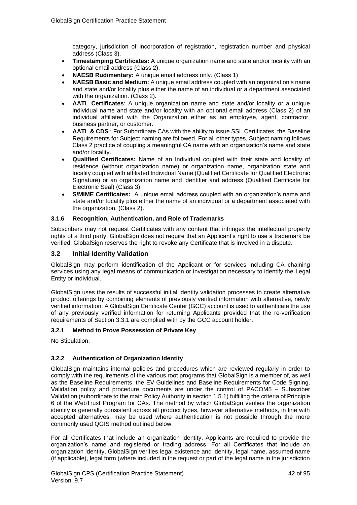category, jurisdiction of incorporation of registration, registration number and physical address (Class 3).

- **Timestamping Certificates:** A unique organization name and state and/or locality with an optional email address (Class 2).
- **NAESB Rudimentary:** A unique email address only. (Class 1)
- **NAESB Basic and Medium:** A unique email address coupled with an organization's name and state and/or locality plus either the name of an individual or a department associated with the organization. (Class 2).
- **AATL Certificates**: A unique organization name and state and/or locality or a unique individual name and state and/or locality with an optional email address (Class 2) of an individual affiliated with the Organization either as an employee, agent, contractor, business partner, or customer.
- **AATL & CDS** : For Subordinate CAs with the ability to issue SSL Certificates, the Baseline Requirements for Subject naming are followed. For all other types, Subject naming follows Class 2 practice of coupling a meaningful CA name with an organization's name and state and/or locality.
- **Qualified Certificates:** Name of an Individual coupled with their state and locality of residence (without organization name) or organization name, organization state and locality coupled with affiliated Individual Name (Qualified Certificate for Qualified Electronic Signature) or an organization name and identifier and address (Qualified Certificate for Electronic Seal) (Class 3)
- **S/MIME Certificates:** A unique email address coupled with an organization's name and state and/or locality plus either the name of an individual or a department associated with the organization. (Class 2).

## **3.1.6 Recognition, Authentication, and Role of Trademarks**

Subscribers may not request Certificates with any content that infringes the intellectual property rights of a third party. GlobalSign does not require that an Applicant's right to use a trademark be verified. GlobalSign reserves the right to revoke any Certificate that is involved in a dispute.

# **3.2 Initial Identity Validation**

GlobalSign may perform identification of the Applicant or for services including CA chaining services using any legal means of communication or investigation necessary to identify the Legal Entity or individual.

GlobalSign uses the results of successful initial identity validation processes to create alternative product offerings by combining elements of previously verified information with alternative, newly verified information. A GlobalSign Certificate Center (GCC) account is used to authenticate the use of any previously verified information for returning Applicants provided that the re-verification requirements of Section 3.3.1 are complied with by the GCC account holder.

### **3.2.1 Method to Prove Possession of Private Key**

No Stipulation.

# **3.2.2 Authentication of Organization Identity**

GlobalSign maintains internal policies and procedures which are reviewed regularly in order to comply with the requirements of the various root programs that GlobalSign is a member of, as well as the Baseline Requirements, the EV Guidelines and Baseline Requirements for Code Signing. Validation policy and procedure documents are under the control of PACOM5 – Subscriber Validation (subordinate to the main Policy Authority in section 1.5.1) fulfilling the criteria of Principle 6 of the WebTrust Program for CAs. The method by which GlobalSign verifies the organization identity is generally consistent across all product types, however alternative methods, in line with accepted alternatives, may be used where authentication is not possible through the more commonly used QGIS method outlined below.

For all Certificates that include an organization identity, Applicants are required to provide the organization's name and registered or trading address. For all Certificates that include an organization identity, GlobalSign verifies legal existence and identity, legal name, assumed name (if applicable), legal form (where included in the request or part of the legal name in the jurisdiction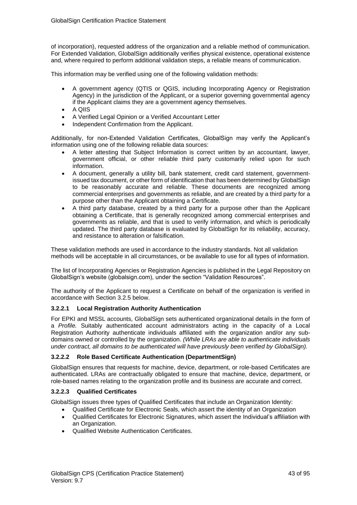of incorporation), requested address of the organization and a reliable method of communication. For Extended Validation, GlobalSign additionally verifies physical existence, operational existence and, where required to perform additional validation steps, a reliable means of communication.

This information may be verified using one of the following validation methods:

- A government agency (QTIS or QGIS, including Incorporating Agency or Registration Agency) in the jurisdiction of the Applicant, or a superior governing governmental agency if the Applicant claims they are a government agency themselves.
- A QIIS
- A Verified Legal Opinion or a Verified Accountant Letter
- Independent Confirmation from the Applicant.

Additionally, for non-Extended Validation Certificates, GlobalSign may verify the Applicant's information using one of the following reliable data sources:

- A letter attesting that Subject Information is correct written by an accountant, lawyer, government official, or other reliable third party customarily relied upon for such information.
- A document, generally a utility bill, bank statement, credit card statement, governmentissued tax document, or other form of identification that has been determined by GlobalSign to be reasonably accurate and reliable. These documents are recognized among commercial enterprises and governments as reliable, and are created by a third party for a purpose other than the Applicant obtaining a Certificate.
- A third party database, created by a third party for a purpose other than the Applicant obtaining a Certificate, that is generally recognized among commercial enterprises and governments as reliable, and that is used to verify information, and which is periodically updated. The third party database is evaluated by GlobalSign for its reliability, accuracy, and resistance to alteration or falsification.

These validation methods are used in accordance to the industry standards. Not all validation methods will be acceptable in all circumstances, or be available to use for all types of information.

The list of Incorporating Agencies or Registration Agencies is published in the Legal Repository on GlobalSign's website (globalsign.com), under the section "Validation Resources".

The authority of the Applicant to request a Certificate on behalf of the organization is verified in accordance with Section 3.2.5 below.

#### **3.2.2.1 Local Registration Authority Authentication**

For EPKI and MSSL accounts, GlobalSign sets authenticated organizational details in the form of a *Profile.* Suitably authenticated account administrators acting in the capacity of a Local Registration Authority authenticate individuals affiliated with the organization and/or any subdomains owned or controlled by the organization. *(While LRAs are able to authenticate individuals under contract, all domains to be authenticated will have previously been verified by GlobalSign).*

#### **3.2.2.2 Role Based Certificate Authentication (DepartmentSign)**

GlobalSign ensures that requests for machine, device, department, or role-based Certificates are authenticated. LRAs are contractually obligated to ensure that machine, device, department, or role-based names relating to the organization profile and its business are accurate and correct.

#### **3.2.2.3 Qualified Certificates**

GlobalSign issues three types of Qualified Certificates that include an Organization Identity:

- Qualified Certificate for Electronic Seals, which assert the identity of an Organization
- Qualified Certificates for Electronic Signatures, which assert the Individual's affiliation with an Organization.
- Qualified Website Authentication Certificates.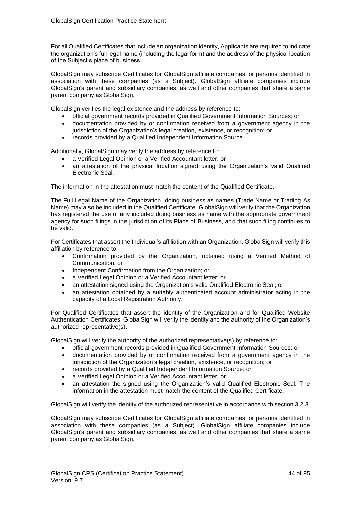For all Qualified Certificates that include an organization identity, Applicants are required to indicate the organization's full legal name (including the legal form) and the address of the physical location of the Subject's place of business.

GlobalSign may subscribe Certificates for GlobalSign affiliate companies, or persons identified in association with these companies (as a Subject). GlobalSign affiliate companies include GlobalSign's parent and subsidiary companies, as well and other companies that share a same parent company as GlobalSign.

GlobalSign verifies the legal existence and the address by reference to:

- official government records provided in Qualified Government Information Sources; or
- documentation provided by or confirmation received from a government agency in the jurisdiction of the Organization's legal creation, existence, or recognition; or
- records provided by a Qualified Independent Information Source.

Additionally, GlobalSign may verify the address by reference to:

- a Verified Legal Opinion or a Verified Accountant letter; or
- an attestation of the physical location signed using the Organization's valid Qualified Electronic Seal.

The information in the attestation must match the content of the Qualified Certificate.

The Full Legal Name of the Organization, doing business as names (Trade Name or Trading As Name) may also be included in the Qualified Certificate. GlobalSign will verify that the Organization has registered the use of any included doing business as name with the appropriate government agency for such filings in the jurisdiction of its Place of Business, and that such filing continues to be valid.

For Certificates that assert the Individual's affiliation with an Organization, GlobalSign will verify this affiliation by reference to:

- Confirmation provided by the Organization, obtained using a Verified Method of Communication; or
- Independent Confirmation from the Organization; or
- a Verified Legal Opinion or a Verified Accountant letter; or
- an attestation signed using the Organization's valid Qualified Electronic Seal; or
- an attestation obtained by a suitably authenticated account administrator acting in the capacity of a Local Registration Authority.

For Qualified Certificates that assert the identity of the Organization and for Qualified Website Authentication Certificates, GlobalSign will verify the identity and the authority of the Organization's authorized representative(s).

GlobalSign will verify the authority of the authorized representative(s) by reference to:

- official government records provided in Qualified Government Information Sources; or
- documentation provided by or confirmation received from a government agency in the jurisdiction of the Organization's legal creation, existence, or recognition; or
- records provided by a Qualified Independent Information Source; or
- a Verified Legal Opinion or a Verified Accountant letter; or
- an attestation the signed using the Organization's valid Qualified Electronic Seal. The information in the attestation must match the content of the Qualified Certificate.

GlobalSign will verify the identity of the authorized representative in accordance with section 3.2.3.

GlobalSign may subscribe Certificates for GlobalSign affiliate companies, or persons identified in association with these companies (as a Subject). GlobalSign affiliate companies include GlobalSign's parent and subsidiary companies, as well and other companies that share a same parent company as GlobalSign.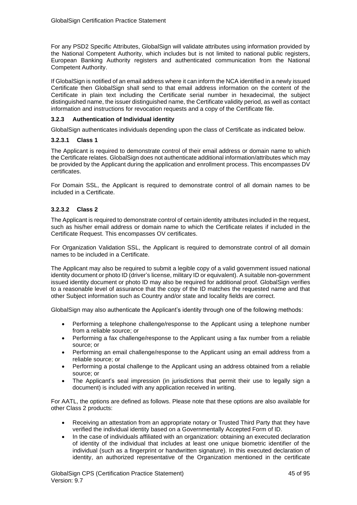For any PSD2 Specific Attributes, GlobalSign will validate attributes using information provided by the National Competent Authority, which includes but is not limited to national public registers, European Banking Authority registers and authenticated communication from the National Competent Authority.

If GlobalSign is notified of an email address where it can inform the NCA identified in a newly issued Certificate then GlobalSign shall send to that email address information on the content of the Certificate in plain text including the Certificate serial number in hexadecimal, the subject distinguished name, the issuer distinguished name, the Certificate validity period, as well as contact information and instructions for revocation requests and a copy of the Certificate file.

## **3.2.3 Authentication of Individual identity**

GlobalSign authenticates individuals depending upon the class of Certificate as indicated below.

### **3.2.3.1 Class 1**

The Applicant is required to demonstrate control of their email address or domain name to which the Certificate relates. GlobalSign does not authenticate additional information/attributes which may be provided by the Applicant during the application and enrollment process. This encompasses DV certificates.

For Domain SSL, the Applicant is required to demonstrate control of all domain names to be included in a Certificate.

### **3.2.3.2 Class 2**

The Applicant is required to demonstrate control of certain identity attributes included in the request, such as his/her email address or domain name to which the Certificate relates if included in the Certificate Request. This encompasses OV certificates.

For Organization Validation SSL, the Applicant is required to demonstrate control of all domain names to be included in a Certificate.

The Applicant may also be required to submit a legible copy of a valid government issued national identity document or photo ID (driver's license, military ID or equivalent). A suitable non-government issued identity document or photo ID may also be required for additional proof. GlobalSign verifies to a reasonable level of assurance that the copy of the ID matches the requested name and that other Subject information such as Country and/or state and locality fields are correct.

GlobalSign may also authenticate the Applicant's identity through one of the following methods:

- Performing a telephone challenge/response to the Applicant using a telephone number from a reliable source; or
- Performing a fax challenge/response to the Applicant using a fax number from a reliable source; or
- Performing an email challenge/response to the Applicant using an email address from a reliable source; or
- Performing a postal challenge to the Applicant using an address obtained from a reliable source; or
- The Applicant's seal impression (in jurisdictions that permit their use to legally sign a document) is included with any application received in writing.

For AATL, the options are defined as follows. Please note that these options are also available for other Class 2 products:

- Receiving an attestation from an appropriate notary or Trusted Third Party that they have verified the individual identity based on a Governmentally Accepted Form of ID.
- In the case of individuals affiliated with an organization: obtaining an executed declaration of identity of the individual that includes at least one unique biometric identifier of the individual (such as a fingerprint or handwritten signature). In this executed declaration of identity, an authorized representative of the Organization mentioned in the certificate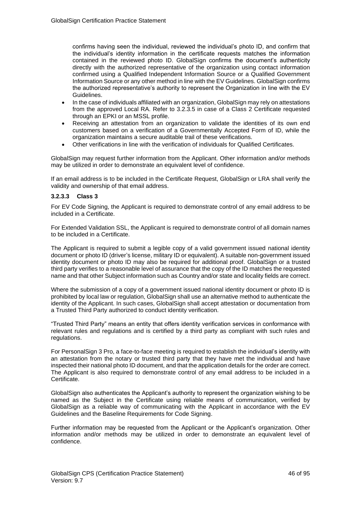confirms having seen the individual, reviewed the individual's photo ID, and confirm that the individual's identity information in the certificate requests matches the information contained in the reviewed photo ID. GlobalSign confirms the document's authenticity directly with the authorized representative of the organization using contact information confirmed using a Qualified Independent Information Source or a Qualified Government Information Source or any other method in line with the EV Guidelines. GlobalSign confirms the authorized representative's authority to represent the Organization in line with the EV Guidelines.

- In the case of individuals affiliated with an organization, GlobalSign may rely on attestations from the approved Local RA. Refer to 3.2.3.5 in case of a Class 2 Certificate requested through an EPKI or an MSSL profile.
- Receiving an attestation from an organization to validate the identities of its own end customers based on a verification of a Governmentally Accepted Form of ID, while the organization maintains a secure auditable trail of these verifications.
- Other verifications in line with the verification of individuals for Qualified Certificates.

GlobalSign may request further information from the Applicant. Other information and/or methods may be utilized in order to demonstrate an equivalent level of confidence.

If an email address is to be included in the Certificate Request, GlobalSign or LRA shall verify the validity and ownership of that email address.

#### **3.2.3.3 Class 3**

For EV Code Signing, the Applicant is required to demonstrate control of any email address to be included in a Certificate.

For Extended Validation SSL, the Applicant is required to demonstrate control of all domain names to be included in a Certificate.

The Applicant is required to submit a legible copy of a valid government issued national identity document or photo ID (driver's license, military ID or equivalent). A suitable non-government issued identity document or photo ID may also be required for additional proof. GlobalSign or a trusted third party verifies to a reasonable level of assurance that the copy of the ID matches the requested name and that other Subject information such as Country and/or state and locality fields are correct.

Where the submission of a copy of a government issued national identity document or photo ID is prohibited by local law or regulation, GlobalSign shall use an alternative method to authenticate the identity of the Applicant. In such cases, GlobalSign shall accept attestation or documentation from a Trusted Third Party authorized to conduct identity verification.

"Trusted Third Party" means an entity that offers identity verification services in conformance with relevant rules and regulations and is certified by a third party as compliant with such rules and regulations.

For PersonalSign 3 Pro, a face-to-face meeting is required to establish the individual's identity with an attestation from the notary or trusted third party that they have met the individual and have inspected their national photo ID document, and that the application details for the order are correct. The Applicant is also required to demonstrate control of any email address to be included in a Certificate.

GlobalSign also authenticates the Applicant's authority to represent the organization wishing to be named as the Subject in the Certificate using reliable means of communication, verified by GlobalSign as a reliable way of communicating with the Applicant in accordance with the EV Guidelines and the Baseline Requirements for Code Signing.

Further information may be requested from the Applicant or the Applicant's organization. Other information and/or methods may be utilized in order to demonstrate an equivalent level of confidence.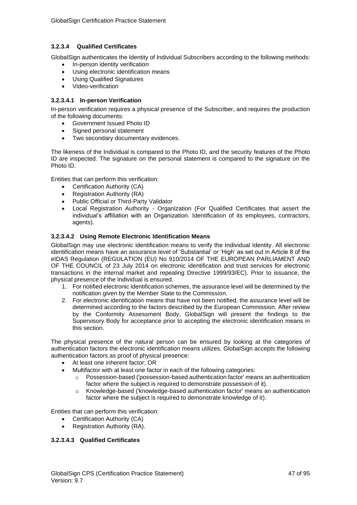# **3.2.3.4 Qualified Certificates**

GlobalSign authenticates the Identity of Individual Subscribers according to the following methods:

- In-person identity verification
- Using electronic identification means
- Using Qualified Signatures
- Video-verification

## **3.2.3.4.1 In-person Verification**

In-person verification requires a physical presence of the Subscriber, and requires the production of the following documents:

- Government Issued Photo ID
- Signed personal statement
- Two secondary documentary evidences.

The likeness of the Individual is compared to the Photo ID, and the security features of the Photo ID are inspected. The signature on the personal statement is compared to the signature on the Photo ID.

Entities that can perform this verification:

- Certification Authority (CA)
- Registration Authority (RA)
- Public Official or Third-Party Validator
- Local Registration Authority Organization (For Qualified Certificates that assert the individual's affiliation with an Organization. Identification of its employees, contractors, agents).

### **3.2.3.4.2 Using Remote Electronic Identification Means**

GlobalSign may use electronic identification means to verify the Individual Identity. All electronic identification means have an assurance level of 'Substantial' or 'High' as set out in Article 8 of the eIDAS Regulation (REGULATION (EU) No 910/2014 OF THE EUROPEAN PARLIAMENT AND OF THE COUNCIL of 23 July 2014 on electronic identification and trust services for electronic transactions in the internal market and repealing Directive 1999/93/EC). Prior to issuance, the physical presence of the Individual is ensured.

- 1. For notified electronic identification schemes, the assurance level will be determined by the notification given by the Member State to the Commission.
- 2. For electronic identification means that have not been notified, the assurance level will be determined according to the factors described by the European Commission. After review by the Conformity Assessment Body, GlobalSign will present the findings to the Supervisory Body for acceptance prior to accepting the electronic identification means in this section.

The physical presence of the natural person can be ensured by looking at the categories of authentication factors the electronic identification means utilizes. GlobalSign accepts the following authentication factors as proof of physical presence:

- At least one inherent factor; OR
- Multifactor with at least one factor in each of the following categories:
	- $\circ$  Possession-based ('possession-based authentication factor' means an authentication factor where the subject is required to demonstrate possession of it).
	- o Knowledge-based ('knowledge-based authentication factor' means an authentication factor where the subject is required to demonstrate knowledge of it).

Entities that can perform this verification:

- Certification Authority (CA)
- Registration Authority (RA).

### **3.2.3.4.3 Qualified Certificates**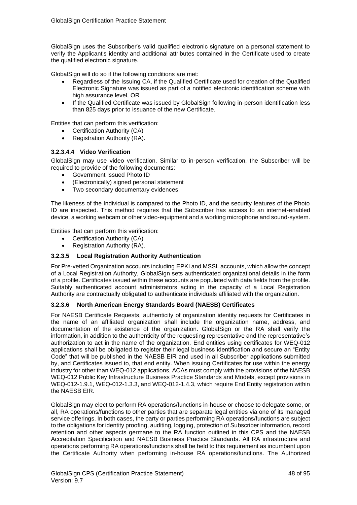GlobalSign uses the Subscriber's valid qualified electronic signature on a personal statement to verify the Applicant's identity and additional attributes contained in the Certificate used to create the qualified electronic signature.

GlobalSign will do so if the following conditions are met:

- Regardless of the Issuing CA, if the Qualified Certificate used for creation of the Qualified Electronic Signature was issued as part of a notified electronic identification scheme with high assurance level, OR
- If the Qualified Certificate was issued by GlobalSign following in-person identification less than 825 days prior to issuance of the new Certificate.

Entities that can perform this verification:

- Certification Authority (CA)
- Registration Authority (RA).

#### **3.2.3.4.4 Video Verification**

GlobalSign may use video verification. Similar to in-person verification, the Subscriber will be required to provide of the following documents:

- Government Issued Photo ID
- (Electronically) signed personal statement
- Two secondary documentary evidences.

The likeness of the Individual is compared to the Photo ID, and the security features of the Photo ID are inspected. This method requires that the Subscriber has access to an internet-enabled device, a working webcam or other video-equipment and a working microphone and sound-system.

Entities that can perform this verification:

- Certification Authority (CA)
- Registration Authority (RA).

### **3.2.3.5 Local Registration Authority Authentication**

For Pre-vetted Organization accounts including EPKI and MSSL accounts, which allow the concept of a Local Registration Authority, GlobalSign sets authenticated organizational details in the form of a profile. Certificates issued within these accounts are populated with data fields from the profile. Suitably authenticated account administrators acting in the capacity of a Local Registration Authority are contractually obligated to authenticate individuals affiliated with the organization.

### **3.2.3.6 North American Energy Standards Board (NAESB) Certificates**

For NAESB Certificate Requests, authenticity of organization identity requests for Certificates in the name of an affiliated organization shall include the organization name, address, and documentation of the existence of the organization. GlobalSign or the RA shall verify the information, in addition to the authenticity of the requesting representative and the representative's authorization to act in the name of the organization. End entities using certificates for WEQ-012 applications shall be obligated to register their legal business identification and secure an "Entity Code" that will be published in the NAESB EIR and used in all Subscriber applications submitted by, and Certificates issued to, that end entity. When issuing Certificates for use within the energy industry for other than WEQ-012 applications, ACAs must comply with the provisions of the NAESB WEQ-012 Public Key Infrastructure Business Practice Standards and Models, except provisions in WEQ-012-1.9.1, WEQ-012-1.3.3, and WEQ-012-1.4.3, which require End Entity registration within the NAESB EIR.

GlobalSign may elect to perform RA operations/functions in-house or choose to delegate some, or all, RA operations/functions to other parties that are separate legal entities via one of its managed service offerings. In both cases, the party or parties performing RA operations/functions are subject to the obligations for identity proofing, auditing, logging, protection of Subscriber information, record retention and other aspects germane to the RA function outlined in this CPS and the NAESB Accreditation Specification and NAESB Business Practice Standards. All RA infrastructure and operations performing RA operations/functions shall be held to this requirement as incumbent upon the Certificate Authority when performing in-house RA operations/functions. The Authorized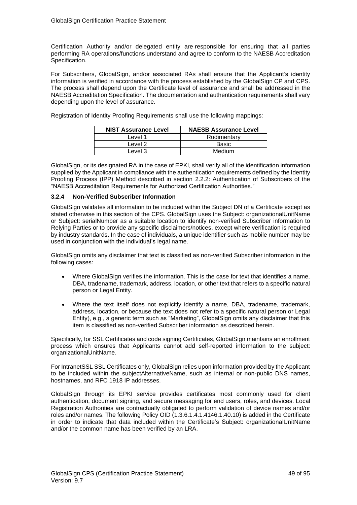Certification Authority and/or delegated entity are responsible for ensuring that all parties performing RA operations/functions understand and agree to conform to the NAESB Accreditation Specification.

For Subscribers, GlobalSign, and/or associated RAs shall ensure that the Applicant's identity information is verified in accordance with the process established by the GlobalSign CP and CPS. The process shall depend upon the Certificate level of assurance and shall be addressed in the NAESB Accreditation Specification. The documentation and authentication requirements shall vary depending upon the level of assurance.

| <b>NIST Assurance Level</b> | <b>NAESB Assurance Level</b> |
|-----------------------------|------------------------------|
| _evel 1                     | Rudimentary                  |

Registration of Identity Proofing Requirements shall use the following mappings:

GlobalSign, or its designated RA in the case of EPKI, shall verify all of the identification information supplied by the Applicant in compliance with the authentication requirements defined by the Identity Proofing Process (IPP) Method described in section 2.2.2: Authentication of Subscribers of the "NAESB Accreditation Requirements for Authorized Certification Authorities."

Level 2 Level 2 Level 3 Medium

#### **3.2.4 Non-Verified Subscriber Information**

GlobalSign validates all information to be included within the Subject DN of a Certificate except as stated otherwise in this section of the CPS. GlobalSign uses the Subject: organizationalUnitName or Subject: serialNumber as a suitable location to identify non-verified Subscriber information to Relying Parties or to provide any specific disclaimers/notices, except where verification is required by industry standards. In the case of individuals, a unique identifier such as mobile number may be used in conjunction with the individual's legal name.

GlobalSign omits any disclaimer that text is classified as non-verified Subscriber information in the following cases:

- Where GlobalSign verifies the information. This is the case for text that identifies a name, DBA, tradename, trademark, address, location, or other text that refers to a specific natural person or Legal Entity.
- Where the text itself does not explicitly identify a name, DBA, tradename, trademark, address, location, or because the text does not refer to a specific natural person or Legal Entity), e.g., a generic term such as "Marketing", GlobalSign omits any disclaimer that this item is classified as non-verified Subscriber information as described herein.

Specifically, for SSL Certificates and code signing Certificates, GlobalSign maintains an enrollment process which ensures that Applicants cannot add self-reported information to the subject: organizationalUnitName.

For IntranetSSL SSL Certificates only, GlobalSign relies upon information provided by the Applicant to be included within the subjectAlternativeName, such as internal or non-public DNS names, hostnames, and RFC 1918 IP addresses.

GlobalSign through its EPKI service provides certificates most commonly used for client authentication, document signing, and secure messaging for end users, roles, and devices. Local Registration Authorities are contractually obligated to perform validation of device names and/or roles and/or names. The following Policy OID (1.3.6.1.4.1.4146.1.40.10) is added in the Certificate in order to indicate that data included within the Certificate's Subject: organizationalUnitName and/or the common name has been verified by an LRA.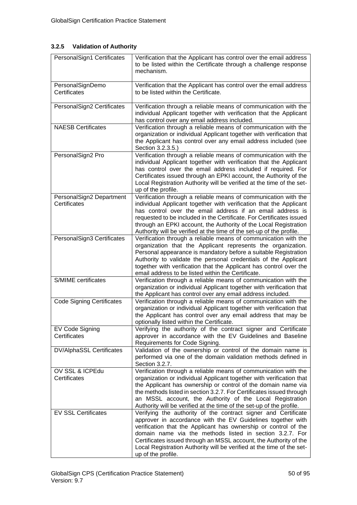# **3.2.5 Validation of Authority**

| PersonalSign1 Certificates               | Verification that the Applicant has control over the email address<br>to be listed within the Certificate through a challenge response<br>mechanism.                                                                                                                                                                                                                                                                             |
|------------------------------------------|----------------------------------------------------------------------------------------------------------------------------------------------------------------------------------------------------------------------------------------------------------------------------------------------------------------------------------------------------------------------------------------------------------------------------------|
| PersonalSignDemo<br>Certificates         | Verification that the Applicant has control over the email address<br>to be listed within the Certificate.                                                                                                                                                                                                                                                                                                                       |
| PersonalSign2 Certificates               | Verification through a reliable means of communication with the<br>individual Applicant together with verification that the Applicant<br>has control over any email address included.                                                                                                                                                                                                                                            |
| <b>NAESB Certificates</b>                | Verification through a reliable means of communication with the<br>organization or individual Applicant together with verification that<br>the Applicant has control over any email address included (see<br>Section 3.2.3.5.)                                                                                                                                                                                                   |
| PersonalSign2 Pro                        | Verification through a reliable means of communication with the<br>individual Applicant together with verification that the Applicant<br>has control over the email address included if required. For<br>Certificates issued through an EPKI account, the Authority of the<br>Local Registration Authority will be verified at the time of the set-<br>up of the profile.                                                        |
| PersonalSign2 Department<br>Certificates | Verification through a reliable means of communication with the<br>individual Applicant together with verification that the Applicant<br>has control over the email address if an email address is<br>requested to be included in the Certificate. For Certificates issued<br>through an EPKI account, the Authority of the Local Registration<br>Authority will be verified at the time of the set-up of the profile.           |
| PersonalSign3 Certificates               | Verification through a reliable means of communication with the<br>organization that the Applicant represents the organization.<br>Personal appearance is mandatory before a suitable Registration<br>Authority to validate the personal credentials of the Applicant<br>together with verification that the Applicant has control over the<br>email address to be listed within the Certificate.                                |
| <b>S/MIME</b> certificates               | Verification through a reliable means of communication with the<br>organization or individual Applicant together with verification that<br>the Applicant has control over any email address included.                                                                                                                                                                                                                            |
| <b>Code Signing Certificates</b>         | Verification through a reliable means of communication with the<br>organization or individual Applicant together with verification that<br>the Applicant has control over any email address that may be<br>optionally listed within the Certificate.                                                                                                                                                                             |
| EV Code Signing<br>Certificates          | Verifying the authority of the contract signer and Certificate<br>approver in accordance with the EV Guidelines and Baseline<br>Requirements for Code Signing.                                                                                                                                                                                                                                                                   |
| <b>DV/AlphaSSL Certificates</b>          | Validation of the ownership or control of the domain name is<br>performed via one of the domain validation methods defined in<br>Section 3.2.7.                                                                                                                                                                                                                                                                                  |
| OV SSL & ICPEdu<br>Certificates          | Verification through a reliable means of communication with the<br>organization or individual Applicant together with verification that<br>the Applicant has ownership or control of the domain name via<br>the methods listed in section 3.2.7. For Certificates issued through<br>an MSSL account, the Authority of the Local Registration<br>Authority will be verified at the time of the set-up of the profile.             |
| <b>EV SSL Certificates</b>               | Verifying the authority of the contract signer and Certificate<br>approver in accordance with the EV Guidelines together with<br>verification that the Applicant has ownership or control of the<br>domain name via the methods listed in section 3.2.7. For<br>Certificates issued through an MSSL account, the Authority of the<br>Local Registration Authority will be verified at the time of the set-<br>up of the profile. |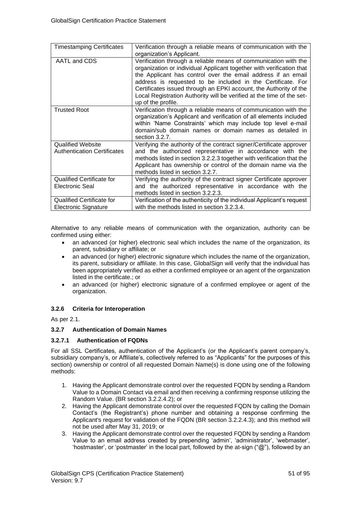| <b>Timestamping Certificates</b>   | Verification through a reliable means of communication with the        |
|------------------------------------|------------------------------------------------------------------------|
|                                    | organization's Applicant.                                              |
| AATL and CDS                       | Verification through a reliable means of communication with the        |
|                                    | organization or individual Applicant together with verification that   |
|                                    | the Applicant has control over the email address if an email           |
|                                    | address is requested to be included in the Certificate. For            |
|                                    | Certificates issued through an EPKI account, the Authority of the      |
|                                    | Local Registration Authority will be verified at the time of the set-  |
|                                    | up of the profile.                                                     |
| <b>Trusted Root</b>                | Verification through a reliable means of communication with the        |
|                                    | organization's Applicant and verification of all elements included     |
|                                    | within 'Name Constraints' which may include top level e-mail           |
|                                    | domain/sub domain names or domain names as detailed in                 |
|                                    | section 3.2.7.                                                         |
| <b>Qualified Website</b>           | Verifying the authority of the contract signer/Certificate approver    |
| <b>Authentication Certificates</b> | and the authorized representative in accordance with the               |
|                                    | methods listed in section 3.2.2.3 together with verification that the  |
|                                    | Applicant has ownership or control of the domain name via the          |
|                                    | methods listed in section 3.2.7.                                       |
| <b>Qualified Certificate for</b>   | Verifying the authority of the contract signer Certificate approver    |
| Electronic Seal                    | and the authorized representative in accordance with the               |
|                                    | methods listed in section 3.2.2.3.                                     |
| <b>Qualified Certificate for</b>   | Verification of the authenticity of the individual Applicant's request |
| <b>Electronic Signature</b>        | with the methods listed in section 3.2.3.4.                            |

Alternative to any reliable means of communication with the organization, authority can be confirmed using either:

- an advanced (or higher) electronic seal which includes the name of the organization, its parent, subsidiary or affiliate; or
- an advanced (or higher) electronic signature which includes the name of the organization, its parent, subsidiary or affiliate. In this case, GlobalSign will verify that the individual has been appropriately verified as either a confirmed employee or an agent of the organization listed in the certificate.; or
- an advanced (or higher) electronic signature of a confirmed employee or agent of the organization.

### **3.2.6 Criteria for Interoperation**

As per 2.1.

### **3.2.7 Authentication of Domain Names**

### **3.2.7.1 Authentication of FQDNs**

For all SSL Certificates, authentication of the Applicant's (or the Applicant's parent company's, subsidiary company's, or Affiliate's, collectively referred to as "Applicants" for the purposes of this section) ownership or control of all requested Domain Name(s) is done using one of the following methods:

- 1. Having the Applicant demonstrate control over the requested FQDN by sending a Random Value to a Domain Contact via email and then receiving a confirming response utilizing the Random Value. (BR section 3.2.2.4.2); or
- 2. Having the Applicant demonstrate control over the requested FQDN by calling the Domain Contact's (the Registrant's) phone number and obtaining a response confirming the Applicant's request for validation of the FQDN (BR section 3.2.2.4.3); and this method will not be used after May 31, 2019; or
- 3. Having the Applicant demonstrate control over the requested FQDN by sending a Random Value to an email address created by prepending 'admin', 'administrator', 'webmaster', 'hostmaster', or 'postmaster' in the local part, followed by the at-sign ("@"), followed by an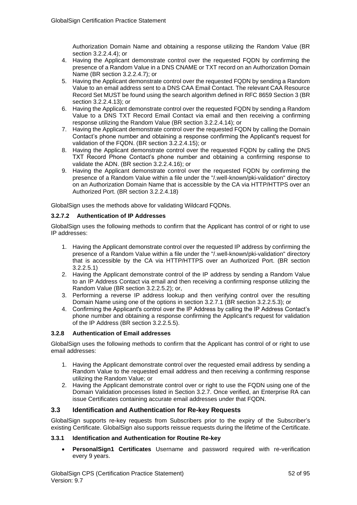Authorization Domain Name and obtaining a response utilizing the Random Value (BR section 3.2.2.4.4); or

- 4. Having the Applicant demonstrate control over the requested FQDN by confirming the presence of a Random Value in a DNS CNAME or TXT record on an Authorization Domain Name (BR section 3.2.2.4.7); or
- 5. Having the Applicant demonstrate control over the requested FQDN by sending a Random Value to an email address sent to a DNS CAA Email Contact. The relevant CAA Resource Record Set MUST be found using the search algorithm defined in RFC 8659 Section 3 (BR section 3.2.2.4.13); or
- 6. Having the Applicant demonstrate control over the requested FQDN by sending a Random Value to a DNS TXT Record Email Contact via email and then receiving a confirming response utilizing the Random Value (BR section 3.2.2.4.14); or
- 7. Having the Applicant demonstrate control over the requested FQDN by calling the Domain Contact's phone number and obtaining a response confirming the Applicant's request for validation of the FQDN. (BR section 3.2.2.4.15); or
- 8. Having the Applicant demonstrate control over the requested FQDN by calling the DNS TXT Record Phone Contact's phone number and obtaining a confirming response to validate the ADN. (BR section 3.2.2.4.16); or
- 9. Having the Applicant demonstrate control over the requested FQDN by confirming the presence of a Random Value within a file under the "/.well-known/pki-validation" directory on an Authorization Domain Name that is accessible by the CA via HTTP/HTTPS over an Authorized Port. (BR section 3.2.2.4.18)

GlobalSign uses the methods above for validating Wildcard FQDNs.

### **3.2.7.2 Authentication of IP Addresses**

GlobalSign uses the following methods to confirm that the Applicant has control of or right to use IP addresses:

- 1. Having the Applicant demonstrate control over the requested IP address by confirming the presence of a Random Value within a file under the "/.well-known/pki-validation" directory that is accessible by the CA via HTTP/HTTPS over an Authorized Port. (BR section 3.2.2.5.1)
- 2. Having the Applicant demonstrate control of the IP address by sending a Random Value to an IP Address Contact via email and then receiving a confirming response utilizing the Random Value (BR section 3.2.2.5.2); or,
- 3. Performing a reverse IP address lookup and then verifying control over the resulting Domain Name using one of the options in section 3.2.7.1 (BR section 3.2.2.5.3); or
- 4. Confirming the Applicant's control over the IP Address by calling the IP Address Contact's phone number and obtaining a response confirming the Applicant's request for validation of the IP Address (BR section 3.2.2.5.5).

### **3.2.8 Authentication of Email addresses**

GlobalSign uses the following methods to confirm that the Applicant has control of or right to use email addresses:

- 1. Having the Applicant demonstrate control over the requested email address by sending a Random Value to the requested email address and then receiving a confirming response utilizing the Random Value; or
- 2. Having the Applicant demonstrate control over or right to use the FQDN using one of the Domain Validation processes listed in Section 3.2.7. Once verified, an Enterprise RA can issue Certificates containing accurate email addresses under that FQDN.

# **3.3 Identification and Authentication for Re-key Requests**

GlobalSign supports re-key requests from Subscribers prior to the expiry of the Subscriber's existing Certificate. GlobalSign also supports reissue requests during the lifetime of the Certificate.

#### **3.3.1 Identification and Authentication for Routine Re-key**

• **PersonalSign1 Certificates** Username and password required with re-verification every 9 years.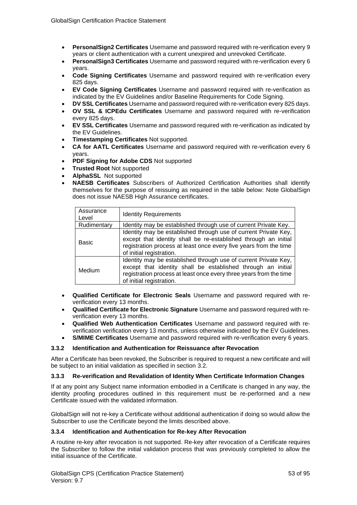- **PersonalSign2 Certificates** Username and password required with re-verification every 9 years or client authentication with a current unexpired and unrevoked Certificate.
- **PersonalSign3 Certificates** Username and password required with re-verification every 6 years.
- **Code Signing Certificates** Username and password required with re-verification every 825 days.
- **EV Code Signing Certificates** Username and password required with re-verification as indicated by the EV Guidelines and/or Baseline Requirements for Code Signing.
- **DV SSL Certificates** Username and password required with re-verification every 825 days.
- **OV SSL & ICPEdu Certificates** Username and password required with re-verification every 825 days.
- **EV SSL Certificates** Username and password required with re-verification as indicated by the EV Guidelines.
- **Timestamping Certificates** Not supported.
- **CA for AATL Certificates** Username and password required with re-verification every 6 years.
- **PDF Signing for Adobe CDS** Not supported
- **Trusted Root** Not supported
- **AlphaSSL** Not supported
- **NAESB Certificates** Subscribers of Authorized Certification Authorities shall identify themselves for the purpose of reissuing as required in the table below: Note GlobalSign does not issue NAESB High Assurance certificates.

| Assurance<br>Level | <b>Identity Requirements</b>                                                                                                                                                                                                        |
|--------------------|-------------------------------------------------------------------------------------------------------------------------------------------------------------------------------------------------------------------------------------|
| Rudimentary        | Identity may be established through use of current Private Key.                                                                                                                                                                     |
| <b>Basic</b>       | Identity may be established through use of current Private Key,<br>except that identity shall be re-established through an initial<br>registration process at least once every five years from the time<br>of initial registration. |
| Medium             | Identity may be established through use of current Private Key,<br>except that identity shall be established through an initial<br>registration process at least once every three years from the time<br>of initial registration.   |

- **Qualified Certificate for Electronic Seals** Username and password required with reverification every 13 months.
- **Qualified Certificate for Electronic Signature** Username and password required with reverification every 13 months.
- **Qualified Web Authentication Certificates** Username and password required with reverification verification every 13 months, unless otherwise indicated by the EV Guidelines.
- **S/MIME Certificates** Username and password required with re-verification every 6 years.

### **3.3.2 Identification and Authentication for Reissuance after Revocation**

After a Certificate has been revoked, the Subscriber is required to request a new certificate and will be subject to an initial validation as specified in section 3.2.

### **3.3.3 Re-verification and Revalidation of Identity When Certificate Information Changes**

If at any point any Subject name information embodied in a Certificate is changed in any way, the identity proofing procedures outlined in this requirement must be re-performed and a new Certificate issued with the validated information.

GlobalSign will not re-key a Certificate without additional authentication if doing so would allow the Subscriber to use the Certificate beyond the limits described above.

### **3.3.4 Identification and Authentication for Re-key After Revocation**

A routine re-key after revocation is not supported. Re-key after revocation of a Certificate requires the Subscriber to follow the initial validation process that was previously completed to allow the initial issuance of the Certificate.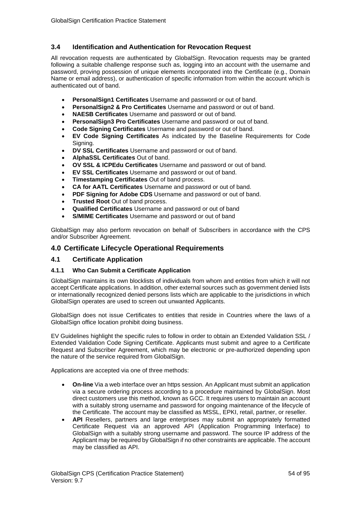# **3.4 Identification and Authentication for Revocation Request**

All revocation requests are authenticated by GlobalSign. Revocation requests may be granted following a suitable challenge response such as, logging into an account with the username and password, proving possession of unique elements incorporated into the Certificate (e.g., Domain Name or email address), or authentication of specific information from within the account which is authenticated out of band.

- **PersonalSign1 Certificates** Username and password or out of band.
- **PersonalSign2 & Pro Certificates** Username and password or out of band.
- **NAESB Certificates** Username and password or out of band.
- **PersonalSign3 Pro Certificates** Username and password or out of band.
- **Code Signing Certificates** Username and password or out of band.
- **EV Code Signing Certificates** As indicated by the Baseline Requirements for Code Signing.
- **DV SSL Certificates** Username and password or out of band.
- **AlphaSSL Certificates** Out of band.
- **OV SSL & ICPEdu Certificates** Username and password or out of band.
- **EV SSL Certificates** Username and password or out of band.
- **Timestamping Certificates** Out of band process.
- **CA for AATL Certificates** Username and password or out of band.
- **PDF Signing for Adobe CDS** Username and password or out of band.
- **Trusted Root** Out of band process.
- **Qualified Certificates** Username and password or out of band
- **S/MIME Certificates** Username and password or out of band

GlobalSign may also perform revocation on behalf of Subscribers in accordance with the CPS and/or Subscriber Agreement.

## **4.0 Certificate Lifecycle Operational Requirements**

### **4.1 Certificate Application**

#### **4.1.1 Who Can Submit a Certificate Application**

GlobalSign maintains its own blocklists of individuals from whom and entities from which it will not accept Certificate applications. In addition, other external sources such as government denied lists or internationally recognized denied persons lists which are applicable to the jurisdictions in which GlobalSign operates are used to screen out unwanted Applicants.

GlobalSign does not issue Certificates to entities that reside in Countries where the laws of a GlobalSign office location prohibit doing business.

EV Guidelines highlight the specific rules to follow in order to obtain an Extended Validation SSL / Extended Validation Code Signing Certificate. Applicants must submit and agree to a Certificate Request and Subscriber Agreement, which may be electronic or pre-authorized depending upon the nature of the service required from GlobalSign.

Applications are accepted via one of three methods:

- **On-line** Via a web interface over an https session. An Applicant must submit an application via a secure ordering process according to a procedure maintained by GlobalSign. Most direct customers use this method, known as GCC. It requires users to maintain an account with a suitably strong username and password for ongoing maintenance of the lifecycle of the Certificate. The account may be classified as MSSL, EPKI, retail, partner, or reseller.
- API Resellers, partners and large enterprises may submit an appropriately formatted Certificate Request via an approved API (Application Programming Interface) to GlobalSign with a suitably strong username and password. The source IP address of the Applicant may be required by GlobalSign if no other constraints are applicable. The account may be classified as API.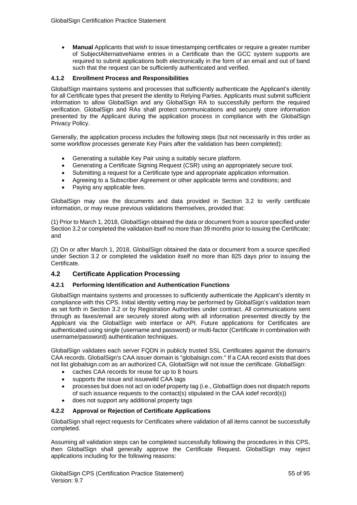• **Manual** Applicants that wish to issue timestamping certificates or require a greater number of SubjectAlternativeName entries in a Certificate than the GCC system supports are required to submit applications both electronically in the form of an email and out of band such that the request can be sufficiently authenticated and verified.

### **4.1.2 Enrollment Process and Responsibilities**

GlobalSign maintains systems and processes that sufficiently authenticate the Applicant's identity for all Certificate types that present the identity to Relying Parties. Applicants must submit sufficient information to allow GlobalSign and any GlobalSign RA to successfully perform the required verification. GlobalSign and RAs shall protect communications and securely store information presented by the Applicant during the application process in compliance with the GlobalSign Privacy Policy.

Generally, the application process includes the following steps (but not necessarily in this order as some workflow processes generate Key Pairs after the validation has been completed):

- Generating a suitable Key Pair using a suitably secure platform.
- Generating a Certificate Signing Request (CSR) using an appropriately secure tool.
- Submitting a request for a Certificate type and appropriate application information.
- Agreeing to a Subscriber Agreement or other applicable terms and conditions; and
- Paying any applicable fees.

GlobalSign may use the documents and data provided in Section 3.2 to verify certificate information, or may reuse previous validations themselves, provided that:

(1) Prior to March 1, 2018, GlobalSign obtained the data or document from a source specified under Section 3.2 or completed the validation itself no more than 39 months prior to issuing the Certificate; and

(2) On or after March 1, 2018, GlobalSign obtained the data or document from a source specified under Section 3.2 or completed the validation itself no more than 825 days prior to issuing the Certificate.

# **4.2 Certificate Application Processing**

### **4.2.1 Performing Identification and Authentication Functions**

GlobalSign maintains systems and processes to sufficiently authenticate the Applicant's identity in compliance with this CPS. Initial identity vetting may be performed by GlobalSign's validation team as set forth in Section 3.2 or by Registration Authorities under contract. All communications sent through as faxes/email are securely stored along with all information presented directly by the Applicant via the GlobalSign web interface or API. Future applications for Certificates are authenticated using single (username and password) or multi-factor (Certificate in combination with username/password) authentication techniques.

GlobalSign validates each server FQDN in publicly trusted SSL Certificates against the domain's CAA records. GlobalSign's CAA issuer domain is "globalsign.com." If a CAA record exists that does not list globalsign.com as an authorized CA, GlobalSign will not issue the certificate. GlobalSign:

- caches CAA records for reuse for up to 8 hours
- supports the issue and issuewild CAA tags
- processes but does not act on iodef property tag (i.e., GlobalSign does not dispatch reports of such issuance requests to the contact(s) stipulated in the CAA iodef record(s))
- does not support any additional property tags

### **4.2.2 Approval or Rejection of Certificate Applications**

GlobalSign shall reject requests for Certificates where validation of all items cannot be successfully completed.

Assuming all validation steps can be completed successfully following the procedures in this CPS, then GlobalSign shall generally approve the Certificate Request. GlobalSign may reject applications including for the following reasons: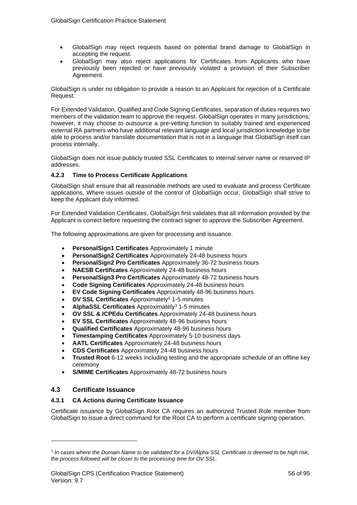- GlobalSign may reject requests based on potential brand damage to GlobalSign in accepting the request.
- GlobalSign may also reject applications for Certificates from Applicants who have previously been rejected or have previously violated a provision of their Subscriber Agreement.

GlobalSign is under no obligation to provide a reason to an Applicant for rejection of a Certificate Request.

For Extended Validation, Qualified and Code Signing Certificates, separation of duties requires two members of the validation team to approve the request. GlobalSign operates in many jurisdictions; however, it may choose to outsource a pre-vetting function to suitably trained and experienced external RA partners who have additional relevant language and local jurisdiction knowledge to be able to process and/or translate documentation that is not in a language that GlobalSign itself can process internally.

GlobalSign does not issue publicly trusted SSL Certificates to internal server name or reserved IP addresses.

## **4.2.3 Time to Process Certificate Applications**

GlobalSign shall ensure that all reasonable methods are used to evaluate and process Certificate applications. Where issues outside of the control of GlobalSign occur, GlobalSign shall strive to keep the Applicant duly informed.

For Extended Validation Certificates, GlobalSign first validates that all information provided by the Applicant is correct before requesting the contract signer to approve the Subscriber Agreement.

The following approximations are given for processing and issuance.

- **PersonalSign1 Certificates** Approximately 1 minute
- **PersonalSign2 Certificates** Approximately 24-48 business hours
- **PersonalSign2 Pro Certificates** Approximately 36-72 business hours
- **NAESB Certificates** Approximately 24-48 business hours
- **PersonalSign3 Pro Certificates** Approximately 48-72 business hours
- **Code Signing Certificates** Approximately 24-48 business hours
- **EV Code Signing Certificates** Approximately 48-96 business hours
- **DV SSL Certificates** Approximately<sup>5</sup> 1-5 minutes
- **AlphaSSL Certificates** Approximately<sup>3</sup> 1-5 minutes
- **OV SSL & ICPEdu Certificates** Approximately 24-48 business hours
- **EV SSL Certificates** Approximately 48-96 business hours
- **Qualified Certificates** Approximately 48-96 business hours
- **Timestamping Certificates** Approximately 5-10 business days
- **AATL Certificates** Approximately 24-48 business hours
- **CDS Certificates** Approximately 24-48 business hours
- **Trusted Root** 6-12 weeks including testing and the appropriate schedule of an offline key ceremony
- **S/MIME Certificates** Approximately 48-72 business hours

### **4.3 Certificate Issuance**

### **4.3.1 CA Actions during Certificate Issuance**

Certificate issuance by GlobalSign Root CA requires an authorized Trusted Role member from GlobalSign to issue a direct command for the Root CA to perform a certificate signing operation.

<sup>3</sup> *In cases where the Domain Name to be validated for a DV/Alpha SSL Certificate is deemed to be high risk, the process followed will be closer to the processing time for OV SSL.*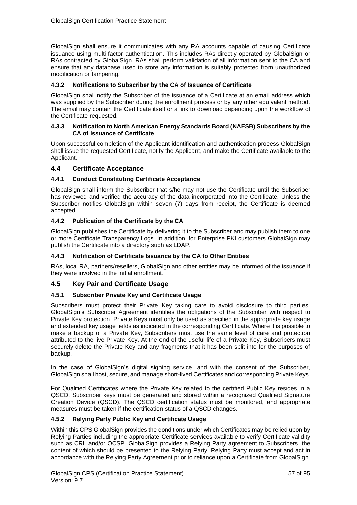GlobalSign shall ensure it communicates with any RA accounts capable of causing Certificate issuance using multi-factor authentication. This includes RAs directly operated by GlobalSign or RAs contracted by GlobalSign. RAs shall perform validation of all information sent to the CA and ensure that any database used to store any information is suitably protected from unauthorized modification or tampering.

### **4.3.2 Notifications to Subscriber by the CA of Issuance of Certificate**

GlobalSign shall notify the Subscriber of the issuance of a Certificate at an email address which was supplied by the Subscriber during the enrollment process or by any other equivalent method. The email may contain the Certificate itself or a link to download depending upon the workflow of the Certificate requested.

#### **4.3.3 Notification to North American Energy Standards Board (NAESB) Subscribers by the CA of Issuance of Certificate**

Upon successful completion of the Applicant identification and authentication process GlobalSign shall issue the requested Certificate, notify the Applicant, and make the Certificate available to the Applicant.

### **4.4 Certificate Acceptance**

### **4.4.1 Conduct Constituting Certificate Acceptance**

GlobalSign shall inform the Subscriber that s/he may not use the Certificate until the Subscriber has reviewed and verified the accuracy of the data incorporated into the Certificate. Unless the Subscriber notifies GlobalSign within seven (7) days from receipt, the Certificate is deemed accepted.

### **4.4.2 Publication of the Certificate by the CA**

GlobalSign publishes the Certificate by delivering it to the Subscriber and may publish them to one or more Certificate Transparency Logs. In addition, for Enterprise PKI customers GlobalSign may publish the Certificate into a directory such as LDAP.

### **4.4.3 Notification of Certificate Issuance by the CA to Other Entities**

RAs, local RA, partners/resellers, GlobalSign and other entities may be informed of the issuance if they were involved in the initial enrollment.

# **4.5 Key Pair and Certificate Usage**

### **4.5.1 Subscriber Private Key and Certificate Usage**

Subscribers must protect their Private Key taking care to avoid disclosure to third parties. GlobalSign's Subscriber Agreement identifies the obligations of the Subscriber with respect to Private Key protection. Private Keys must only be used as specified in the appropriate key usage and extended key usage fields as indicated in the corresponding Certificate. Where it is possible to make a backup of a Private Key, Subscribers must use the same level of care and protection attributed to the live Private Key. At the end of the useful life of a Private Key, Subscribers must securely delete the Private Key and any fragments that it has been split into for the purposes of backup.

In the case of GlobalSign's digital signing service, and with the consent of the Subscriber, GlobalSign shall host, secure, and manage short-lived Certificates and corresponding Private Keys.

For Qualified Certificates where the Private Key related to the certified Public Key resides in a QSCD, Subscriber keys must be generated and stored within a recognized Qualified Signature Creation Device (QSCD). The QSCD certification status must be monitored, and appropriate measures must be taken if the certification status of a QSCD changes.

### **4.5.2 Relying Party Public Key and Certificate Usage**

Within this CPS GlobalSign provides the conditions under which Certificates may be relied upon by Relying Parties including the appropriate Certificate services available to verify Certificate validity such as CRL and/or OCSP. GlobalSign provides a Relying Party agreement to Subscribers, the content of which should be presented to the Relying Party. Relying Party must accept and act in accordance with the Relying Party Agreement prior to reliance upon a Certificate from GlobalSign.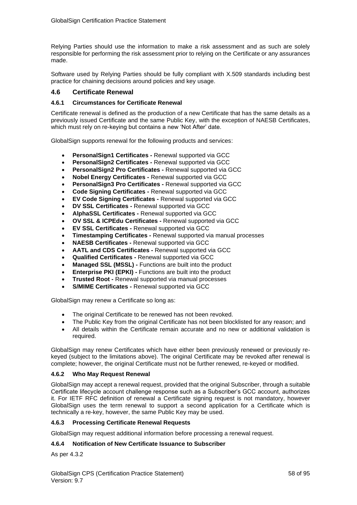Relying Parties should use the information to make a risk assessment and as such are solely responsible for performing the risk assessment prior to relying on the Certificate or any assurances made.

Software used by Relying Parties should be fully compliant with X.509 standards including best practice for chaining decisions around policies and key usage.

### **4.6 Certificate Renewal**

#### **4.6.1 Circumstances for Certificate Renewal**

Certificate renewal is defined as the production of a new Certificate that has the same details as a previously issued Certificate and the same Public Key, with the exception of NAESB Certificates, which must rely on re-keying but contains a new 'Not After' date.

GlobalSign supports renewal for the following products and services:

- **PersonalSign1 Certificates -** Renewal supported via GCC
- **PersonalSign2 Certificates -** Renewal supported via GCC
- **PersonalSign2 Pro Certificates -** Renewal supported via GCC
- **Nobel Energy Certificates -** Renewal supported via GCC
- **PersonalSign3 Pro Certificates -** Renewal supported via GCC
- **Code Signing Certificates -** Renewal supported via GCC
- **EV Code Signing Certificates -** Renewal supported via GCC
- **DV SSL Certificates -** Renewal supported via GCC
- **AlphaSSL Certificates -** Renewal supported via GCC
- **OV SSL & ICPEdu Certificates -** Renewal supported via GCC
- **EV SSL Certificates -** Renewal supported via GCC
- **Timestamping Certificates -** Renewal supported via manual processes
- **NAESB Certificates -** Renewal supported via GCC
- **AATL and CDS Certificates -** Renewal supported via GCC
- **Qualified Certificates -** Renewal supported via GCC
- **Managed SSL (MSSL) -** Functions are built into the product
- **Enterprise PKI (EPKI) Functions are built into the product**
- **Trusted Root -** Renewal supported via manual processes
- **S/MIME Certificates Renewal supported via GCC**

GlobalSign may renew a Certificate so long as:

- The original Certificate to be renewed has not been revoked.
- The Public Key from the original Certificate has not been blocklisted for any reason; and
- All details within the Certificate remain accurate and no new or additional validation is required.

GlobalSign may renew Certificates which have either been previously renewed or previously rekeyed (subject to the limitations above). The original Certificate may be revoked after renewal is complete; however, the original Certificate must not be further renewed, re-keyed or modified.

### **4.6.2 Who May Request Renewal**

GlobalSign may accept a renewal request, provided that the original Subscriber, through a suitable Certificate lifecycle account challenge response such as a Subscriber's GCC account, authorizes it. For IETF RFC definition of renewal a Certificate signing request is not mandatory, however GlobalSign uses the term renewal to support a second application for a Certificate which is technically a re-key, however, the same Public Key may be used.

### **4.6.3 Processing Certificate Renewal Requests**

GlobalSign may request additional information before processing a renewal request.

# **4.6.4 Notification of New Certificate Issuance to Subscriber**

As per 4.3.2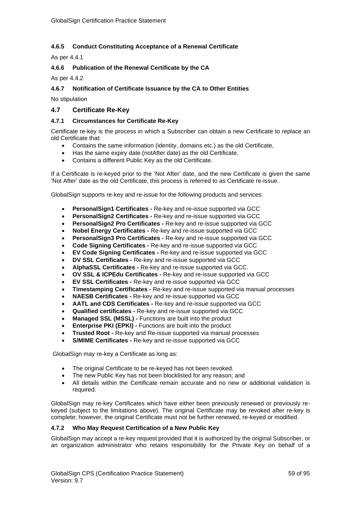# **4.6.5 Conduct Constituting Acceptance of a Renewal Certificate**

As per 4.4.1

## **4.6.6 Publication of the Renewal Certificate by the CA**

As per 4.4.2

### **4.6.7 Notification of Certificate Issuance by the CA to Other Entities**

No stipulation

## **4.7 Certificate Re-Key**

### **4.7.1 Circumstances for Certificate Re-Key**

Certificate re-key is the process in which a Subscriber can obtain a new Certificate to replace an old Certificate that:

- Contains the same information (identity, domains etc.) as the old Certificate,
- Has the same expiry date (notAfter date) as the old Certificate,
- Contains a different Public Key as the old Certificate.

If a Certificate is re-keyed prior to the 'Not After' date, and the new Certificate is given the same 'Not After' date as the old Certificate, this process is referred to as Certificate re-issue.

GlobalSign supports re-key and re-issue for the following products and services:

- **PersonalSign1 Certificates -** Re-key and re-issue supported via GCC
- **PersonalSign2 Certificates -** Re-key and re-issue supported via GCC
- **PersonalSign2 Pro Certificates -** Re-key and re-issue supported via GCC
- **Nobel Energy Certificates -** Re-key and re-issue supported via GCC
- **PersonalSign3 Pro Certificates -** Re-key and re-issue supported via GCC
- **Code Signing Certificates -** Re-key and re-issue supported via GCC
- **EV Code Signing Certificates -** Re-key and re-issue supported via GCC
- **DV SSL Certificates -** Re-key and re-issue supported via GCC
- **AlphaSSL Certificates -** Re-key and re-issue supported via GCC.
- **OV SSL & ICPEdu Certificates -** Re-key and re-issue supported via GCC
- **EV SSL Certificates -** Re-key and re-issue supported via GCC
- **Timestamping Certificates -** Re-key and re-issue supported via manual processes
- **NAESB Certificates -** Re-key and re-issue supported via GCC
- **AATL and CDS Certificates -** Re-key and re-issue supported via GCC
- **Qualified certificates -** Re-key and re-issue supported via GCC
- **Managed SSL (MSSL) -** Functions are built into the product
- **Enterprise PKI (EPKI) Functions are built into the product**
- **Trusted Root -** Re-key and Re-issue supported via manual processes
- **S/MIME Certificates -** Re-key and re-issue supported via GCC

GlobalSign may re-key a Certificate as long as:

- The original Certificate to be re-keyed has not been revoked.
- The new Public Key has not been blocklisted for any reason; and
- All details within the Certificate remain accurate and no new or additional validation is required.

GlobalSign may re-key Certificates which have either been previously renewed or previously rekeyed (subject to the limitations above). The original Certificate may be revoked after re-key is complete; however, the original Certificate must not be further renewed, re-keyed or modified.

### **4.7.2 Who May Request Certification of a New Public Key**

GlobalSign may accept a re-key request provided that it is authorized by the original Subscriber, or an organization administrator who retains responsibility for the Private Key on behalf of a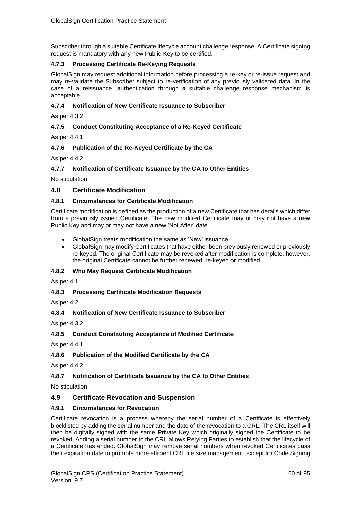Subscriber through a suitable Certificate lifecycle account challenge response. A Certificate signing request is mandatory with any new Public Key to be certified.

## **4.7.3 Processing Certificate Re-Keying Requests**

GlobalSign may request additional information before processing a re-key or re-issue request and may re-validate the Subscriber subject to re-verification of any previously validated data. In the case of a reissuance, authentication through a suitable challenge response mechanism is acceptable.

### **4.7.4 Notification of New Certificate Issuance to Subscriber**

As per 4.3.2

## **4.7.5 Conduct Constituting Acceptance of a Re-Keyed Certificate**

As per 4.4.1

## **4.7.6 Publication of the Re-Keyed Certificate by the CA**

As per 4.4.2

## **4.7.7 Notification of Certificate Issuance by the CA to Other Entities**

No stipulation

## **4.8 Certificate Modification**

### **4.8.1 Circumstances for Certificate Modification**

Certificate modification is defined as the production of a new Certificate that has details which differ from a previously issued Certificate. The new modified Certificate may or may not have a new Public Key and may or may not have a new 'Not After' date.

- GlobalSign treats modification the same as 'New' issuance.
- GlobalSign may modify Certificates that have either been previously renewed or previously re-keyed. The original Certificate may be revoked after modification is complete, however, the original Certificate cannot be further renewed, re-keyed or modified.

### **4.8.2 Who May Request Certificate Modification**

As per 4.1

### **4.8.3 Processing Certificate Modification Requests**

As per 4.2

### **4.8.4 Notification of New Certificate Issuance to Subscriber**

As per 4.3.2

### **4.8.5 Conduct Constituting Acceptance of Modified Certificate**

As per 4.4.1

# **4.8.6 Publication of the Modified Certificate by the CA**

As per 4.4.2

# **4.8.7 Notification of Certificate Issuance by the CA to Other Entities**

No stipulation

# **4.9 Certificate Revocation and Suspension**

### **4.9.1 Circumstances for Revocation**

Certificate revocation is a process whereby the serial number of a Certificate is effectively blocklisted by adding the serial number and the date of the revocation to a CRL. The CRL itself will then be digitally signed with the same Private Key which originally signed the Certificate to be revoked. Adding a serial number to the CRL allows Relying Parties to establish that the lifecycle of a Certificate has ended. GlobalSign may remove serial numbers when revoked Certificates pass their expiration date to promote more efficient CRL file size management, except for Code Signing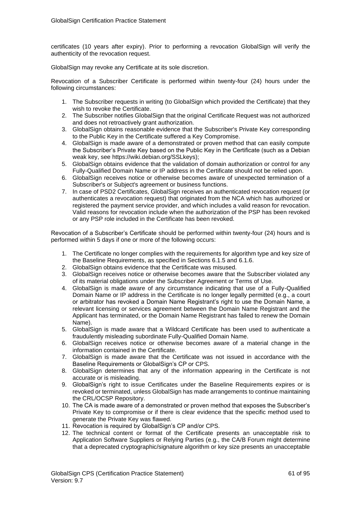certificates (10 years after expiry). Prior to performing a revocation GlobalSign will verify the authenticity of the revocation request.

GlobalSign may revoke any Certificate at its sole discretion.

Revocation of a Subscriber Certificate is performed within twenty-four (24) hours under the following circumstances:

- 1. The Subscriber requests in writing (to GlobalSign which provided the Certificate) that they wish to revoke the Certificate.
- 2. The Subscriber notifies GlobalSign that the original Certificate Request was not authorized and does not retroactively grant authorization.
- 3. GlobalSign obtains reasonable evidence that the Subscriber's Private Key corresponding to the Public Key in the Certificate suffered a Key Compromise.
- 4. GlobalSign is made aware of a demonstrated or proven method that can easily compute the Subscriber's Private Key based on the Public Key in the Certificate (such as a Debian weak key, see https://wiki.debian.org/SSLkeys);
- 5. GlobalSign obtains evidence that the validation of domain authorization or control for any Fully-Qualified Domain Name or IP address in the Certificate should not be relied upon.
- 6. GlobalSign receives notice or otherwise becomes aware of unexpected termination of a Subscriber's or Subject's agreement or business functions.
- 7. In case of PSD2 Certificates, GlobalSign receives an authenticated revocation request (or authenticates a revocation request) that originated from the NCA which has authorized or registered the payment service provider, and which includes a valid reason for revocation. Valid reasons for revocation include when the authorization of the PSP has been revoked or any PSP role included in the Certificate has been revoked.

Revocation of a Subscriber's Certificate should be performed within twenty-four (24) hours and is performed within 5 days if one or more of the following occurs:

- 1. The Certificate no longer complies with the requirements for algorithm type and key size of the Baseline Requirements, as specified in Sections 6.1.5 and 6.1.6.
- 2. GlobalSign obtains evidence that the Certificate was misused.
- 3. GlobalSign receives notice or otherwise becomes aware that the Subscriber violated any of its material obligations under the Subscriber Agreement or Terms of Use.
- 4. GlobalSign is made aware of any circumstance indicating that use of a Fully-Qualified Domain Name or IP address in the Certificate is no longer legally permitted (e.g., a court or arbitrator has revoked a Domain Name Registrant's right to use the Domain Name, a relevant licensing or services agreement between the Domain Name Registrant and the Applicant has terminated, or the Domain Name Registrant has failed to renew the Domain Name).
- 5. GlobalSign is made aware that a Wildcard Certificate has been used to authenticate a fraudulently misleading subordinate Fully-Qualified Domain Name.
- 6. GlobalSign receives notice or otherwise becomes aware of a material change in the information contained in the Certificate.
- 7. GlobalSign is made aware that the Certificate was not issued in accordance with the Baseline Requirements or GlobalSign's CP or CPS.
- 8. GlobalSign determines that any of the information appearing in the Certificate is not accurate or is misleading.
- 9. GlobalSign's right to issue Certificates under the Baseline Requirements expires or is revoked or terminated, unless GlobalSign has made arrangements to continue maintaining the CRL/OCSP Repository.
- 10. The CA is made aware of a demonstrated or proven method that exposes the Subscriber's Private Key to compromise or if there is clear evidence that the specific method used to generate the Private Key was flawed.
- 11. Revocation is required by GlobalSign's CP and/or CPS.
- 12. The technical content or format of the Certificate presents an unacceptable risk to Application Software Suppliers or Relying Parties (e.g., the CA/B Forum might determine that a deprecated cryptographic/signature algorithm or key size presents an unacceptable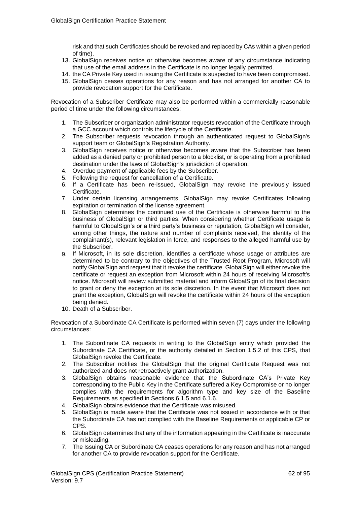risk and that such Certificates should be revoked and replaced by CAs within a given period of time).

- 13. GlobalSign receives notice or otherwise becomes aware of any circumstance indicating that use of the email address in the Certificate is no longer legally permitted.
- 14. the CA Private Key used in issuing the Certificate is suspected to have been compromised.
- 15. GlobalSign ceases operations for any reason and has not arranged for another CA to provide revocation support for the Certificate.

Revocation of a Subscriber Certificate may also be performed within a commercially reasonable period of time under the following circumstances:

- 1. The Subscriber or organization administrator requests revocation of the Certificate through a GCC account which controls the lifecycle of the Certificate.
- 2. The Subscriber requests revocation through an authenticated request to GlobalSign's support team or GlobalSign's Registration Authority.
- 3. GlobalSign receives notice or otherwise becomes aware that the Subscriber has been added as a denied party or prohibited person to a blocklist, or is operating from a prohibited destination under the laws of GlobalSign's jurisdiction of operation.
- 4. Overdue payment of applicable fees by the Subscriber.
- 5. Following the request for cancellation of a Certificate.
- 6. If a Certificate has been re-issued, GlobalSign may revoke the previously issued Certificate.
- 7. Under certain licensing arrangements, GlobalSign may revoke Certificates following expiration or termination of the license agreement.
- 8. GlobalSign determines the continued use of the Certificate is otherwise harmful to the business of GlobalSign or third parties. When considering whether Certificate usage is harmful to GlobalSign's or a third party's business or reputation, GlobalSign will consider, among other things, the nature and number of complaints received, the identity of the complainant(s), relevant legislation in force, and responses to the alleged harmful use by the Subscriber.
- 9. If Microsoft, in its sole discretion, identifies a certificate whose usage or attributes are determined to be contrary to the objectives of the Trusted Root Program, Microsoft will notify GlobalSign and request that it revoke the certificate. GlobalSign will either revoke the certificate or request an exception from Microsoft within 24 hours of receiving Microsoft's notice. Microsoft will review submitted material and inform GlobalSign of its final decision to grant or deny the exception at its sole discretion. In the event that Microsoft does not grant the exception, GlobalSign will revoke the certificate within 24 hours of the exception being denied.
- 10. Death of a Subscriber.

Revocation of a Subordinate CA Certificate is performed within seven (7) days under the following circumstances:

- 1. The Subordinate CA requests in writing to the GlobalSign entity which provided the Subordinate CA Certificate, or the authority detailed in Section 1.5.2 of this CPS, that GlobalSign revoke the Certificate.
- 2. The Subscriber notifies the GlobalSign that the original Certificate Request was not authorized and does not retroactively grant authorization.
- 3. GlobalSign obtains reasonable evidence that the Subordinate CA's Private Key corresponding to the Public Key in the Certificate suffered a Key Compromise or no longer complies with the requirements for algorithm type and key size of the Baseline Requirements as specified in Sections 6.1.5 and 6.1.6.
- 4. GlobalSign obtains evidence that the Certificate was misused.
- 5. GlobalSign is made aware that the Certificate was not issued in accordance with or that the Subordinate CA has not complied with the Baseline Requirements or applicable CP or CPS.
- 6. GlobalSign determines that any of the information appearing in the Certificate is inaccurate or misleading.
- 7. The Issuing CA or Subordinate CA ceases operations for any reason and has not arranged for another CA to provide revocation support for the Certificate.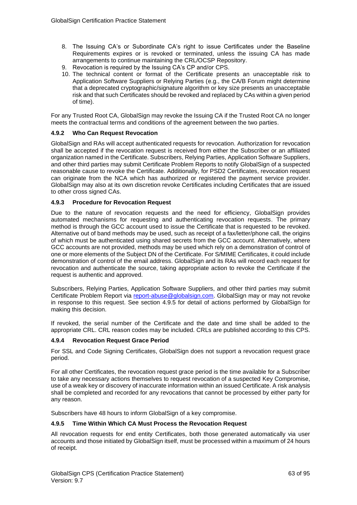- 8. The Issuing CA's or Subordinate CA's right to issue Certificates under the Baseline Requirements expires or is revoked or terminated, unless the issuing CA has made arrangements to continue maintaining the CRL/OCSP Repository.
- 9. Revocation is required by the Issuing CA's CP and/or CPS.
- 10. The technical content or format of the Certificate presents an unacceptable risk to Application Software Suppliers or Relying Parties (e.g., the CA/B Forum might determine that a deprecated cryptographic/signature algorithm or key size presents an unacceptable risk and that such Certificates should be revoked and replaced by CAs within a given period of time).

For any Trusted Root CA, GlobalSign may revoke the Issuing CA if the Trusted Root CA no longer meets the contractual terms and conditions of the agreement between the two parties.

#### **4.9.2 Who Can Request Revocation**

GlobalSign and RAs will accept authenticated requests for revocation. Authorization for revocation shall be accepted if the revocation request is received from either the Subscriber or an affiliated organization named in the Certificate. Subscribers, Relying Parties, Application Software Suppliers, and other third parties may submit Certificate Problem Reports to notify GlobalSign of a suspected reasonable cause to revoke the Certificate. Additionally, for PSD2 Certificates, revocation request can originate from the NCA which has authorized or registered the payment service provider. GlobalSign may also at its own discretion revoke Certificates including Certificates that are issued to other cross signed CAs.

#### **4.9.3 Procedure for Revocation Request**

Due to the nature of revocation requests and the need for efficiency, GlobalSign provides automated mechanisms for requesting and authenticating revocation requests. The primary method is through the GCC account used to issue the Certificate that is requested to be revoked. Alternative out of band methods may be used, such as receipt of a fax/letter/phone call, the origins of which must be authenticated using shared secrets from the GCC account. Alternatively, where GCC accounts are not provided, methods may be used which rely on a demonstration of control of one or more elements of the Subject DN of the Certificate. For S/MIME Certificates, it could include demonstration of control of the email address. GlobalSign and its RAs will record each request for revocation and authenticate the source, taking appropriate action to revoke the Certificate if the request is authentic and approved.

Subscribers, Relying Parties, Application Software Suppliers, and other third parties may submit Certificate Problem Report via [report-abuse@globalsign.com.](mailto:report-abuse@globalsign.com) GlobalSign may or may not revoke in response to this request. See section 4.9.5 for detail of actions performed by GlobalSign for making this decision.

If revoked, the serial number of the Certificate and the date and time shall be added to the appropriate CRL. CRL reason codes may be included. CRLs are published according to this CPS.

#### **4.9.4 Revocation Request Grace Period**

For SSL and Code Signing Certificates, GlobalSign does not support a revocation request grace period.

For all other Certificates, the revocation request grace period is the time available for a Subscriber to take any necessary actions themselves to request revocation of a suspected Key Compromise, use of a weak key or discovery of inaccurate information within an issued Certificate. A risk analysis shall be completed and recorded for any revocations that cannot be processed by either party for any reason.

Subscribers have 48 hours to inform GlobalSign of a key compromise.

#### **4.9.5 Time Within Which CA Must Process the Revocation Request**

All revocation requests for end entity Certificates, both those generated automatically via user accounts and those initiated by GlobalSign itself, must be processed within a maximum of 24 hours of receipt.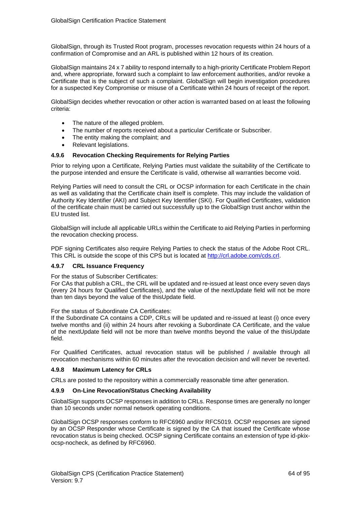GlobalSign, through its Trusted Root program, processes revocation requests within 24 hours of a confirmation of Compromise and an ARL is published within 12 hours of its creation.

GlobalSign maintains 24 x 7 ability to respond internally to a high-priority Certificate Problem Report and, where appropriate, forward such a complaint to law enforcement authorities, and/or revoke a Certificate that is the subject of such a complaint. GlobalSign will begin investigation procedures for a suspected Key Compromise or misuse of a Certificate within 24 hours of receipt of the report.

GlobalSign decides whether revocation or other action is warranted based on at least the following criteria:

- The nature of the alleged problem.
- The number of reports received about a particular Certificate or Subscriber.
- The entity making the complaint; and
- Relevant legislations.

#### **4.9.6 Revocation Checking Requirements for Relying Parties**

Prior to relying upon a Certificate, Relying Parties must validate the suitability of the Certificate to the purpose intended and ensure the Certificate is valid, otherwise all warranties become void.

Relying Parties will need to consult the CRL or OCSP information for each Certificate in the chain as well as validating that the Certificate chain itself is complete. This may include the validation of Authority Key Identifier (AKI) and Subject Key Identifier (SKI). For Qualified Certificates, validation of the certificate chain must be carried out successfully up to the GlobalSign trust anchor within the EU trusted list.

GlobalSign will include all applicable URLs within the Certificate to aid Relying Parties in performing the revocation checking process.

PDF signing Certificates also require Relying Parties to check the status of the Adobe Root CRL. This CRL is outside the scope of this CPS but is located at [http://crl.adobe.com/cds.crl.](http://crl.adobe.com/cds.crl)

#### **4.9.7 CRL Issuance Frequency**

For the status of Subscriber Certificates:

For CAs that publish a CRL, the CRL will be updated and re-issued at least once every seven days (every 24 hours for Qualified Certificates), and the value of the nextUpdate field will not be more than ten days beyond the value of the thisUpdate field.

#### For the status of Subordinate CA Certificates:

If the Subordinate CA contains a CDP, CRLs will be updated and re-issued at least (i) once every twelve months and (ii) within 24 hours after revoking a Subordinate CA Certificate, and the value of the nextUpdate field will not be more than twelve months beyond the value of the thisUpdate field.

For Qualified Certificates, actual revocation status will be published / available through all revocation mechanisms within 60 minutes after the revocation decision and will never be reverted.

#### **4.9.8 Maximum Latency for CRLs**

CRLs are posted to the repository within a commercially reasonable time after generation.

#### **4.9.9 On-Line Revocation/Status Checking Availability**

GlobalSign supports OCSP responses in addition to CRLs. Response times are generally no longer than 10 seconds under normal network operating conditions.

GlobalSign OCSP responses conform to RFC6960 and/or RFC5019. OCSP responses are signed by an OCSP Responder whose Certificate is signed by the CA that issued the Certificate whose revocation status is being checked. OCSP signing Certificate contains an extension of type id-pkixocsp-nocheck, as defined by RFC6960.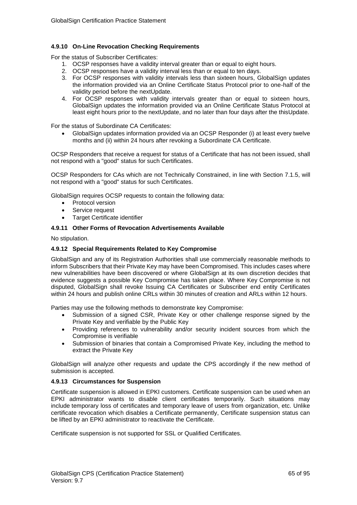### **4.9.10 On-Line Revocation Checking Requirements**

For the status of Subscriber Certificates:

- 1. OCSP responses have a validity interval greater than or equal to eight hours.
- 2. OCSP responses have a validity interval less than or equal to ten days.
- 3. For OCSP responses with validity intervals less than sixteen hours, GlobalSign updates the information provided via an Online Certificate Status Protocol prior to one-half of the validity period before the nextUpdate.
- 4. For OCSP responses with validity intervals greater than or equal to sixteen hours, GlobalSign updates the information provided via an Online Certificate Status Protocol at least eight hours prior to the nextUpdate, and no later than four days after the thisUpdate.

For the status of Subordinate CA Certificates:

• GlobalSign updates information provided via an OCSP Responder (i) at least every twelve months and (ii) within 24 hours after revoking a Subordinate CA Certificate.

OCSP Responders that receive a request for status of a Certificate that has not been issued, shall not respond with a "good" status for such Certificates.

OCSP Responders for CAs which are not Technically Constrained, in line with Section 7.1.5, will not respond with a "good" status for such Certificates.

GlobalSign requires OCSP requests to contain the following data:

- Protocol version
- Service request
- Target Certificate identifier

#### **4.9.11 Other Forms of Revocation Advertisements Available**

No stipulation.

#### **4.9.12 Special Requirements Related to Key Compromise**

GlobalSign and any of its Registration Authorities shall use commercially reasonable methods to inform Subscribers that their Private Key may have been Compromised. This includes cases where new vulnerabilities have been discovered or where GlobalSign at its own discretion decides that evidence suggests a possible Key Compromise has taken place. Where Key Compromise is not disputed, GlobalSign shall revoke Issuing CA Certificates or Subscriber end entity Certificates within 24 hours and publish online CRLs within 30 minutes of creation and ARLs within 12 hours.

Parties may use the following methods to demonstrate key Compromise:

- Submission of a signed CSR, Private Key or other challenge response signed by the Private Key and verifiable by the Public Key
- Providing references to vulnerability and/or security incident sources from which the Compromise is verifiable
- Submission of binaries that contain a Compromised Private Key, including the method to extract the Private Key

GlobalSign will analyze other requests and update the CPS accordingly if the new method of submission is accepted.

#### **4.9.13 Circumstances for Suspension**

Certificate suspension is allowed in EPKI customers. Certificate suspension can be used when an EPKI administrator wants to disable client certificates temporarily. Such situations may include temporary loss of certificates and temporary leave of users from organization, etc. Unlike certificate revocation which disables a Certificate permanently, Certificate suspension status can be lifted by an EPKI administrator to reactivate the Certificate.

Certificate suspension is not supported for SSL or Qualified Certificates.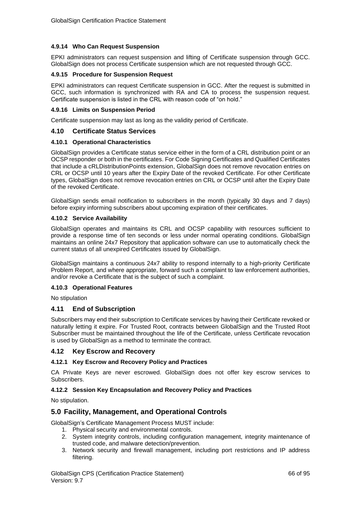## **4.9.14 Who Can Request Suspension**

EPKI administrators can request suspension and lifting of Certificate suspension through GCC. GlobalSign does not process Certificate suspension which are not requested through GCC.

### **4.9.15 Procedure for Suspension Request**

EPKI administrators can request Certificate suspension in GCC. After the request is submitted in GCC, such information is synchronized with RA and CA to process the suspension request. Certificate suspension is listed in the CRL with reason code of "on hold."

#### **4.9.16 Limits on Suspension Period**

Certificate suspension may last as long as the validity period of Certificate.

#### **4.10 Certificate Status Services**

### **4.10.1 Operational Characteristics**

GlobalSign provides a Certificate status service either in the form of a CRL distribution point or an OCSP responder or both in the certificates. For Code Signing Certificates and Qualified Certificates that include a cRLDistributionPoints extension, GlobalSign does not remove revocation entries on CRL or OCSP until 10 years after the Expiry Date of the revoked Certificate. For other Certificate types, GlobalSign does not remove revocation entries on CRL or OCSP until after the Expiry Date of the revoked Certificate.

GlobalSign sends email notification to subscribers in the month (typically 30 days and 7 days) before expiry informing subscribers about upcoming expiration of their certificates.

#### **4.10.2 Service Availability**

GlobalSign operates and maintains its CRL and OCSP capability with resources sufficient to provide a response time of ten seconds or less under normal operating conditions. GlobalSign maintains an online 24x7 Repository that application software can use to automatically check the current status of all unexpired Certificates issued by GlobalSign.

GlobalSign maintains a continuous 24x7 ability to respond internally to a high-priority Certificate Problem Report, and where appropriate, forward such a complaint to law enforcement authorities, and/or revoke a Certificate that is the subject of such a complaint.

### **4.10.3 Operational Features**

No stipulation

### **4.11 End of Subscription**

Subscribers may end their subscription to Certificate services by having their Certificate revoked or naturally letting it expire. For Trusted Root, contracts between GlobalSign and the Trusted Root Subscriber must be maintained throughout the life of the Certificate, unless Certificate revocation is used by GlobalSign as a method to terminate the contract.

### **4.12 Key Escrow and Recovery**

### **4.12.1 Key Escrow and Recovery Policy and Practices**

CA Private Keys are never escrowed. GlobalSign does not offer key escrow services to **Subscribers** 

### **4.12.2 Session Key Encapsulation and Recovery Policy and Practices**

No stipulation.

# **5.0 Facility, Management, and Operational Controls**

GlobalSign's Certificate Management Process MUST include:

- 1. Physical security and environmental controls.
- 2. System integrity controls, including configuration management, integrity maintenance of trusted code, and malware detection/prevention.
- 3. Network security and firewall management, including port restrictions and IP address filtering.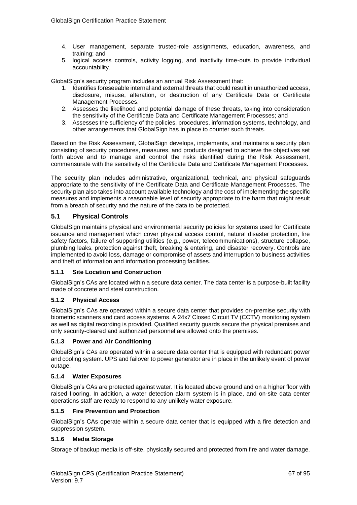- 4. User management, separate trusted-role assignments, education, awareness, and training; and
- 5. logical access controls, activity logging, and inactivity time-outs to provide individual accountability.

GlobalSign's security program includes an annual Risk Assessment that:

- 1. Identifies foreseeable internal and external threats that could result in unauthorized access, disclosure, misuse, alteration, or destruction of any Certificate Data or Certificate Management Processes.
- 2. Assesses the likelihood and potential damage of these threats, taking into consideration the sensitivity of the Certificate Data and Certificate Management Processes; and
- 3. Assesses the sufficiency of the policies, procedures, information systems, technology, and other arrangements that GlobalSign has in place to counter such threats.

Based on the Risk Assessment, GlobalSign develops, implements, and maintains a security plan consisting of security procedures, measures, and products designed to achieve the objectives set forth above and to manage and control the risks identified during the Risk Assessment, commensurate with the sensitivity of the Certificate Data and Certificate Management Processes.

The security plan includes administrative, organizational, technical, and physical safeguards appropriate to the sensitivity of the Certificate Data and Certificate Management Processes. The security plan also takes into account available technology and the cost of implementing the specific measures and implements a reasonable level of security appropriate to the harm that might result from a breach of security and the nature of the data to be protected.

# **5.1 Physical Controls**

GlobalSign maintains physical and environmental security policies for systems used for Certificate issuance and management which cover physical access control, natural disaster protection, fire safety factors, failure of supporting utilities (e.g., power, telecommunications), structure collapse, plumbing leaks, protection against theft, breaking & entering, and disaster recovery. Controls are implemented to avoid loss, damage or compromise of assets and interruption to business activities and theft of information and information processing facilities.

### **5.1.1 Site Location and Construction**

GlobalSign's CAs are located within a secure data center. The data center is a purpose-built facility made of concrete and steel construction.

### **5.1.2 Physical Access**

GlobalSign's CAs are operated within a secure data center that provides on-premise security with biometric scanners and card access systems. A 24x7 Closed Circuit TV (CCTV) monitoring system as well as digital recording is provided. Qualified security guards secure the physical premises and only security-cleared and authorized personnel are allowed onto the premises.

### **5.1.3 Power and Air Conditioning**

GlobalSign's CAs are operated within a secure data center that is equipped with redundant power and cooling system. UPS and failover to power generator are in place in the unlikely event of power outage.

### **5.1.4 Water Exposures**

GlobalSign's CAs are protected against water. It is located above ground and on a higher floor with raised flooring. In addition, a water detection alarm system is in place, and on-site data center operations staff are ready to respond to any unlikely water exposure.

### **5.1.5 Fire Prevention and Protection**

GlobalSign's CAs operate within a secure data center that is equipped with a fire detection and suppression system.

### **5.1.6 Media Storage**

Storage of backup media is off-site, physically secured and protected from fire and water damage.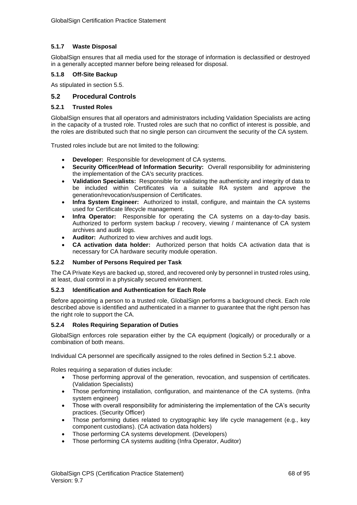# **5.1.7 Waste Disposal**

GlobalSign ensures that all media used for the storage of information is declassified or destroyed in a generally accepted manner before being released for disposal.

## **5.1.8 Off-Site Backup**

As stipulated in section 5.5.

# **5.2 Procedural Controls**

### **5.2.1 Trusted Roles**

GlobalSign ensures that all operators and administrators including Validation Specialists are acting in the capacity of a trusted role. Trusted roles are such that no conflict of interest is possible, and the roles are distributed such that no single person can circumvent the security of the CA system.

Trusted roles include but are not limited to the following:

- **Developer:** Responsible for development of CA systems.
- **Security Officer/Head of Information Security:** Overall responsibility for administering the implementation of the CA's security practices.
- **Validation Specialists:** Responsible for validating the authenticity and integrity of data to be included within Certificates via a suitable RA system and approve the generation/revocation/suspension of Certificates.
- **Infra System Engineer:** Authorized to install, configure, and maintain the CA systems used for Certificate lifecycle management.
- **Infra Operator:** Responsible for operating the CA systems on a day-to-day basis. Authorized to perform system backup / recovery, viewing / maintenance of CA system archives and audit logs.
- **Auditor:** Authorized to view archives and audit logs.
- **CA activation data holder:** Authorized person that holds CA activation data that is necessary for CA hardware security module operation.

### **5.2.2 Number of Persons Required per Task**

The CA Private Keys are backed up, stored, and recovered only by personnel in trusted roles using, at least, dual control in a physically secured environment.

### **5.2.3 Identification and Authentication for Each Role**

Before appointing a person to a trusted role, GlobalSign performs a background check. Each role described above is identified and authenticated in a manner to guarantee that the right person has the right role to support the CA.

### **5.2.4 Roles Requiring Separation of Duties**

GlobalSign enforces role separation either by the CA equipment (logically) or procedurally or a combination of both means.

Individual CA personnel are specifically assigned to the roles defined in Section 5.2.1 above.

Roles requiring a separation of duties include:

- Those performing approval of the generation, revocation, and suspension of certificates. (Validation Specialists)
- Those performing installation, configuration, and maintenance of the CA systems. (Infra system engineer)
- Those with overall responsibility for administering the implementation of the CA's security practices. (Security Officer)
- Those performing duties related to cryptographic key life cycle management (e.g., key component custodians). (CA activation data holders)
- Those performing CA systems development. (Developers)
- Those performing CA systems auditing (Infra Operator, Auditor)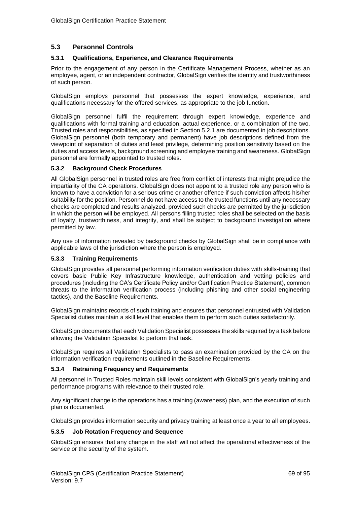# **5.3 Personnel Controls**

#### **5.3.1 Qualifications, Experience, and Clearance Requirements**

Prior to the engagement of any person in the Certificate Management Process, whether as an employee, agent, or an independent contractor, GlobalSign verifies the identity and trustworthiness of such person.

GlobalSign employs personnel that possesses the expert knowledge, experience, and qualifications necessary for the offered services, as appropriate to the job function.

GlobalSign personnel fulfil the requirement through expert knowledge, experience and qualifications with formal training and education, actual experience, or a combination of the two. Trusted roles and responsibilities, as specified in Section 5.2.1 are documented in job descriptions. GlobalSign personnel (both temporary and permanent) have job descriptions defined from the viewpoint of separation of duties and least privilege, determining position sensitivity based on the duties and access levels, background screening and employee training and awareness. GlobalSign personnel are formally appointed to trusted roles.

#### **5.3.2 Background Check Procedures**

All GlobalSign personnel in trusted roles are free from conflict of interests that might prejudice the impartiality of the CA operations. GlobalSign does not appoint to a trusted role any person who is known to have a conviction for a serious crime or another offence if such conviction affects his/her suitability for the position. Personnel do not have access to the trusted functions until any necessary checks are completed and results analyzed, provided such checks are permitted by the jurisdiction in which the person will be employed. All persons filling trusted roles shall be selected on the basis of loyalty, trustworthiness, and integrity, and shall be subject to background investigation where permitted by law.

Any use of information revealed by background checks by GlobalSign shall be in compliance with applicable laws of the jurisdiction where the person is employed.

#### **5.3.3 Training Requirements**

GlobalSign provides all personnel performing information verification duties with skills-training that covers basic Public Key Infrastructure knowledge, authentication and vetting policies and procedures (including the CA's Certificate Policy and/or Certification Practice Statement), common threats to the information verification process (including phishing and other social engineering tactics), and the Baseline Requirements.

GlobalSign maintains records of such training and ensures that personnel entrusted with Validation Specialist duties maintain a skill level that enables them to perform such duties satisfactorily.

GlobalSign documents that each Validation Specialist possesses the skills required by a task before allowing the Validation Specialist to perform that task.

GlobalSign requires all Validation Specialists to pass an examination provided by the CA on the information verification requirements outlined in the Baseline Requirements.

#### **5.3.4 Retraining Frequency and Requirements**

All personnel in Trusted Roles maintain skill levels consistent with GlobalSign's yearly training and performance programs with relevance to their trusted role.

Any significant change to the operations has a training (awareness) plan, and the execution of such plan is documented.

GlobalSign provides information security and privacy training at least once a year to all employees.

#### **5.3.5 Job Rotation Frequency and Sequence**

GlobalSign ensures that any change in the staff will not affect the operational effectiveness of the service or the security of the system.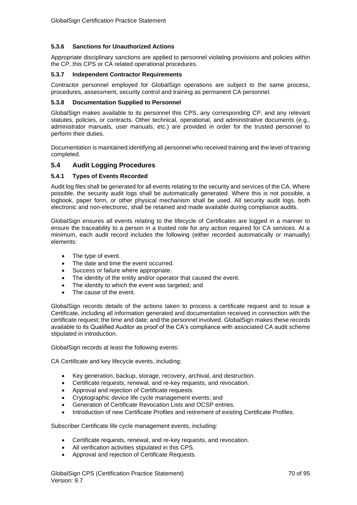## **5.3.6 Sanctions for Unauthorized Actions**

Appropriate disciplinary sanctions are applied to personnel violating provisions and policies within the CP, this CPS or CA related operational procedures.

### **5.3.7 Independent Contractor Requirements**

Contractor personnel employed for GlobalSign operations are subject to the same process, procedures, assessment, security control and training as permanent CA personnel.

#### **5.3.8 Documentation Supplied to Personnel**

GlobalSign makes available to its personnel this CPS, any corresponding CP, and any relevant statutes, policies, or contracts. Other technical, operational, and administrative documents (e.g., administrator manuals, user manuals, etc.) are provided in order for the trusted personnel to perform their duties.

Documentation is maintained identifying all personnel who received training and the level of training completed.

## **5.4 Audit Logging Procedures**

#### **5.4.1 Types of Events Recorded**

Audit log files shall be generated for all events relating to the security and services of the CA. Where possible, the security audit logs shall be automatically generated. Where this is not possible, a logbook, paper form, or other physical mechanism shall be used. All security audit logs, both electronic and non-electronic, shall be retained and made available during compliance audits.

GlobalSign ensures all events relating to the lifecycle of Certificates are logged in a manner to ensure the traceability to a person in a trusted role for any action required for CA services. At a minimum, each audit record includes the following (either recorded automatically or manually) elements:

- The type of event.
- The date and time the event occurred.
- Success or failure where appropriate.
- The identity of the entity and/or operator that caused the event.
- The identity to which the event was targeted; and
- The cause of the event.

GlobalSign records details of the actions taken to process a certificate request and to issue a Certificate, including all information generated and documentation received in connection with the certificate request; the time and date; and the personnel involved. GlobalSign makes these records available to its Qualified Auditor as proof of the CA's compliance with associated CA audit scheme stipulated in introduction.

GlobalSign records at least the following events:

CA Certificate and key lifecycle events, including:

- Key generation, backup, storage, recovery, archival, and destruction.
- Certificate requests, renewal, and re-key requests, and revocation.
- Approval and rejection of Certificate requests.
- Cryptographic device life cycle management events; and
- Generation of Certificate Revocation Lists and OCSP entries.
- Introduction of new Certificate Profiles and retirement of existing Certificate Profiles.

Subscriber Certificate life cycle management events, including:

- Certificate requests, renewal, and re-key requests, and revocation.
- All verification activities stipulated in this CPS.
- Approval and rejection of Certificate Requests.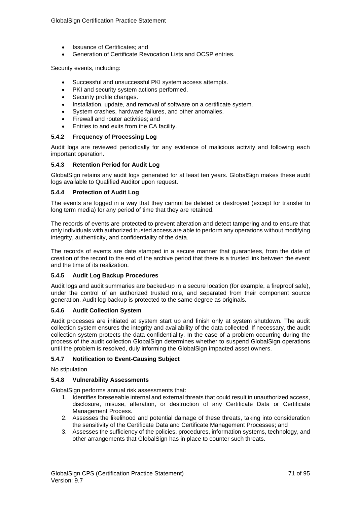- Issuance of Certificates; and
- Generation of Certificate Revocation Lists and OCSP entries.

Security events, including:

- Successful and unsuccessful PKI system access attempts.
- PKI and security system actions performed.
- Security profile changes.
- Installation, update, and removal of software on a certificate system.
- System crashes, hardware failures, and other anomalies.
- Firewall and router activities; and
- Entries to and exits from the CA facility.

#### **5.4.2 Frequency of Processing Log**

Audit logs are reviewed periodically for any evidence of malicious activity and following each important operation.

#### **5.4.3 Retention Period for Audit Log**

GlobalSign retains any audit logs generated for at least ten years. GlobalSign makes these audit logs available to Qualified Auditor upon request.

#### **5.4.4 Protection of Audit Log**

The events are logged in a way that they cannot be deleted or destroyed (except for transfer to long term media) for any period of time that they are retained.

The records of events are protected to prevent alteration and detect tampering and to ensure that only individuals with authorized trusted access are able to perform any operations without modifying integrity, authenticity, and confidentiality of the data.

The records of events are date stamped in a secure manner that guarantees, from the date of creation of the record to the end of the archive period that there is a trusted link between the event and the time of its realization.

### **5.4.5 Audit Log Backup Procedures**

Audit logs and audit summaries are backed-up in a secure location (for example, a fireproof safe), under the control of an authorized trusted role, and separated from their component source generation. Audit log backup is protected to the same degree as originals.

### **5.4.6 Audit Collection System**

Audit processes are initiated at system start up and finish only at system shutdown. The audit collection system ensures the integrity and availability of the data collected. If necessary, the audit collection system protects the data confidentiality. In the case of a problem occurring during the process of the audit collection GlobalSign determines whether to suspend GlobalSign operations until the problem is resolved, duly informing the GlobalSign impacted asset owners.

### **5.4.7 Notification to Event-Causing Subject**

No stipulation.

#### **5.4.8 Vulnerability Assessments**

GlobalSign performs annual risk assessments that:

- 1. Identifies foreseeable internal and external threats that could result in unauthorized access, disclosure, misuse, alteration, or destruction of any Certificate Data or Certificate Management Process.
- 2. Assesses the likelihood and potential damage of these threats, taking into consideration the sensitivity of the Certificate Data and Certificate Management Processes; and
- 3. Assesses the sufficiency of the policies, procedures, information systems, technology, and other arrangements that GlobalSign has in place to counter such threats.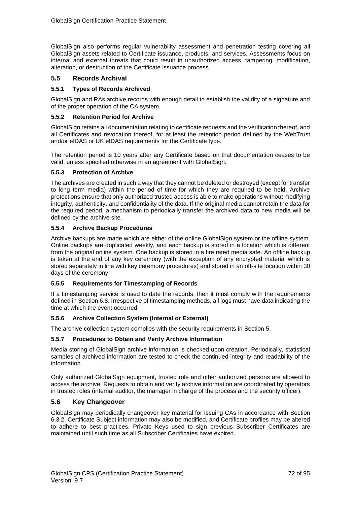GlobalSign also performs regular vulnerability assessment and penetration testing covering all GlobalSign assets related to Certificate issuance, products, and services. Assessments focus on internal and external threats that could result in unauthorized access, tampering, modification, alteration, or destruction of the Certificate issuance process.

# **5.5 Records Archival**

## **5.5.1 Types of Records Archived**

GlobalSign and RAs archive records with enough detail to establish the validity of a signature and of the proper operation of the CA system.

### **5.5.2 Retention Period for Archive**

GlobalSign retains all documentation relating to certificate requests and the verification thereof, and all Certificates and revocation thereof, for at least the retention period defined by the WebTrust and/or eIDAS or UK eIDAS requirements for the Certificate type.

The retention period is 10 years after any Certificate based on that documentation ceases to be valid, unless specified otherwise in an agreement with GlobalSign.

### **5.5.3 Protection of Archive**

The archives are created in such a way that they cannot be deleted or destroyed (except for transfer to long term media) within the period of time for which they are required to be held. Archive protections ensure that only authorized trusted access is able to make operations without modifying integrity, authenticity, and confidentiality of the data. If the original media cannot retain the data for the required period, a mechanism to periodically transfer the archived data to new media will be defined by the archive site.

## **5.5.4 Archive Backup Procedures**

Archive backups are made which are either of the online GlobalSign system or the offline system. Online backups are duplicated weekly, and each backup is stored in a location which is different from the original online system. One backup is stored in a fire rated media safe. An offline backup is taken at the end of any key ceremony (with the exception of any encrypted material which is stored separately in line with key ceremony procedures) and stored in an off-site location within 30 days of the ceremony.

### **5.5.5 Requirements for Timestamping of Records**

If a timestamping service is used to date the records, then it must comply with the requirements defined in Section 6.8. Irrespective of timestamping methods, all logs must have data indicating the time at which the event occurred.

### **5.5.6 Archive Collection System (Internal or External)**

The archive collection system complies with the security requirements in Section 5.

### **5.5.7 Procedures to Obtain and Verify Archive Information**

Media storing of GlobalSign archive information is checked upon creation. Periodically, statistical samples of archived information are tested to check the continued integrity and readability of the information.

Only authorized GlobalSign equipment, trusted role and other authorized persons are allowed to access the archive. Requests to obtain and verify archive information are coordinated by operators in trusted roles (internal auditor, the manager in charge of the process and the security officer).

# **5.6 Key Changeover**

GlobalSign may periodically changeover key material for Issuing CAs in accordance with Section 6.3.2. Certificate Subject information may also be modified, and Certificate profiles may be altered to adhere to best practices. Private Keys used to sign previous Subscriber Certificates are maintained until such time as all Subscriber Certificates have expired.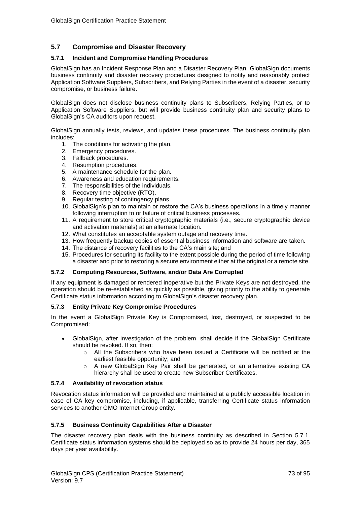## **5.7 Compromise and Disaster Recovery**

### **5.7.1 Incident and Compromise Handling Procedures**

GlobalSign has an Incident Response Plan and a Disaster Recovery Plan. GlobalSign documents business continuity and disaster recovery procedures designed to notify and reasonably protect Application Software Suppliers, Subscribers, and Relying Parties in the event of a disaster, security compromise, or business failure.

GlobalSign does not disclose business continuity plans to Subscribers, Relying Parties, or to Application Software Suppliers, but will provide business continuity plan and security plans to GlobalSign's CA auditors upon request.

GlobalSign annually tests, reviews, and updates these procedures. The business continuity plan includes:

- 1. The conditions for activating the plan.
- 2. Emergency procedures.
- 3. Fallback procedures.
- 4. Resumption procedures.
- 5. A maintenance schedule for the plan.
- 6. Awareness and education requirements.
- 7. The responsibilities of the individuals.
- 8. Recovery time objective (RTO).
- 9. Regular testing of contingency plans.
- 10. GlobalSign's plan to maintain or restore the CA's business operations in a timely manner following interruption to or failure of critical business processes.
- 11. A requirement to store critical cryptographic materials (i.e., secure cryptographic device and activation materials) at an alternate location.
- 12. What constitutes an acceptable system outage and recovery time.
- 13. How frequently backup copies of essential business information and software are taken.
- 14. The distance of recovery facilities to the CA's main site; and
- 15. Procedures for securing its facility to the extent possible during the period of time following a disaster and prior to restoring a secure environment either at the original or a remote site.

#### **5.7.2 Computing Resources, Software, and/or Data Are Corrupted**

If any equipment is damaged or rendered inoperative but the Private Keys are not destroyed, the operation should be re-established as quickly as possible, giving priority to the ability to generate Certificate status information according to GlobalSign's disaster recovery plan.

## **5.7.3 Entity Private Key Compromise Procedures**

In the event a GlobalSign Private Key is Compromised, lost, destroyed, or suspected to be Compromised:

- GlobalSign, after investigation of the problem, shall decide if the GlobalSign Certificate should be revoked. If so, then:
	- o All the Subscribers who have been issued a Certificate will be notified at the earliest feasible opportunity; and
	- o A new GlobalSign Key Pair shall be generated, or an alternative existing CA hierarchy shall be used to create new Subscriber Certificates.

#### **5.7.4 Availability of revocation status**

Revocation status information will be provided and maintained at a publicly accessible location in case of CA key compromise, including, if applicable, transferring Certificate status information services to another GMO Internet Group entity.

## **5.7.5 Business Continuity Capabilities After a Disaster**

The disaster recovery plan deals with the business continuity as described in Section 5.7.1. Certificate status information systems should be deployed so as to provide 24 hours per day, 365 days per year availability.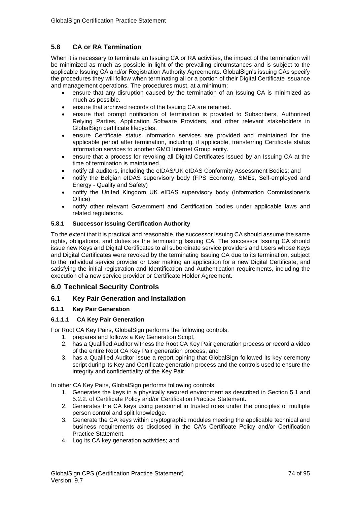# **5.8 CA or RA Termination**

When it is necessary to terminate an Issuing CA or RA activities, the impact of the termination will be minimized as much as possible in light of the prevailing circumstances and is subject to the applicable Issuing CA and/or Registration Authority Agreements. GlobalSign's issuing CAs specify the procedures they will follow when terminating all or a portion of their Digital Certificate issuance and management operations. The procedures must, at a minimum:

- ensure that any disruption caused by the termination of an Issuing CA is minimized as much as possible.
- ensure that archived records of the Issuing CA are retained.
- ensure that prompt notification of termination is provided to Subscribers, Authorized Relying Parties, Application Software Providers, and other relevant stakeholders in GlobalSign certificate lifecycles.
- ensure Certificate status information services are provided and maintained for the applicable period after termination, including, if applicable, transferring Certificate status information services to another GMO Internet Group entity.
- ensure that a process for revoking all Digital Certificates issued by an Issuing CA at the time of termination is maintained.
- notify all auditors, including the eIDAS/UK eIDAS Conformity Assessment Bodies; and
- notify the Belgian eIDAS supervisory body (FPS Economy, SMEs, Self-employed and Energy - Quality and Safety)
- notify the United Kingdom UK eIDAS supervisory body (Information Commissioner's Office)
- notify other relevant Government and Certification bodies under applicable laws and related regulations.

## **5.8.1 Successor Issuing Certification Authority**

To the extent that it is practical and reasonable, the successor Issuing CA should assume the same rights, obligations, and duties as the terminating Issuing CA. The successor Issuing CA should issue new Keys and Digital Certificates to all subordinate service providers and Users whose Keys and Digital Certificates were revoked by the terminating Issuing CA due to its termination, subject to the individual service provider or User making an application for a new Digital Certificate, and satisfying the initial registration and Identification and Authentication requirements, including the execution of a new service provider or Certificate Holder Agreement.

# **6.0 Technical Security Controls**

## **6.1 Key Pair Generation and Installation**

## **6.1.1 Key Pair Generation**

## **6.1.1.1 CA Key Pair Generation**

For Root CA Key Pairs, GlobalSign performs the following controls.

- 1. prepares and follows a Key Generation Script,
- 2. has a Qualified Auditor witness the Root CA Key Pair generation process or record a video of the entire Root CA Key Pair generation process, and
- 3. has a Qualified Auditor issue a report opining that GlobalSign followed its key ceremony script during its Key and Certificate generation process and the controls used to ensure the integrity and confidentiality of the Key Pair.

In other CA Key Pairs, GlobalSign performs following controls:

- 1. Generates the keys in a physically secured environment as described in Section 5.1 and 5.2.2. of Certificate Policy and/or Certification Practice Statement.
- 2. Generates the CA keys using personnel in trusted roles under the principles of multiple person control and split knowledge.
- 3. Generate the CA keys within cryptographic modules meeting the applicable technical and business requirements as disclosed in the CA's Certificate Policy and/or Certification Practice Statement.
- 4. Log its CA key generation activities; and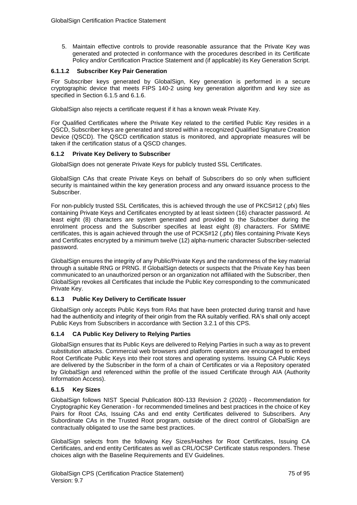5. Maintain effective controls to provide reasonable assurance that the Private Key was generated and protected in conformance with the procedures described in its Certificate Policy and/or Certification Practice Statement and (if applicable) its Key Generation Script.

### **6.1.1.2 Subscriber Key Pair Generation**

For Subscriber keys generated by GlobalSign, Key generation is performed in a secure cryptographic device that meets FIPS 140-2 using key generation algorithm and key size as specified in Section 6.1.5 and 6.1.6.

GlobalSign also rejects a certificate request if it has a known weak Private Key.

For Qualified Certificates where the Private Key related to the certified Public Key resides in a QSCD, Subscriber keys are generated and stored within a recognized Qualified Signature Creation Device (QSCD). The QSCD certification status is monitored, and appropriate measures will be taken if the certification status of a QSCD changes.

### **6.1.2 Private Key Delivery to Subscriber**

GlobalSign does not generate Private Keys for publicly trusted SSL Certificates.

GlobalSign CAs that create Private Keys on behalf of Subscribers do so only when sufficient security is maintained within the key generation process and any onward issuance process to the Subscriber.

For non-publicly trusted SSL Certificates, this is achieved through the use of PKCS#12 (.pfx) files containing Private Keys and Certificates encrypted by at least sixteen (16) character password. At least eight (8) characters are system generated and provided to the Subscriber during the enrolment process and the Subscriber specifies at least eight (8) characters. For SMIME certificates, this is again achieved through the use of PCKS#12 (.pfx) files containing Private Keys and Certificates encrypted by a minimum twelve (12) alpha-numeric character Subscriber-selected password.

GlobalSign ensures the integrity of any Public/Private Keys and the randomness of the key material through a suitable RNG or PRNG. If GlobalSign detects or suspects that the Private Key has been communicated to an unauthorized person or an organization not affiliated with the Subscriber, then GlobalSign revokes all Certificates that include the Public Key corresponding to the communicated Private Key.

## **6.1.3 Public Key Delivery to Certificate Issuer**

GlobalSign only accepts Public Keys from RAs that have been protected during transit and have had the authenticity and integrity of their origin from the RA suitably verified. RA's shall only accept Public Keys from Subscribers in accordance with Section 3.2.1 of this CPS.

## **6.1.4 CA Public Key Delivery to Relying Parties**

GlobalSign ensures that its Public Keys are delivered to Relying Parties in such a way as to prevent substitution attacks. Commercial web browsers and platform operators are encouraged to embed Root Certificate Public Keys into their root stores and operating systems. Issuing CA Public Keys are delivered by the Subscriber in the form of a chain of Certificates or via a Repository operated by GlobalSign and referenced within the profile of the issued Certificate through AIA (Authority Information Access).

#### **6.1.5 Key Sizes**

GlobalSign follows NIST [Special Publication 800-133](http://nvlpubs.nist.gov/nistpubs/SpecialPublications/NIST.SP.800-133.pdf) Revision 2 (2020) - Recommendation for Cryptographic Key Generation - for recommended timelines and best practices in the choice of Key Pairs for Root CAs, Issuing CAs and end entity Certificates delivered to Subscribers. Any Subordinate CAs in the Trusted Root program, outside of the direct control of GlobalSign are contractually obligated to use the same best practices.

GlobalSign selects from the following Key Sizes/Hashes for Root Certificates, Issuing CA Certificates, and end entity Certificates as well as CRL/OCSP Certificate status responders. These choices align with the Baseline Requirements and EV Guidelines.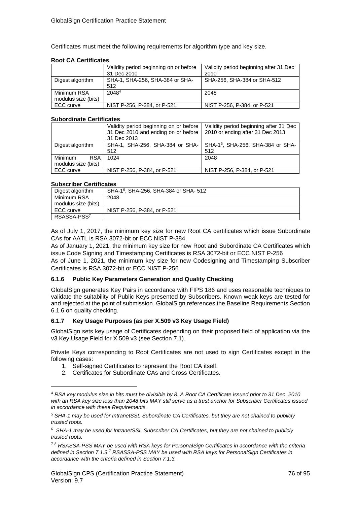Certificates must meet the following requirements for algorithm type and key size.

### **Root CA Certificates**

|                                    | Validity period beginning on or before<br>31 Dec 2010 | Validity period beginning after 31 Dec<br>2010 |  |
|------------------------------------|-------------------------------------------------------|------------------------------------------------|--|
| Digest algorithm                   | SHA-1, SHA-256, SHA-384 or SHA-<br>512                | SHA-256, SHA-384 or SHA-512                    |  |
| Minimum RSA<br>modulus size (bits) | 20484                                                 | 2048                                           |  |
| ECC curve                          | NIST P-256, P-384, or P-521                           | NIST P-256, P-384, or P-521                    |  |

### **Subordinate Certificates**

|                       | Validity period beginning on or before<br>31 Dec 2010 and ending on or before<br>31 Dec 2013 | Validity period beginning after 31 Dec<br>2010 or ending after 31 Dec 2013 |  |
|-----------------------|----------------------------------------------------------------------------------------------|----------------------------------------------------------------------------|--|
| Digest algorithm      | SHA-1, SHA-256, SHA-384 or SHA-                                                              | SHA-1 <sup>5</sup> , SHA-256, SHA-384 or SHA-                              |  |
|                       | 512                                                                                          | 512                                                                        |  |
| Minimum<br><b>RSA</b> | 1024                                                                                         | 2048                                                                       |  |
| modulus size (bits)   |                                                                                              |                                                                            |  |
| ECC curve             | NIST P-256, P-384, or P-521                                                                  | NIST P-256, P-384, or P-521                                                |  |

#### **Subscriber Certificates**

| Digest algorithm        | SHA-1 <sup>6</sup> , SHA-256, SHA-384 or SHA- 512 |  |
|-------------------------|---------------------------------------------------|--|
| Minimum RSA             | 2048                                              |  |
| modulus size (bits)     |                                                   |  |
| ECC curve               | NIST P-256, P-384, or P-521                       |  |
| RSASSA-PSS <sup>7</sup> |                                                   |  |

As of July 1, 2017, the minimum key size for new Root CA certificates which issue Subordinate CAs for AATL is RSA 3072-bit or ECC NIST P-384.

As of January 1, 2021, the minimum key size for new Root and Subordinate CA Certificates which issue Code Signing and Timestamping Certificates is RSA 3072-bit or ECC NIST P-256 As of June 1, 2021, the minimum key size for new Codesigning and Timestamping Subscriber Certificates is RSA 3072-bit or ECC NIST P-256.

## **6.1.6 Public Key Parameters Generation and Quality Checking**

GlobalSign generates Key Pairs in accordance with FIPS 186 and uses reasonable techniques to validate the suitability of Public Keys presented by Subscribers. Known weak keys are tested for and rejected at the point of submission. GlobalSign references the Baseline Requirements Section 6.1.6 on quality checking.

## **6.1.7 Key Usage Purposes (as per X.509 v3 Key Usage Field)**

GlobalSign sets key usage of Certificates depending on their proposed field of application via the v3 Key Usage Field for X.509 v3 (see Section 7.1).

Private Keys corresponding to Root Certificates are not used to sign Certificates except in the following cases:

- 1. Self-signed Certificates to represent the Root CA itself.
- 2. Certificates for Subordinate CAs and Cross Certificates.

<sup>4</sup> *RSA key modulus size in bits must be divisible by 8. A Root CA Certificate issued prior to 31 Dec. 2010 with an RSA key size less than 2048 bits MAY still serve as a trust anchor for Subscriber Certificates issued in accordance with these Requirements.*

<sup>5</sup> *SHA-1 may be used for IntranetSSL Subordinate CA Certificates, but they are not chained to publicly trusted roots.*

<sup>6</sup> *SHA-1 may be used for IntranetSSL Subscriber CA Certificates, but they are not chained to publicly trusted roots.*

<sup>7</sup> <sup>8</sup> *RSASSA-PSS MAY be used with RSA keys for PersonalSign Certificates in accordance with the criteria defined in Section 7.1.3.*<sup>7</sup> *RSASSA-PSS MAY be used with RSA keys for PersonalSign Certificates in accordance with the criteria defined in Section 7.1.3.*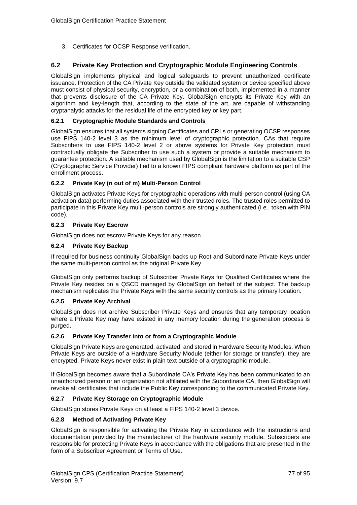3. Certificates for OCSP Response verification.

## **6.2 Private Key Protection and Cryptographic Module Engineering Controls**

GlobalSign implements physical and logical safeguards to prevent unauthorized certificate issuance. Protection of the CA Private Key outside the validated system or device specified above must consist of physical security, encryption, or a combination of both, implemented in a manner that prevents disclosure of the CA Private Key. GlobalSign encrypts its Private Key with an algorithm and key-length that, according to the state of the art, are capable of withstanding cryptanalytic attacks for the residual life of the encrypted key or key part.

## **6.2.1 Cryptographic Module Standards and Controls**

GlobalSign ensures that all systems signing Certificates and CRLs or generating OCSP responses use FIPS 140-2 level 3 as the minimum level of cryptographic protection. CAs that require Subscribers to use FIPS 140-2 level 2 or above systems for Private Key protection must contractually obligate the Subscriber to use such a system or provide a suitable mechanism to guarantee protection. A suitable mechanism used by GlobalSign is the limitation to a suitable CSP (Cryptographic Service Provider) tied to a known FIPS compliant hardware platform as part of the enrollment process.

## **6.2.2 Private Key (n out of m) Multi-Person Control**

GlobalSign activates Private Keys for cryptographic operations with multi-person control (using CA activation data) performing duties associated with their trusted roles. The trusted roles permitted to participate in this Private Key multi-person controls are strongly authenticated (i.e., token with PIN code).

## **6.2.3 Private Key Escrow**

GlobalSign does not escrow Private Keys for any reason.

## **6.2.4 Private Key Backup**

If required for business continuity GlobalSign backs up Root and Subordinate Private Keys under the same multi-person control as the original Private Key.

GlobalSign only performs backup of Subscriber Private Keys for Qualified Certificates where the Private Key resides on a QSCD managed by GlobalSign on behalf of the subject. The backup mechanism replicates the Private Keys with the same security controls as the primary location.

#### **6.2.5 Private Key Archival**

GlobalSign does not archive Subscriber Private Keys and ensures that any temporary location where a Private Key may have existed in any memory location during the generation process is purged.

## **6.2.6 Private Key Transfer into or from a Cryptographic Module**

GlobalSign Private Keys are generated, activated, and stored in Hardware Security Modules. When Private Keys are outside of a Hardware Security Module (either for storage or transfer), they are encrypted. Private Keys never exist in plain text outside of a cryptographic module.

If GlobalSign becomes aware that a Subordinate CA's Private Key has been communicated to an unauthorized person or an organization not affiliated with the Subordinate CA, then GlobalSign will revoke all certificates that include the Public Key corresponding to the communicated Private Key.

## **6.2.7 Private Key Storage on Cryptographic Module**

GlobalSign stores Private Keys on at least a FIPS 140-2 level 3 device.

#### **6.2.8 Method of Activating Private Key**

GlobalSign is responsible for activating the Private Key in accordance with the instructions and documentation provided by the manufacturer of the hardware security module. Subscribers are responsible for protecting Private Keys in accordance with the obligations that are presented in the form of a Subscriber Agreement or Terms of Use.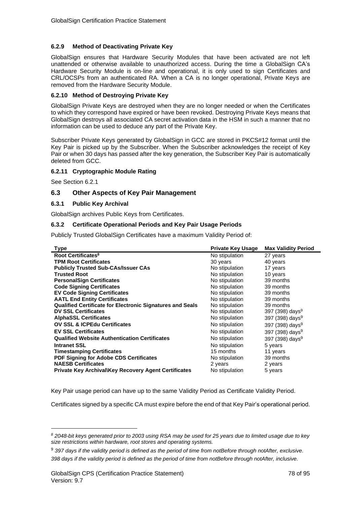## **6.2.9 Method of Deactivating Private Key**

GlobalSign ensures that Hardware Security Modules that have been activated are not left unattended or otherwise available to unauthorized access. During the time a GlobalSign CA's Hardware Security Module is on-line and operational, it is only used to sign Certificates and CRL/OCSPs from an authenticated RA. When a CA is no longer operational, Private Keys are removed from the Hardware Security Module.

## **6.2.10 Method of Destroying Private Key**

GlobalSign Private Keys are destroyed when they are no longer needed or when the Certificates to which they correspond have expired or have been revoked. Destroying Private Keys means that GlobalSign destroys all associated CA secret activation data in the HSM in such a manner that no information can be used to deduce any part of the Private Key.

Subscriber Private Keys generated by GlobalSign in GCC are stored in PKCS#12 format until the Key Pair is picked up by the Subscriber. When the Subscriber acknowledges the receipt of Key Pair or when 30 days has passed after the key generation, the Subscriber Key Pair is automatically deleted from GCC.

## **6.2.11 Cryptographic Module Rating**

See Section 6.2.1

## **6.3 Other Aspects of Key Pair Management**

## **6.3.1 Public Key Archival**

GlobalSign archives Public Keys from Certificates.

## **6.3.2 Certificate Operational Periods and Key Pair Usage Periods**

Publicly Trusted GlobalSign Certificates have a maximum Validity Period of:

<span id="page-77-0"></span>

| <b>Type</b>                                                      | <b>Private Key Usage</b> | <b>Max Validity Period</b>  |
|------------------------------------------------------------------|--------------------------|-----------------------------|
| Root Certificates <sup>8</sup>                                   | No stipulation           | 27 years                    |
| <b>TPM Root Certificates</b>                                     | 30 years                 | 40 years                    |
| <b>Publicly Trusted Sub-CAs/Issuer CAs</b>                       | No stipulation           | 17 years                    |
| <b>Trusted Root</b>                                              | No stipulation           | 10 years                    |
| <b>PersonalSign Certificates</b>                                 | No stipulation           | 39 months                   |
| <b>Code Signing Certificates</b>                                 | No stipulation           | 39 months                   |
| <b>EV Code Signing Certificates</b>                              | No stipulation           | 39 months                   |
| <b>AATL End Entity Certificates</b>                              | No stipulation           | 39 months                   |
| <b>Qualified Certificate for Electronic Signatures and Seals</b> | No stipulation           | 39 months                   |
| <b>DV SSL Certificates</b>                                       | No stipulation           | 397 (398) days <sup>9</sup> |
| <b>AlphaSSL Certificates</b>                                     | No stipulation           | 397 (398) days <sup>9</sup> |
| <b>OV SSL &amp; ICPEdu Certificates</b>                          | No stipulation           | 397 (398) days <sup>9</sup> |
| <b>EV SSL Certificates</b>                                       | No stipulation           | 397 (398) days <sup>9</sup> |
| <b>Qualified Website Authentication Certificates</b>             | No stipulation           | 397 (398) days <sup>9</sup> |
| <b>Intranet SSL</b>                                              | No stipulation           | 5 years                     |
| <b>Timestamping Certificates</b>                                 | 15 months                | 11 years                    |
| <b>PDF Signing for Adobe CDS Certificates</b>                    | No stipulation           | 39 months                   |
| <b>NAESB Certificates</b>                                        | 2 years                  | 2 years                     |
| <b>Private Key Archival\Key Recovery Agent Certificates</b>      | No stipulation           | 5 years                     |

Key Pair usage period can have up to the same Validity Period as Certificate Validity Period.

Certificates signed by a specific CA must expire before the end of that Key Pair's operational period.

*<sup>8</sup> 2048-bit keys generated prior to 2003 using RSA may be used for 25 years due to limited usage due to key size restrictions within hardware, root stores and operating systems.*

<sup>9</sup> *397 days if the validity period is defined as the period of time from notBefore through notAfter, exclusive. 398 days if the validity period is defined as the period of time from notBefore through notAfter, inclusive.*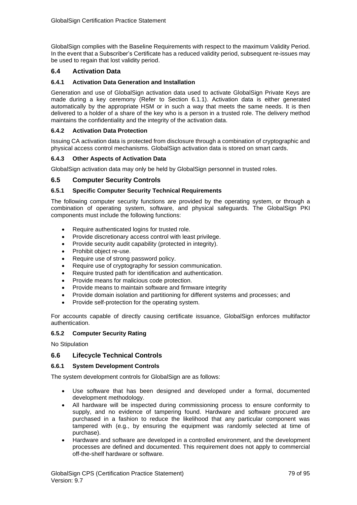GlobalSign complies with the Baseline Requirements with respect to the maximum Validity Period. In the event that a Subscriber's Certificate has a reduced validity period, subsequent re-issues may be used to regain that lost validity period.

## **6.4 Activation Data**

## **6.4.1 Activation Data Generation and Installation**

Generation and use of GlobalSign activation data used to activate GlobalSign Private Keys are made during a key ceremony (Refer to Section 6.1.1). Activation data is either generated automatically by the appropriate HSM or in such a way that meets the same needs. It is then delivered to a holder of a share of the key who is a person in a trusted role. The delivery method maintains the confidentiality and the integrity of the activation data.

### **6.4.2 Activation Data Protection**

Issuing CA activation data is protected from disclosure through a combination of cryptographic and physical access control mechanisms. GlobalSign activation data is stored on smart cards.

### **6.4.3 Other Aspects of Activation Data**

GlobalSign activation data may only be held by GlobalSign personnel in trusted roles.

## **6.5 Computer Security Controls**

#### **6.5.1 Specific Computer Security Technical Requirements**

The following computer security functions are provided by the operating system, or through a combination of operating system, software, and physical safeguards. The GlobalSign PKI components must include the following functions:

- Require authenticated logins for trusted role.
- Provide discretionary access control with least privilege.
- Provide security audit capability (protected in integrity).
- Prohibit object re-use.
- Require use of strong password policy.
- Require use of cryptography for session communication.
- Require trusted path for identification and authentication.
- Provide means for malicious code protection.
- Provide means to maintain software and firmware integrity
- Provide domain isolation and partitioning for different systems and processes; and
- Provide self-protection for the operating system.

For accounts capable of directly causing certificate issuance, GlobalSign enforces multifactor authentication.

#### **6.5.2 Computer Security Rating**

No Stipulation

## **6.6 Lifecycle Technical Controls**

#### **6.6.1 System Development Controls**

The system development controls for GlobalSign are as follows:

- Use software that has been designed and developed under a formal, documented development methodology.
- All hardware will be inspected during commissioning process to ensure conformity to supply, and no evidence of tampering found. Hardware and software procured are purchased in a fashion to reduce the likelihood that any particular component was tampered with (e.g., by ensuring the equipment was randomly selected at time of purchase).
- Hardware and software are developed in a controlled environment, and the development processes are defined and documented. This requirement does not apply to commercial off-the-shelf hardware or software.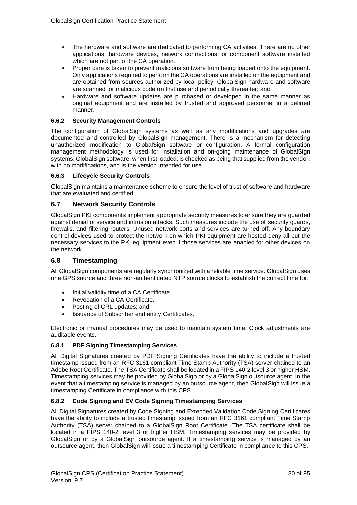- The hardware and software are dedicated to performing CA activities. There are no other applications, hardware devices, network connections, or component software installed which are not part of the CA operation.
- Proper care is taken to prevent malicious software from being loaded onto the equipment. Only applications required to perform the CA operations are installed on the equipment and are obtained from sources authorized by local policy. GlobalSign hardware and software are scanned for malicious code on first use and periodically thereafter; and
- Hardware and software updates are purchased or developed in the same manner as original equipment and are installed by trusted and approved personnel in a defined manner.

## **6.6.2 Security Management Controls**

The configuration of GlobalSign systems as well as any modifications and upgrades are documented and controlled by GlobalSign management. There is a mechanism for detecting unauthorized modification to GlobalSign software or configuration. A formal configuration management methodology is used for installation and on-going maintenance of GlobalSign systems. GlobalSign software, when first loaded, is checked as being that supplied from the vendor, with no modifications, and is the version intended for use.

## **6.6.3 Lifecycle Security Controls**

GlobalSign maintains a maintenance scheme to ensure the level of trust of software and hardware that are evaluated and certified.

## **6.7 Network Security Controls**

GlobalSign PKI components implement appropriate security measures to ensure they are guarded against denial of service and intrusion attacks. Such measures include the use of security guards, firewalls, and filtering routers. Unused network ports and services are turned off. Any boundary control devices used to protect the network on which PKI equipment are hosted deny all but the necessary services to the PKI equipment even if those services are enabled for other devices on the network.

## **6.8 Timestamping**

All GlobalSign components are regularly synchronized with a reliable time service. GlobalSign uses one GPS source and three non-authenticated NTP source clocks to establish the correct time for:

- Initial validity time of a CA Certificate.
- Revocation of a CA Certificate.
- Posting of CRL updates; and
- Issuance of Subscriber end entity Certificates.

Electronic or manual procedures may be used to maintain system time. Clock adjustments are auditable events.

## **6.8.1 PDF Signing Timestamping Services**

All Digital Signatures created by PDF Signing Certificates have the ability to include a trusted timestamp issued from an RFC 3161 compliant Time Stamp Authority (TSA) server chained to an Adobe Root Certificate. The TSA Certificate shall be located in a FIPS 140-2 level 3 or higher HSM. Timestamping services may be provided by GlobalSign or by a GlobalSign outsource agent. In the event that a timestamping service is managed by an outsource agent, then GlobalSign will issue a timestamping Certificate in compliance with this CPS.

## **6.8.2 Code Signing and EV Code Signing Timestamping Services**

All Digital Signatures created by Code Signing and Extended Validation Code Signing Certificates have the ability to include a trusted timestamp issued from an RFC 3161 compliant Time Stamp Authority (TSA) server chained to a GlobalSign Root Certificate. The TSA certificate shall be located in a FIPS 140-2 level 3 or higher HSM. Timestamping services may be provided by GlobalSign or by a GlobalSign outsource agent. If a timestamping service is managed by an outsource agent, then GlobalSign will issue a timestamping Certificate in compliance to this CPS.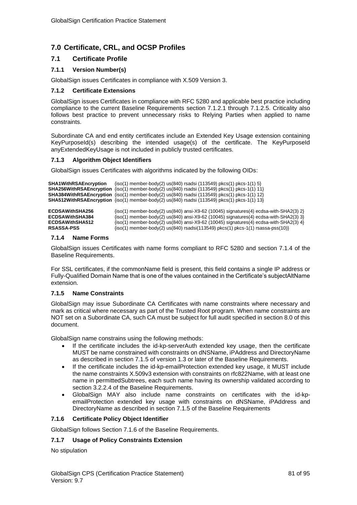# **7.0 Certificate, CRL, and OCSP Profiles**

## **7.1 Certificate Profile**

## **7.1.1 Version Number(s)**

GlobalSign issues Certificates in compliance with X.509 Version 3.

### **7.1.2 Certificate Extensions**

GlobalSign issues Certificates in compliance with RFC 5280 and applicable best practice including compliance to the current Baseline Requirements section 7.1.2.1 through 7.1.2.5. Criticality also follows best practice to prevent unnecessary risks to Relying Parties when applied to name constraints.

Subordinate CA and end entity certificates include an Extended Key Usage extension containing KeyPurposeId(s) describing the intended usage(s) of the certificate. The KeyPurposeId anyExtendedKeyUsage is not included in publicly trusted certificates.

## **7.1.3 Algorithm Object Identifiers**

GlobalSign issues Certificates with algorithms indicated by the following OIDs:

```
SHA1WithRSAEncryption {iso(1) member-body(2) us(840) rsadsi (113549) pkcs(1) pkcs-1(1) 5}
SHA256WithRSAEncryption {iso(1) member-body(2) us(840) rsadsi (113549) pkcs(1) pkcs-1(1) 11}
SHA384WithRSAEncryption {iso(1) member-body(2) us(840) rsadsi (113549) pkcs(1) pkcs-1(1) 12}
SHA512WithRSAEncryption {iso(1) member-body(2) us(840) rsadsi (113549) pkcs(1) pkcs-1(1) 13}
ECDSAWithSHA256 {iso(1) member-body(2) us(840) ansi-X9-62 (10045) signatures(4) ecdsa-with-SHA2(3) 2}<br>ECDSAWithSHA384 {iso(1) member-body(2) us(840) ansi-X9-62 (10045) signatures(4) ecdsa-with-SHA2(3) 3}
ECDSAWithSHA384 \{iso(1) \text{ member-body}(2) \text{ us}(840) \text{ ansi-X9-62} \text{ (10045) signatures}(4) \text{ ecdsa-with-SHA2}(3) \text{ 3} \text{ ECDSAWithSHA512} \{iso(1) \text{ member-body}(2) \text{ us}(840) \text{ ansi-X9-62} \text{ (10045) signatures}(4) \text{ ecdsa-with-SHA2}(3) \text{ 4} \}ECDSAWithSHA512 \{iso(1) \text{ member-body}(2) \text{ us}(840) \text{ ansi-X9-62} (10045) \text{ signaturees}(4) \text{ ecdsa-with-SHA2}(3) \text{ 4} \}<br>RSASSA-PSS \{iso(1) \text{ member-body}(2) \text{ us}(840) \text{ rsadsi}(113549) \text{ okcs}(1) \text{ okcs-1}(1) \text{ rsassa-9ss}(10) \}RSASSA-PSS {iso(1) member-body(2) us(840) rsadsi(113549) pkcs(1) pkcs-1(1) rsassa-pss(10)}
```
#### **7.1.4 Name Forms**

GlobalSign issues Certificates with name forms compliant to RFC 5280 and section 7.1.4 of the Baseline Requirements.

For SSL certificates, if the commonName field is present, this field contains a single IP address or Fully-Qualified Domain Name that is one of the values contained in the Certificate's subjectAltName extension.

#### **7.1.5 Name Constraints**

GlobalSign may issue Subordinate CA Certificates with name constraints where necessary and mark as critical where necessary as part of the Trusted Root program. When name constraints are NOT set on a Subordinate CA, such CA must be subject for full audit specified in section 8.0 of this document.

GlobalSign name constrains using the following methods:

- If the certificate includes the id-kp-serverAuth extended key usage, then the certificate MUST be name constrained with constraints on dNSName, iPAddress and DirectoryName as described in section 7.1.5 of version 1.3 or later of the Baseline Requirements.
- If the certificate includes the id-kp-emailProtection extended key usage, it MUST include the name constraints X.509v3 extension with constraints on rfc822Name, with at least one name in permittedSubtrees, each such name having its ownership validated according to section 3.2.2.4 of the Baseline Requirements.
- GlobalSign MAY also include name constraints on certificates with the id-kpemailProtection extended key usage with constraints on dNSName, iPAddress and DirectoryName as described in section 7.1.5 of the Baseline Requirements

### **7.1.6 Certificate Policy Object Identifier**

GlobalSign follows Section 7.1.6 of the Baseline Requirements.

#### **7.1.7 Usage of Policy Constraints Extension**

No stipulation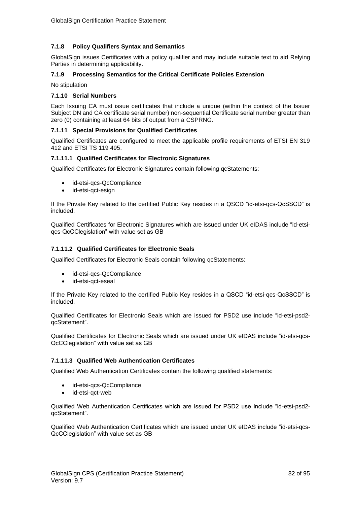## **7.1.8 Policy Qualifiers Syntax and Semantics**

GlobalSign issues Certificates with a policy qualifier and may include suitable text to aid Relying Parties in determining applicability.

### **7.1.9 Processing Semantics for the Critical Certificate Policies Extension**

No stipulation

### **7.1.10 Serial Numbers**

Each Issuing CA must issue certificates that include a unique (within the context of the Issuer Subject DN and CA certificate serial number) non-sequential Certificate serial number greater than zero (0) containing at least 64 bits of output from a CSPRNG.

### **7.1.11 Special Provisions for Qualified Certificates**

Qualified Certificates are configured to meet the applicable profile requirements of ETSI EN 319 412 and ETSI TS 119 495.

### **7.1.11.1 Qualified Certificates for Electronic Signatures**

Qualified Certificates for Electronic Signatures contain following qcStatements:

- id-etsi-qcs-QcCompliance
- id-etsi-gct-esign

If the Private Key related to the certified Public Key resides in a QSCD "id-etsi-qcs-QcSSCD" is included.

Qualified Certificates for Electronic Signatures which are issued under UK eIDAS include "id-etsiqcs-QcCClegislation" with value set as GB

### **7.1.11.2 Qualified Certificates for Electronic Seals**

Qualified Certificates for Electronic Seals contain following qcStatements:

- id-etsi-qcs-QcCompliance
- id-etsi-qct-eseal

If the Private Key related to the certified Public Key resides in a QSCD "id-etsi-qcs-QcSSCD" is included.

Qualified Certificates for Electronic Seals which are issued for PSD2 use include "id-etsi-psd2 qcStatement".

Qualified Certificates for Electronic Seals which are issued under UK eIDAS include "id-etsi-qcs-QcCClegislation" with value set as GB

## **7.1.11.3 Qualified Web Authentication Certificates**

Qualified Web Authentication Certificates contain the following qualified statements:

- id-etsi-qcs-QcCompliance
- id-etsi-qct-web

Qualified Web Authentication Certificates which are issued for PSD2 use include "id-etsi-psd2 qcStatement".

Qualified Web Authentication Certificates which are issued under UK eIDAS include "id-etsi-qcs-QcCClegislation" with value set as GB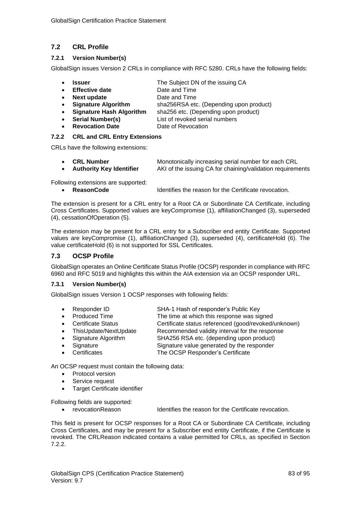# **7.2 CRL Profile**

## **7.2.1 Version Number(s)**

GlobalSign issues Version 2 CRLs in compliance with RFC 5280. CRLs have the following fields:

- **Issuer** The Subject DN of the issuing CA
- **Effective date Date and Time**
- **Next update Date and Time**
- **Signature Algorithm** sha256RSA etc. (Depending upon product)
- **Signature Hash Algorithm** sha256 etc. (Depending upon product)
	- **Serial Number(s)** List of revoked serial numbers
- **Revocation Date Date of Revocation**

## **7.2.2 CRL and CRL Entry Extensions**

CRLs have the following extensions:

| <b>CRL Number</b>               | Monotonically increasing serial number for each CRL        |
|---------------------------------|------------------------------------------------------------|
| <b>Authority Key Identifier</b> | AKI of the issuing CA for chaining/validation requirements |

Following extensions are supported:

• **ReasonCode** Identifies the reason for the Certificate revocation.

The extension is present for a CRL entry for a Root CA or Subordinate CA Certificate, including Cross Certificates. Supported values are keyCompromise (1), affiliationChanged (3), superseded (4), cessationOfOperation (5).

The extension may be present for a CRL entry for a Subscriber end entity Certificate. Supported values are keyCompromise (1), affiliationChanged (3), superseded (4), certificateHold (6). The value certificateHold (6) is not supported for SSL Certificates.

## **7.3 OCSP Profile**

GlobalSign operates an Online Certificate Status Profile (OCSP) responder in compliance with RFC 6960 and RFC 5019 and highlights this within the AIA extension via an OCSP responder URL.

## **7.3.1 Version Number(s)**

GlobalSign issues Version 1 OCSP responses with following fields:

- Responder ID SHA-1 Hash of responder's Public Key
- Produced Time The time at which this response was signed
- Certificate Status Certificate status referenced (good/revoked/unknown)
- ThisUpdate/NextUpdate Recommended validity interval for the response
- Signature Algorithm SHA256 RSA etc. (depending upon product)
	- Signature Signature value generated by the responder
	- Certificates The OCSP Responder's Certificate

An OCSP request must contain the following data:

- Protocol version
- Service request
- Target Certificate identifier

Following fields are supported:

• revocationReason Identifies the reason for the Certificate revocation.

This field is present for OCSP responses for a Root CA or Subordinate CA Certificate, including Cross Certificates, and may be present for a Subscriber end entity Certificate, if the Certificate is revoked. The CRLReason indicated contains a value permitted for CRLs, as specified in Section 7.2.2.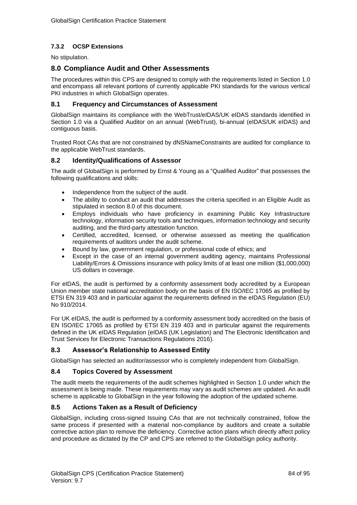# **7.3.2 OCSP Extensions**

No stipulation.

# **8.0 Compliance Audit and Other Assessments**

The procedures within this CPS are designed to comply with the requirements listed in Section 1.0 and encompass all relevant portions of currently applicable PKI standards for the various vertical PKI industries in which GlobalSign operates.

## **8.1 Frequency and Circumstances of Assessment**

GlobalSign maintains its compliance with the WebTrust/eIDAS/UK eIDAS standards identified in Section 1.0 via a Qualified Auditor on an annual (WebTrust), bi-annual (eIDAS/UK eIDAS) and contiguous basis.

Trusted Root CAs that are not constrained by dNSNameConstraints are audited for compliance to the applicable WebTrust standards.

## **8.2 Identity/Qualifications of Assessor**

The audit of GlobalSign is performed by Ernst & Young as a "Qualified Auditor" that possesses the following qualifications and skills:

- Independence from the subject of the audit.
- The ability to conduct an audit that addresses the criteria specified in an Eligible Audit as stipulated in section 8.0 of this document.
- Employs individuals who have proficiency in examining Public Key Infrastructure technology, information security tools and techniques, information technology and security auditing, and the third-party attestation function.
- Certified, accredited, licensed, or otherwise assessed as meeting the qualification requirements of auditors under the audit scheme.
- Bound by law, government regulation, or professional code of ethics; and
- Except in the case of an internal government auditing agency, maintains Professional Liability/Errors & Omissions insurance with policy limits of at least one million (\$1,000,000) US dollars in coverage.

For eIDAS, the audit is performed by a conformity assessment body accredited by a European Union member state national accreditation body on the basis of EN ISO/IEC 17065 as profiled by ETSI EN 319 403 and in particular against the requirements defined in the eIDAS Regulation (EU) No 910/2014.

For UK eIDAS, the audit is performed by a conformity assessment body accredited on the basis of EN ISO/IEC 17065 as profiled by ETSI EN 319 403 and in particular against the requirements defined in the UK eIDAS Regulation (eIDAS (UK Legislation) and The Electronic Identification and Trust Services for Electronic Transactions Regulations 2016).

## **8.3 Assessor's Relationship to Assessed Entity**

GlobalSign has selected an auditor/assessor who is completely independent from GlobalSign.

## **8.4 Topics Covered by Assessment**

The audit meets the requirements of the audit schemes highlighted in Section 1.0 under which the assessment is being made. These requirements may vary as audit schemes are updated. An audit scheme is applicable to GlobalSign in the year following the adoption of the updated scheme.

## **8.5 Actions Taken as a Result of Deficiency**

GlobalSign, including cross-signed Issuing CAs that are not technically constrained, follow the same process if presented with a material non-compliance by auditors and create a suitable corrective action plan to remove the deficiency. Corrective action plans which directly affect policy and procedure as dictated by the CP and CPS are referred to the GlobalSign policy authority.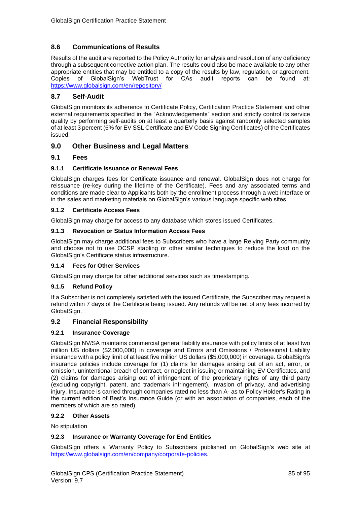# **8.6 Communications of Results**

Results of the audit are reported to the Policy Authority for analysis and resolution of any deficiency through a subsequent corrective action plan. The results could also be made available to any other appropriate entities that may be entitled to a copy of the results by law, regulation, or agreement.<br>Copies of GlobalSign's WebTrust for CAs audit reports can be found at: of GlobalSign's WebTrust for CAs audit reports can be found at: <https://www.globalsign.com/en/repository/>

## **8.7 Self-Audit**

GlobalSign monitors its adherence to Certificate Policy, Certification Practice Statement and other external requirements specified in the "Acknowledgements" section and strictly control its service quality by performing self-audits on at least a quarterly basis against randomly selected samples of at least 3 percent (6% for EV SSL Certificate and EV Code Signing Certificates) of the Certificates issued.

# **9.0 Other Business and Legal Matters**

## **9.1 Fees**

## **9.1.1 Certificate Issuance or Renewal Fees**

GlobalSign charges fees for Certificate issuance and renewal. GlobalSign does not charge for reissuance (re-key during the lifetime of the Certificate). Fees and any associated terms and conditions are made clear to Applicants both by the enrollment process through a web interface or in the sales and marketing materials on GlobalSign's various language specific web sites.

## **9.1.2 Certificate Access Fees**

GlobalSign may charge for access to any database which stores issued Certificates.

### **9.1.3 Revocation or Status Information Access Fees**

GlobalSign may charge additional fees to Subscribers who have a large Relying Party community and choose not to use OCSP stapling or other similar techniques to reduce the load on the GlobalSign's Certificate status infrastructure.

## **9.1.4 Fees for Other Services**

GlobalSign may charge for other additional services such as timestamping.

## **9.1.5 Refund Policy**

If a Subscriber is not completely satisfied with the issued Certificate, the Subscriber may request a refund within 7 days of the Certificate being issued. Any refunds will be net of any fees incurred by GlobalSign.

## **9.2 Financial Responsibility**

#### **9.2.1 Insurance Coverage**

GlobalSign NV/SA maintains commercial general liability insurance with policy limits of at least two million US dollars (\$2,000,000) in coverage and Errors and Omissions / Professional Liability insurance with a policy limit of at least five million US dollars (\$5,000,000) in coverage. GlobalSign's insurance policies include coverage for (1) claims for damages arising out of an act, error, or omission, unintentional breach of contract, or neglect in issuing or maintaining EV Certificates, and (2) claims for damages arising out of infringement of the proprietary rights of any third party (excluding copyright, patent, and trademark infringement), invasion of privacy, and advertising injury. Insurance is carried through companies rated no less than A- as to Policy Holder's Rating in the current edition of Best's Insurance Guide (or with an association of companies, each of the members of which are so rated).

#### **9.2.2 Other Assets**

No stipulation

## **9.2.3 Insurance or Warranty Coverage for End Entities**

GlobalSign offers a Warranty Policy to Subscribers published on GlobalSign's web site at [https://www.globalsign.com/en/company/corporate-policies.](https://www.globalsign.com/en/company/corporate-policies)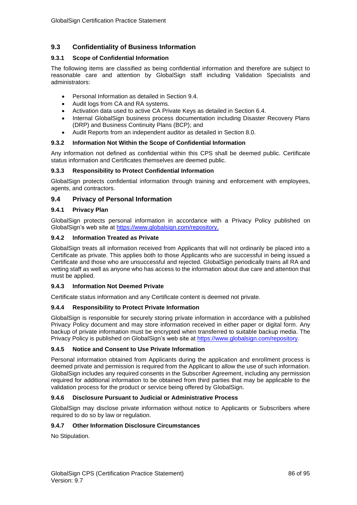# **9.3 Confidentiality of Business Information**

## **9.3.1 Scope of Confidential Information**

The following items are classified as being confidential information and therefore are subject to reasonable care and attention by GlobalSign staff including Validation Specialists and administrators:

- Personal Information as detailed in Section 9.4.
- Audit logs from CA and RA systems.
- Activation data used to active CA Private Keys as detailed in Section 6.4.
- Internal GlobalSign business process documentation including Disaster Recovery Plans (DRP) and Business Continuity Plans (BCP); and
- Audit Reports from an independent auditor as detailed in Section 8.0.

## **9.3.2 Information Not Within the Scope of Confidential Information**

Any information not defined as confidential within this CPS shall be deemed public. Certificate status information and Certificates themselves are deemed public.

## **9.3.3 Responsibility to Protect Confidential Information**

GlobalSign protects confidential information through training and enforcement with employees, agents, and contractors.

## **9.4 Privacy of Personal Information**

## **9.4.1 Privacy Plan**

GlobalSign protects personal information in accordance with a Privacy Policy published on GlobalSign's web site at [https://www.globalsign.com/repository.](https://www.globalsign.com/repository)

## **9.4.2 Information Treated as Private**

GlobalSign treats all information received from Applicants that will not ordinarily be placed into a Certificate as private. This applies both to those Applicants who are successful in being issued a Certificate and those who are unsuccessful and rejected. GlobalSign periodically trains all RA and vetting staff as well as anyone who has access to the information about due care and attention that must be applied.

## **9.4.3 Information Not Deemed Private**

Certificate status information and any Certificate content is deemed not private.

## **9.4.4 Responsibility to Protect Private Information**

GlobalSign is responsible for securely storing private information in accordance with a published Privacy Policy document and may store information received in either paper or digital form. Any backup of private information must be encrypted when transferred to suitable backup media. The Privacy Policy is published on GlobalSign's web site at [https://www.globalsign.com/repository.](https://www.globalsign.com/repository)

## **9.4.5 Notice and Consent to Use Private Information**

Personal information obtained from Applicants during the application and enrollment process is deemed private and permission is required from the Applicant to allow the use of such information. GlobalSign includes any required consents in the Subscriber Agreement, including any permission required for additional information to be obtained from third parties that may be applicable to the validation process for the product or service being offered by GlobalSign.

## **9.4.6 Disclosure Pursuant to Judicial or Administrative Process**

GlobalSign may disclose private information without notice to Applicants or Subscribers where required to do so by law or regulation.

## **9.4.7 Other Information Disclosure Circumstances**

No Stipulation.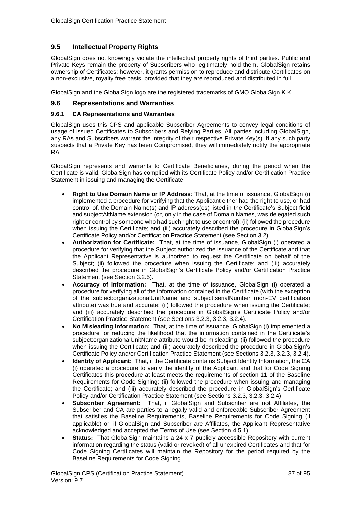## **9.5 Intellectual Property Rights**

GlobalSign does not knowingly violate the intellectual property rights of third parties. Public and Private Keys remain the property of Subscribers who legitimately hold them. GlobalSign retains ownership of Certificates; however, it grants permission to reproduce and distribute Certificates on a non-exclusive, royalty free basis, provided that they are reproduced and distributed in full.

GlobalSign and the GlobalSign logo are the registered trademarks of GMO GlobalSign K.K.

### **9.6 Representations and Warranties**

### **9.6.1 CA Representations and Warranties**

GlobalSign uses this CPS and applicable Subscriber Agreements to convey legal conditions of usage of issued Certificates to Subscribers and Relying Parties. All parties including GlobalSign, any RAs and Subscribers warrant the integrity of their respective Private Key(s). If any such party suspects that a Private Key has been Compromised, they will immediately notify the appropriate RA.

GlobalSign represents and warrants to Certificate Beneficiaries, during the period when the Certificate is valid, GlobalSign has complied with its Certificate Policy and/or Certification Practice Statement in issuing and managing the Certificate:

- **Right to Use Domain Name or IP Address**: That, at the time of issuance, GlobalSign (i) implemented a procedure for verifying that the Applicant either had the right to use, or had control of, the Domain Name(s) and IP address(es) listed in the Certificate's Subject field and subjectAltName extension (or, only in the case of Domain Names, was delegated such right or control by someone who had such right to use or control); (ii) followed the procedure when issuing the Certificate; and (iii) accurately described the procedure in GlobalSign's Certificate Policy and/or Certification Practice Statement (see Section 3.2).
- **Authorization for Certificate:** That, at the time of issuance, GlobalSign (i) operated a procedure for verifying that the Subject authorized the issuance of the Certificate and that the Applicant Representative is authorized to request the Certificate on behalf of the Subject; (ii) followed the procedure when issuing the Certificate; and (iii) accurately described the procedure in GlobalSign's Certificate Policy and/or Certification Practice Statement (see Section 3.2.5).
- **Accuracy of Information:** That, at the time of issuance, GlobalSign (i) operated a procedure for verifying all of the information contained in the Certificate (with the exception of the subject:organizationalUnitName and subject:serialNumber (non-EV certificates) attribute) was true and accurate; (ii) followed the procedure when issuing the Certificate; and (iii) accurately described the procedure in GlobalSign's Certificate Policy and/or Certification Practice Statement (see Sections 3.2.3, 3.2.3, 3.2.4).
- **No Misleading Information:** That, at the time of issuance, GlobalSign (i) implemented a procedure for reducing the likelihood that the information contained in the Certificate's subject:organizationalUnitName attribute would be misleading; (ii) followed the procedure when issuing the Certificate; and (iii) accurately described the procedure in GlobalSign's Certificate Policy and/or Certification Practice Statement (see Sections 3.2.3, 3.2.3, 3.2.4).
- **Identity of Applicant:** That, if the Certificate contains Subject Identity Information, the CA (i) operated a procedure to verify the identity of the Applicant and that for Code Signing Certificates this procedure at least meets the requirements of section 11 of the Baseline Requirements for Code Signing; (ii) followed the procedure when issuing and managing the Certificate; and (iii) accurately described the procedure in GlobalSign's Certificate Policy and/or Certification Practice Statement (see Sections 3.2.3, 3.2.3, 3.2.4).
- **Subscriber Agreement:** That, if GlobalSign and Subscriber are not Affiliates, the Subscriber and CA are parties to a legally valid and enforceable Subscriber Agreement that satisfies the Baseline Requirements, Baseline Requirements for Code Signing (if applicable) or, if GlobalSign and Subscriber are Affiliates, the Applicant Representative acknowledged and accepted the Terms of Use (see Section 4.5.1).
- **Status:** That GlobalSign maintains a 24 x 7 publicly accessible Repository with current information regarding the status (valid or revoked) of all unexpired Certificates and that for Code Signing Certificates will maintain the Repository for the period required by the Baseline Requirements for Code Signing.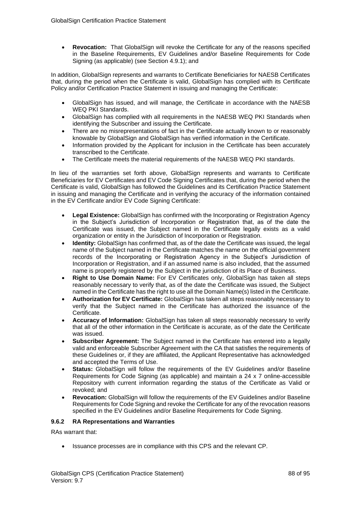• **Revocation:** That GlobalSign will revoke the Certificate for any of the reasons specified in the Baseline Requirements, EV Guidelines and/or Baseline Requirements for Code Signing (as applicable) (see Section 4.9.1); and

In addition, GlobalSign represents and warrants to Certificate Beneficiaries for NAESB Certificates that, during the period when the Certificate is valid, GlobalSign has complied with its Certificate Policy and/or Certification Practice Statement in issuing and managing the Certificate:

- GlobalSign has issued, and will manage, the Certificate in accordance with the NAESB WEQ PKI Standards.
- GlobalSign has complied with all requirements in the NAESB WEQ PKI Standards when identifying the Subscriber and issuing the Certificate.
- There are no misrepresentations of fact in the Certificate actually known to or reasonably knowable by GlobalSign and GlobalSign has verified information in the Certificate.
- Information provided by the Applicant for inclusion in the Certificate has been accurately transcribed to the Certificate.
- The Certificate meets the material requirements of the NAESB WEQ PKI standards.

In lieu of the warranties set forth above, GlobalSign represents and warrants to Certificate Beneficiaries for EV Certificates and EV Code Signing Certificates that, during the period when the Certificate is valid, GlobalSign has followed the Guidelines and its Certification Practice Statement in issuing and managing the Certificate and in verifying the accuracy of the information contained in the EV Certificate and/or EV Code Signing Certificate:

- **Legal Existence:** GlobalSign has confirmed with the Incorporating or Registration Agency in the Subject's Jurisdiction of Incorporation or Registration that, as of the date the Certificate was issued, the Subject named in the Certificate legally exists as a valid organization or entity in the Jurisdiction of Incorporation or Registration.
- **Identity:** GlobalSign has confirmed that, as of the date the Certificate was issued, the legal name of the Subject named in the Certificate matches the name on the official government records of the Incorporating or Registration Agency in the Subject's Jurisdiction of Incorporation or Registration, and if an assumed name is also included, that the assumed name is properly registered by the Subject in the jurisdiction of its Place of Business.
- **Right to Use Domain Name:** For EV Certificates only, GlobalSign has taken all steps reasonably necessary to verify that, as of the date the Certificate was issued, the Subject named in the Certificate has the right to use all the Domain Name(s) listed in the Certificate.
- **Authorization for EV Certificate:** GlobalSign has taken all steps reasonably necessary to verify that the Subject named in the Certificate has authorized the issuance of the Certificate.
- **Accuracy of Information:** GlobalSign has taken all steps reasonably necessary to verify that all of the other information in the Certificate is accurate, as of the date the Certificate was issued.
- **Subscriber Agreement:** The Subject named in the Certificate has entered into a legally valid and enforceable Subscriber Agreement with the CA that satisfies the requirements of these Guidelines or, if they are affiliated, the Applicant Representative has acknowledged and accepted the Terms of Use.
- **Status:** GlobalSign will follow the requirements of the EV Guidelines and/or Baseline Requirements for Code Signing (as applicable) and maintain a 24 x 7 online-accessible Repository with current information regarding the status of the Certificate as Valid or revoked; and
- **Revocation:** GlobalSign will follow the requirements of the EV Guidelines and/or Baseline Requirements for Code Signing and revoke the Certificate for any of the revocation reasons specified in the EV Guidelines and/or Baseline Requirements for Code Signing.

## **9.6.2 RA Representations and Warranties**

RAs warrant that:

• Issuance processes are in compliance with this CPS and the relevant CP.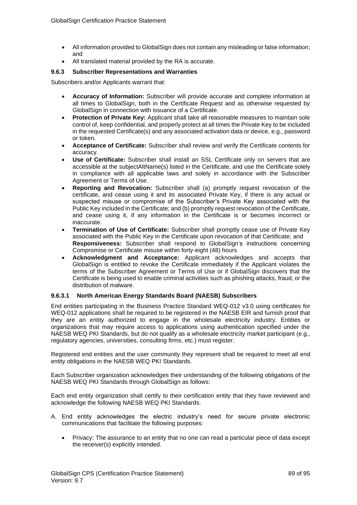- All information provided to GlobalSign does not contain any misleading or false information; and
- All translated material provided by the RA is accurate.

## **9.6.3 Subscriber Representations and Warranties**

Subscribers and/or Applicants warrant that:

- **Accuracy of Information:** Subscriber will provide accurate and complete information at all times to GlobalSign, both in the Certificate Request and as otherwise requested by GlobalSign in connection with issuance of a Certificate.
- **Protection of Private Key:** Applicant shall take all reasonable measures to maintain sole control of, keep confidential, and properly protect at all times the Private Key to be included in the requested Certificate(s) and any associated activation data or device, e.g., password or token.
- **Acceptance of Certificate:** Subscriber shall review and verify the Certificate contents for accuracy.
- **Use of Certificate:** Subscriber shall install an SSL Certificate only on servers that are accessible at the subjectAltName(s) listed in the Certificate, and use the Certificate solely in compliance with all applicable laws and solely in accordance with the Subscriber Agreement or Terms of Use.
- **Reporting and Revocation:** Subscriber shall (a) promptly request revocation of the certificate, and cease using it and its associated Private Key, if there is any actual or suspected misuse or compromise of the Subscriber's Private Key associated with the Public Key included in the Certificate; and (b) promptly request revocation of the Certificate, and cease using it, if any information in the Certificate is or becomes incorrect or inaccurate.
- **Termination of Use of Certificate:** Subscriber shall promptly cease use of Private Key associated with the Public Key in the Certificate upon revocation of that Certificate; and **Responsiveness:** Subscriber shall respond to GlobalSign's instructions concerning Compromise or Certificate misuse within forty-eight (48) hours
- **Acknowledgment and Acceptance:** Applicant acknowledges and accepts that GlobalSign is entitled to revoke the Certificate immediately if the Applicant violates the terms of the Subscriber Agreement or Terms of Use or if GlobalSign discovers that the Certificate is being used to enable criminal activities such as phishing attacks, fraud, or the distribution of malware.

## **9.6.3.1 North American Energy Standards Board (NAESB) Subscribers**

End entities participating in the Business Practice Standard WEQ-012 v3.0 using certificates for WEQ-012 applications shall be required to be registered in the NAESB EIR and furnish proof that they are an entity authorized to engage in the wholesale electricity industry. Entities or organizations that may require access to applications using authentication specified under the NAESB WEQ PKI Standards, but do not qualify as a wholesale electricity market participant (e.g., regulatory agencies, universities, consulting firms, etc.) must register.

Registered end entities and the user community they represent shall be required to meet all end entity obligations in the NAESB WEQ PKI Standards.

Each Subscriber organization acknowledges their understanding of the following obligations of the NAESB WEQ PKI Standards through GlobalSign as follows:

Each end entity organization shall certify to their certification entity that they have reviewed and acknowledge the following NAESB WEQ PKI Standards.

- A. End entity acknowledges the electric industry's need for secure private electronic communications that facilitate the following purposes:
	- Privacy: The assurance to an entity that no one can read a particular piece of data except the receiver(s) explicitly intended.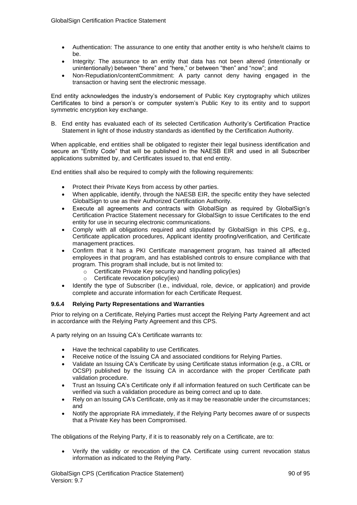- Authentication: The assurance to one entity that another entity is who he/she/it claims to be.
- Integrity: The assurance to an entity that data has not been altered (intentionally or unintentionally) between "there" and "here," or between "then" and "now"; and
- Non-Repudiation/contentCommitment: A party cannot deny having engaged in the transaction or having sent the electronic message.

End entity acknowledges the industry's endorsement of Public Key cryptography which utilizes Certificates to bind a person's or computer system's Public Key to its entity and to support symmetric encryption key exchange.

B. End entity has evaluated each of its selected Certification Authority's Certification Practice Statement in light of those industry standards as identified by the Certification Authority.

When applicable, end entities shall be obligated to register their legal business identification and secure an "Entity Code" that will be published in the NAESB EIR and used in all Subscriber applications submitted by, and Certificates issued to, that end entity.

End entities shall also be required to comply with the following requirements:

- Protect their Private Keys from access by other parties.
- When applicable, identify, through the NAESB EIR, the specific entity they have selected GlobalSign to use as their Authorized Certification Authority.
- Execute all agreements and contracts with GlobalSign as required by GlobalSign's Certification Practice Statement necessary for GlobalSign to issue Certificates to the end entity for use in securing electronic communications.
- Comply with all obligations required and stipulated by GlobalSign in this CPS, e.g., Certificate application procedures, Applicant identity proofing/verification, and Certificate management practices.
- Confirm that it has a PKI Certificate management program, has trained all affected employees in that program, and has established controls to ensure compliance with that program. This program shall include, but is not limited to:
	- o Certificate Private Key security and handling policy(ies)
	- o Certificate revocation policy(ies)
- Identify the type of Subscriber (I.e., individual, role, device, or application) and provide complete and accurate information for each Certificate Request.

## **9.6.4 Relying Party Representations and Warranties**

Prior to relying on a Certificate, Relying Parties must accept the Relying Party Agreement and act in accordance with the Relying Party Agreement and this CPS.

A party relying on an Issuing CA's Certificate warrants to:

- Have the technical capability to use Certificates.
- Receive notice of the Issuing CA and associated conditions for Relying Parties.
- Validate an Issuing CA's Certificate by using Certificate status information (e.g., a CRL or OCSP) published by the Issuing CA in accordance with the proper Certificate path validation procedure.
- Trust an Issuing CA's Certificate only if all information featured on such Certificate can be verified via such a validation procedure as being correct and up to date.
- Rely on an Issuing CA's Certificate, only as it may be reasonable under the circumstances; and
- Notify the appropriate RA immediately, if the Relying Party becomes aware of or suspects that a Private Key has been Compromised.

The obligations of the Relying Party, if it is to reasonably rely on a Certificate, are to:

• Verify the validity or revocation of the CA Certificate using current revocation status information as indicated to the Relying Party.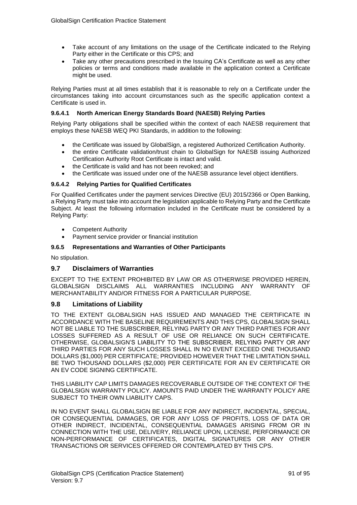- Take account of any limitations on the usage of the Certificate indicated to the Relying Party either in the Certificate or this CPS; and
- Take any other precautions prescribed in the Issuing CA's Certificate as well as any other policies or terms and conditions made available in the application context a Certificate might be used.

Relying Parties must at all times establish that it is reasonable to rely on a Certificate under the circumstances taking into account circumstances such as the specific application context a Certificate is used in.

## **9.6.4.1 North American Energy Standards Board (NAESB) Relying Parties**

Relying Party obligations shall be specified within the context of each NAESB requirement that employs these NAESB WEQ PKI Standards, in addition to the following:

- the Certificate was issued by GlobalSign, a registered Authorized Certification Authority.
- the entire Certificate validation/trust chain to GlobalSign for NAESB issuing Authorized Certification Authority Root Certificate is intact and valid.
- the Certificate is valid and has not been revoked; and
- the Certificate was issued under one of the NAESB assurance level object identifiers.

## **9.6.4.2 Relying Parties for Qualified Certificates**

For Qualified Certificates under the payment services Directive (EU) 2015/2366 or Open Banking, a Relying Party must take into account the legislation applicable to Relying Party and the Certificate Subject. At least the following information included in the Certificate must be considered by a Relying Party:

- Competent Authority
- Payment service provider or financial institution

## **9.6.5 Representations and Warranties of Other Participants**

No stipulation.

## **9.7 Disclaimers of Warranties**

EXCEPT TO THE EXTENT PROHIBITED BY LAW OR AS OTHERWISE PROVIDED HEREIN, GLOBALSIGN DISCLAIMS ALL WARRANTIES INCLUDING ANY WARRANTY OF MERCHANTABILITY AND/OR FITNESS FOR A PARTICULAR PURPOSE.

## **9.8 Limitations of Liability**

TO THE EXTENT GLOBALSIGN HAS ISSUED AND MANAGED THE CERTIFICATE IN ACCORDANCE WITH THE BASELINE REQUIREMENTS AND THIS CPS, GLOBALSIGN SHALL NOT BE LIABLE TO THE SUBSCRIBER, RELYING PARTY OR ANY THIRD PARTIES FOR ANY LOSSES SUFFERED AS A RESULT OF USE OR RELIANCE ON SUCH CERTIFICATE. OTHERWISE, GLOBALSIGN'S LIABILITY TO THE SUBSCRIBER, RELYING PARTY OR ANY THIRD PARTIES FOR ANY SUCH LOSSES SHALL IN NO EVENT EXCEED ONE THOUSAND DOLLARS (\$1,000) PER CERTIFICATE; PROVIDED HOWEVER THAT THE LIMITATION SHALL BE TWO THOUSAND DOLLARS (\$2,000) PER CERTIFICATE FOR AN EV CERTIFICATE OR AN EV CODE SIGNING CERTIFICATE.

THIS LIABILITY CAP LIMITS DAMAGES RECOVERABLE OUTSIDE OF THE CONTEXT OF THE GLOBALSIGN WARRANTY POLICY. AMOUNTS PAID UNDER THE WARRANTY POLICY ARE SUBJECT TO THEIR OWN LIABILITY CAPS.

IN NO EVENT SHALL GLOBALSIGN BE LIABLE FOR ANY INDIRECT, INCIDENTAL, SPECIAL, OR CONSEQUENTIAL DAMAGES, OR FOR ANY LOSS OF PROFITS, LOSS OF DATA OR OTHER INDIRECT, INCIDENTAL, CONSEQUENTIAL DAMAGES ARISING FROM OR IN CONNECTION WITH THE USE, DELIVERY, RELIANCE UPON, LICENSE, PERFORMANCE OR NON-PERFORMANCE OF CERTIFICATES, DIGITAL SIGNATURES OR ANY OTHER TRANSACTIONS OR SERVICES OFFERED OR CONTEMPLATED BY THIS CPS.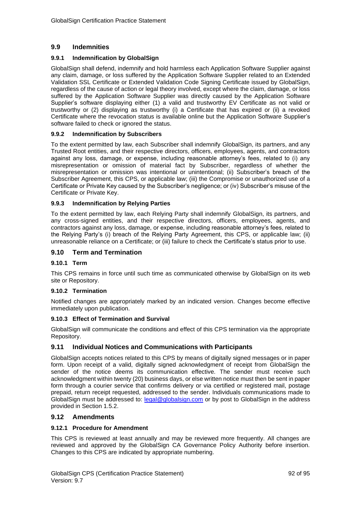## **9.9 Indemnities**

## **9.9.1 Indemnification by GlobalSign**

GlobalSign shall defend, indemnify and hold harmless each Application Software Supplier against any claim, damage, or loss suffered by the Application Software Supplier related to an Extended Validation SSL Certificate or Extended Validation Code Signing Certificate issued by GlobalSign, regardless of the cause of action or legal theory involved, except where the claim, damage, or loss suffered by the Application Software Supplier was directly caused by the Application Software Supplier's software displaying either (1) a valid and trustworthy EV Certificate as not valid or trustworthy or (2) displaying as trustworthy (i) a Certificate that has expired or (ii) a revoked Certificate where the revocation status is available online but the Application Software Supplier's software failed to check or ignored the status.

## **9.9.2 Indemnification by Subscribers**

To the extent permitted by law, each Subscriber shall indemnify GlobalSign, its partners, and any Trusted Root entities, and their respective directors, officers, employees, agents, and contractors against any loss, damage, or expense, including reasonable attorney's fees, related to (i) any misrepresentation or omission of material fact by Subscriber, regardless of whether the misrepresentation or omission was intentional or unintentional; (ii) Subscriber's breach of the Subscriber Agreement, this CPS, or applicable law; (iii) the Compromise or unauthorized use of a Certificate or Private Key caused by the Subscriber's negligence; or (iv) Subscriber's misuse of the Certificate or Private Key.

## **9.9.3 Indemnification by Relying Parties**

To the extent permitted by law, each Relying Party shall indemnify GlobalSign, its partners, and any cross-signed entities, and their respective directors, officers, employees, agents, and contractors against any loss, damage, or expense, including reasonable attorney's fees, related to the Relying Party's (i) breach of the Relying Party Agreement, this CPS, or applicable law; (ii) unreasonable reliance on a Certificate; or (iii) failure to check the Certificate's status prior to use.

## **9.10 Term and Termination**

## **9.10.1 Term**

This CPS remains in force until such time as communicated otherwise by GlobalSign on its web site or Repository.

## **9.10.2 Termination**

Notified changes are appropriately marked by an indicated version. Changes become effective immediately upon publication.

## **9.10.3 Effect of Termination and Survival**

GlobalSign will communicate the conditions and effect of this CPS termination via the appropriate Repository.

## **9.11 Individual Notices and Communications with Participants**

GlobalSign accepts notices related to this CPS by means of digitally signed messages or in paper form. Upon receipt of a valid, digitally signed acknowledgment of receipt from GlobalSign the sender of the notice deems its communication effective. The sender must receive such acknowledgment within twenty (20) business days, or else written notice must then be sent in paper form through a courier service that confirms delivery or via certified or registered mail, postage prepaid, return receipt requested, addressed to the sender. Individuals communications made to GlobalSign must be addressed to: [legal@globalsign.com](mailto:legal@globalsign.com) or by post to GlobalSign in the address provided in Section 1.5.2.

## **9.12 Amendments**

## **9.12.1 Procedure for Amendment**

This CPS is reviewed at least annually and may be reviewed more frequently. All changes are reviewed and approved by the GlobalSign CA Governance Policy Authority before insertion. Changes to this CPS are indicated by appropriate numbering.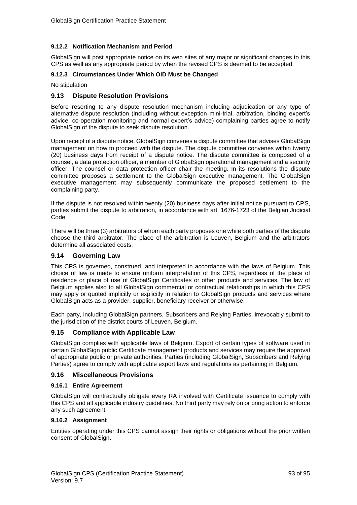## **9.12.2 Notification Mechanism and Period**

GlobalSign will post appropriate notice on its web sites of any major or significant changes to this CPS as well as any appropriate period by when the revised CPS is deemed to be accepted.

### **9.12.3 Circumstances Under Which OID Must be Changed**

No stipulation

## **9.13 Dispute Resolution Provisions**

Before resorting to any dispute resolution mechanism including adjudication or any type of alternative dispute resolution (including without exception mini-trial, arbitration, binding expert's advice, co-operation monitoring and normal expert's advice) complaining parties agree to notify GlobalSign of the dispute to seek dispute resolution.

Upon receipt of a dispute notice, GlobalSign convenes a dispute committee that advises GlobalSign management on how to proceed with the dispute. The dispute committee convenes within twenty (20) business days from receipt of a dispute notice. The dispute committee is composed of a counsel, a data protection officer, a member of GlobalSign operational management and a security officer. The counsel or data protection officer chair the meeting. In its resolutions the dispute committee proposes a settlement to the GlobalSign executive management. The GlobalSign executive management may subsequently communicate the proposed settlement to the complaining party.

If the dispute is not resolved within twenty (20) business days after initial notice pursuant to CPS, parties submit the dispute to arbitration, in accordance with art. 1676-1723 of the Belgian Judicial Code.

There will be three (3) arbitrators of whom each party proposes one while both parties of the dispute choose the third arbitrator. The place of the arbitration is Leuven, Belgium and the arbitrators determine all associated costs.

## **9.14 Governing Law**

This CPS is governed, construed, and interpreted in accordance with the laws of Belgium. This choice of law is made to ensure uniform interpretation of this CPS, regardless of the place of residence or place of use of GlobalSign Certificates or other products and services. The law of Belgium applies also to all GlobalSign commercial or contractual relationships in which this CPS may apply or quoted implicitly or explicitly in relation to GlobalSign products and services where GlobalSign acts as a provider, supplier, beneficiary receiver or otherwise.

Each party, including GlobalSign partners, Subscribers and Relying Parties, irrevocably submit to the jurisdiction of the district courts of Leuven, Belgium.

## **9.15 Compliance with Applicable Law**

GlobalSign complies with applicable laws of Belgium. Export of certain types of software used in certain GlobalSign public Certificate management products and services may require the approval of appropriate public or private authorities. Parties (including GlobalSign, Subscribers and Relying Parties) agree to comply with applicable export laws and regulations as pertaining in Belgium.

## **9.16 Miscellaneous Provisions**

## **9.16.1 Entire Agreement**

GlobalSign will contractually obligate every RA involved with Certificate issuance to comply with this CPS and all applicable industry guidelines. No third party may rely on or bring action to enforce any such agreement.

#### **9.16.2 Assignment**

Entities operating under this CPS cannot assign their rights or obligations without the prior written consent of GlobalSign.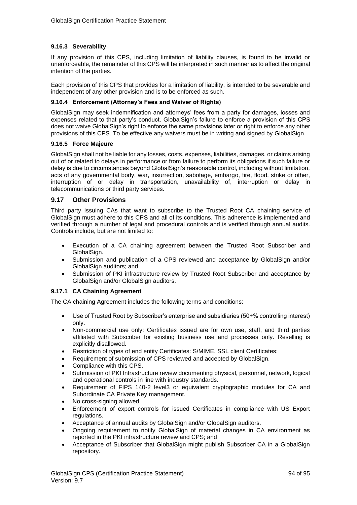## **9.16.3 Severability**

If any provision of this CPS, including limitation of liability clauses, is found to be invalid or unenforceable, the remainder of this CPS will be interpreted in such manner as to affect the original intention of the parties.

Each provision of this CPS that provides for a limitation of liability, is intended to be severable and independent of any other provision and is to be enforced as such.

### **9.16.4 Enforcement (Attorney's Fees and Waiver of Rights)**

GlobalSign may seek indemnification and attorneys' fees from a party for damages, losses and expenses related to that party's conduct. GlobalSign's failure to enforce a provision of this CPS does not waive GlobalSign's right to enforce the same provisions later or right to enforce any other provisions of this CPS. To be effective any waivers must be in writing and signed by GlobalSign.

### **9.16.5 Force Majeure**

GlobalSign shall not be liable for any losses, costs, expenses, liabilities, damages, or claims arising out of or related to delays in performance or from failure to perform its obligations if such failure or delay is due to circumstances beyond GlobalSign's reasonable control, including without limitation, acts of any governmental body, war, insurrection, sabotage, embargo, fire, flood, strike or other, interruption of or delay in transportation, unavailability of, interruption or delay in telecommunications or third party services.

## **9.17 Other Provisions**

Third party Issuing CAs that want to subscribe to the Trusted Root CA chaining service of GlobalSign must adhere to this CPS and all of its conditions. This adherence is implemented and verified through a number of legal and procedural controls and is verified through annual audits. Controls include, but are not limited to:

- Execution of a CA chaining agreement between the Trusted Root Subscriber and GlobalSign.
- Submission and publication of a CPS reviewed and acceptance by GlobalSign and/or GlobalSign auditors; and
- Submission of PKI infrastructure review by Trusted Root Subscriber and acceptance by GlobalSign and/or GlobalSign auditors.

## **9.17.1 CA Chaining Agreement**

The CA chaining Agreement includes the following terms and conditions:

- Use of Trusted Root by Subscriber's enterprise and subsidiaries (50+% controlling interest) only.
- Non-commercial use only: Certificates issued are for own use, staff, and third parties affiliated with Subscriber for existing business use and processes only. Reselling is explicitly disallowed.
- Restriction of types of end entity Certificates: S/MIME, SSL client Certificates:
- Requirement of submission of CPS reviewed and accepted by GlobalSign.
- Compliance with this CPS.
- Submission of PKI Infrastructure review documenting physical, personnel, network, logical and operational controls in line with industry standards.
- Requirement of FIPS 140-2 level3 or equivalent cryptographic modules for CA and Subordinate CA Private Key management.
- No cross-signing allowed.
- Enforcement of export controls for issued Certificates in compliance with US Export regulations.
- Acceptance of annual audits by GlobalSign and/or GlobalSign auditors.
- Ongoing requirement to notify GlobalSign of material changes in CA environment as reported in the PKI infrastructure review and CPS; and
- Acceptance of Subscriber that GlobalSign might publish Subscriber CA in a GlobalSign repository.